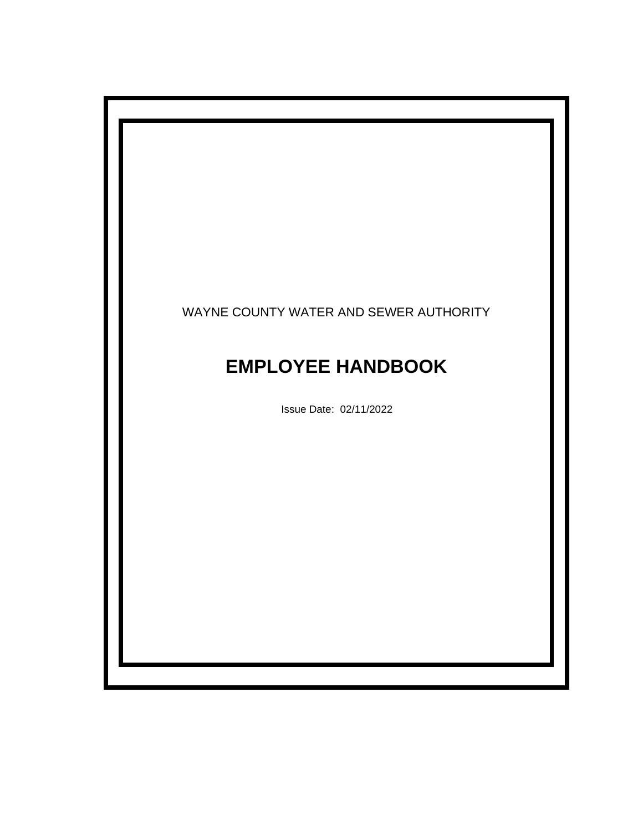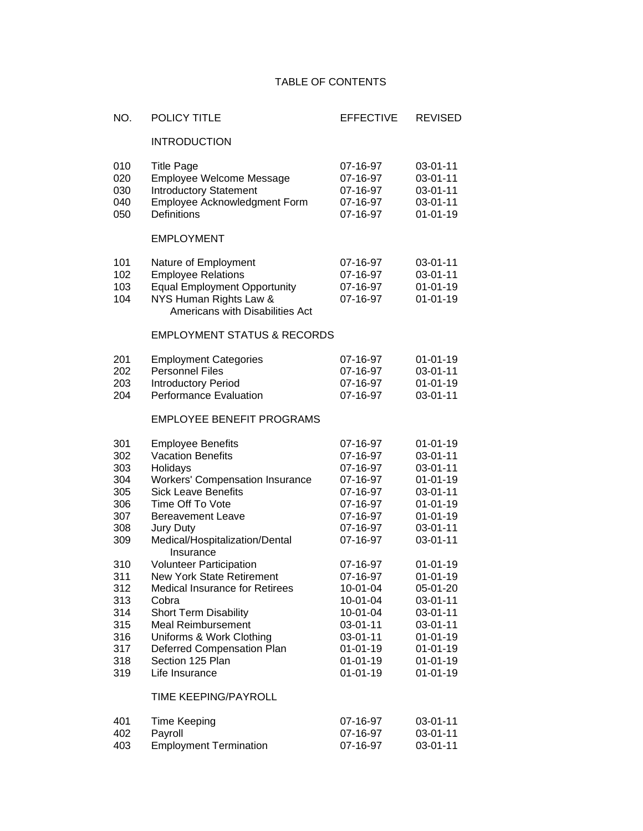## TABLE OF CONTENTS

| NO.                                                                | POLICY TITLE                                                                                                                                                                                                                                                                      | <b>EFFECTIVE</b>                                                                                                                       | <b>REVISED</b>                                                                                                                                           |
|--------------------------------------------------------------------|-----------------------------------------------------------------------------------------------------------------------------------------------------------------------------------------------------------------------------------------------------------------------------------|----------------------------------------------------------------------------------------------------------------------------------------|----------------------------------------------------------------------------------------------------------------------------------------------------------|
|                                                                    | <b>INTRODUCTION</b>                                                                                                                                                                                                                                                               |                                                                                                                                        |                                                                                                                                                          |
| 010<br>020<br>030<br>040<br>050                                    | <b>Title Page</b><br>Employee Welcome Message<br><b>Introductory Statement</b><br>Employee Acknowledgment Form<br>Definitions                                                                                                                                                     | 07-16-97<br>07-16-97<br>07-16-97<br>07-16-97<br>07-16-97                                                                               | 03-01-11<br>03-01-11<br>03-01-11<br>03-01-11<br>$01 - 01 - 19$                                                                                           |
|                                                                    | <b>EMPLOYMENT</b>                                                                                                                                                                                                                                                                 |                                                                                                                                        |                                                                                                                                                          |
| 101<br>102<br>103<br>104                                           | Nature of Employment<br><b>Employee Relations</b><br><b>Equal Employment Opportunity</b><br>NYS Human Rights Law &<br>Americans with Disabilities Act                                                                                                                             | 07-16-97<br>07-16-97<br>07-16-97<br>07-16-97                                                                                           | 03-01-11<br>03-01-11<br>$01 - 01 - 19$<br>$01 - 01 - 19$                                                                                                 |
|                                                                    | <b>EMPLOYMENT STATUS &amp; RECORDS</b>                                                                                                                                                                                                                                            |                                                                                                                                        |                                                                                                                                                          |
| 201<br>202<br>203<br>204                                           | <b>Employment Categories</b><br><b>Personnel Files</b><br>Introductory Period<br><b>Performance Evaluation</b>                                                                                                                                                                    | 07-16-97<br>07-16-97<br>07-16-97<br>07-16-97                                                                                           | $01 - 01 - 19$<br>03-01-11<br>$01 - 01 - 19$<br>03-01-11                                                                                                 |
|                                                                    | <b>EMPLOYEE BENEFIT PROGRAMS</b>                                                                                                                                                                                                                                                  |                                                                                                                                        |                                                                                                                                                          |
| 301<br>302<br>303<br>304<br>305<br>306<br>307<br>308<br>309        | <b>Employee Benefits</b><br><b>Vacation Benefits</b><br>Holidays<br><b>Workers' Compensation Insurance</b><br><b>Sick Leave Benefits</b><br>Time Off To Vote<br><b>Bereavement Leave</b><br>Jury Duty<br>Medical/Hospitalization/Dental<br>Insurance                              | 07-16-97<br>07-16-97<br>07-16-97<br>07-16-97<br>07-16-97<br>07-16-97<br>07-16-97<br>07-16-97<br>07-16-97                               | $01 - 01 - 19$<br>03-01-11<br>03-01-11<br>$01 - 01 - 19$<br>03-01-11<br>$01 - 01 - 19$<br>$01 - 01 - 19$<br>03-01-11<br>03-01-11                         |
| 310<br>311<br>312<br>313<br>314<br>315<br>316<br>317<br>318<br>319 | <b>Volunteer Participation</b><br><b>New York State Retirement</b><br><b>Medical Insurance for Retirees</b><br>Cobra<br><b>Short Term Disability</b><br><b>Meal Reimbursement</b><br>Uniforms & Work Clothing<br>Deferred Compensation Plan<br>Section 125 Plan<br>Life Insurance | 07-16-97<br>07-16-97<br>10-01-04<br>10-01-04<br>10-01-04<br>03-01-11<br>03-01-11<br>$01 - 01 - 19$<br>$01 - 01 - 19$<br>$01 - 01 - 19$ | $01 - 01 - 19$<br>$01 - 01 - 19$<br>05-01-20<br>03-01-11<br>03-01-11<br>03-01-11<br>$01 - 01 - 19$<br>$01 - 01 - 19$<br>$01 - 01 - 19$<br>$01 - 01 - 19$ |
|                                                                    | TIME KEEPING/PAYROLL                                                                                                                                                                                                                                                              |                                                                                                                                        |                                                                                                                                                          |
| 401<br>402<br>403                                                  | <b>Time Keeping</b><br>Payroll<br><b>Employment Termination</b>                                                                                                                                                                                                                   | 07-16-97<br>07-16-97<br>07-16-97                                                                                                       | 03-01-11<br>03-01-11<br>03-01-11                                                                                                                         |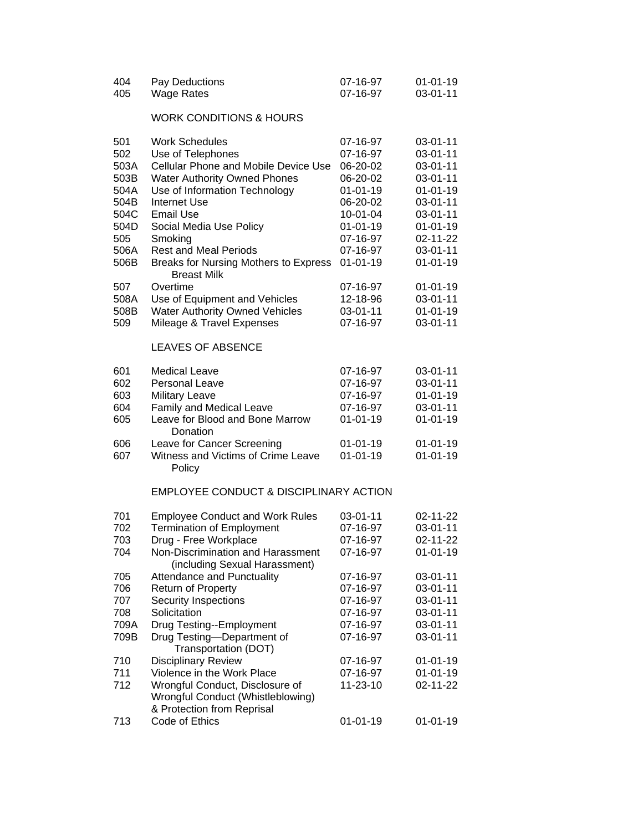| 404<br>405                                  | Pay Deductions<br><b>Wage Rates</b>                                                                                                                                                    | 07-16-97<br>07-16-97                                                             | $01 - 01 - 19$<br>03-01-11                                                             |
|---------------------------------------------|----------------------------------------------------------------------------------------------------------------------------------------------------------------------------------------|----------------------------------------------------------------------------------|----------------------------------------------------------------------------------------|
|                                             | <b>WORK CONDITIONS &amp; HOURS</b>                                                                                                                                                     |                                                                                  |                                                                                        |
| 501<br>502<br>503A<br>503B<br>504A          | <b>Work Schedules</b><br>Use of Telephones<br><b>Cellular Phone and Mobile Device Use</b><br><b>Water Authority Owned Phones</b><br>Use of Information Technology                      | 07-16-97<br>07-16-97<br>06-20-02<br>06-20-02<br>$01 - 01 - 19$                   | 03-01-11<br>03-01-11<br>03-01-11<br>03-01-11<br>$01 - 01 - 19$                         |
| 504B<br>504C<br>504D<br>505<br>506A<br>506B | <b>Internet Use</b><br><b>Email Use</b><br>Social Media Use Policy<br>Smoking<br><b>Rest and Meal Periods</b><br>Breaks for Nursing Mothers to Express                                 | 06-20-02<br>10-01-04<br>$01 - 01 - 19$<br>07-16-97<br>07-16-97<br>$01 - 01 - 19$ | 03-01-11<br>03-01-11<br>$01 - 01 - 19$<br>02-11-22<br>03-01-11<br>$01 - 01 - 19$       |
| 507<br>508A<br>508B<br>509                  | <b>Breast Milk</b><br>Overtime<br>Use of Equipment and Vehicles<br><b>Water Authority Owned Vehicles</b><br>Mileage & Travel Expenses                                                  | 07-16-97<br>12-18-96<br>03-01-11<br>07-16-97                                     | $01 - 01 - 19$<br>03-01-11<br>$01 - 01 - 19$<br>03-01-11                               |
|                                             | <b>LEAVES OF ABSENCE</b>                                                                                                                                                               |                                                                                  |                                                                                        |
| 601<br>602<br>603<br>604<br>605             | <b>Medical Leave</b><br>Personal Leave<br><b>Military Leave</b><br>Family and Medical Leave<br>Leave for Blood and Bone Marrow                                                         | 07-16-97<br>07-16-97<br>07-16-97<br>07-16-97<br>$01 - 01 - 19$                   | 03-01-11<br>03-01-11<br>$01 - 01 - 19$<br>03-01-11<br>$01 - 01 - 19$                   |
| 606<br>607                                  | Donation<br>Leave for Cancer Screening<br>Witness and Victims of Crime Leave<br>Policy                                                                                                 | 01-01-19<br>$01 - 01 - 19$                                                       | $01 - 01 - 19$<br>$01 - 01 - 19$                                                       |
|                                             | EMPLOYEE CONDUCT & DISCIPLINARY ACTION                                                                                                                                                 |                                                                                  |                                                                                        |
| 701<br>702<br>703<br>704                    | <b>Employee Conduct and Work Rules</b><br><b>Termination of Employment</b><br>Drug - Free Workplace<br>Non-Discrimination and Harassment<br>(including Sexual Harassment)              | 03-01-11<br>07-16-97<br>07-16-97<br>07-16-97                                     | 02-11-22<br>03-01-11<br>02-11-22<br>$01 - 01 - 19$                                     |
| 705<br>706<br>707<br>708<br>709A<br>709B    | Attendance and Punctuality<br>Return of Property<br>Security Inspections<br>Solicitation<br>Drug Testing--Employment<br>Drug Testing-Department of                                     | 07-16-97<br>07-16-97<br>07-16-97<br>07-16-97<br>07-16-97<br>07-16-97             | 03-01-11<br>$03 - 01 - 11$<br>$03 - 01 - 11$<br>03-01-11<br>03-01-11<br>$03 - 01 - 11$ |
| 710<br>711<br>712                           | Transportation (DOT)<br><b>Disciplinary Review</b><br>Violence in the Work Place<br>Wrongful Conduct, Disclosure of<br>Wrongful Conduct (Whistleblowing)<br>& Protection from Reprisal | 07-16-97<br>07-16-97<br>11-23-10                                                 | $01 - 01 - 19$<br>$01 - 01 - 19$<br>02-11-22                                           |
| 713                                         | Code of Ethics                                                                                                                                                                         | $01 - 01 - 19$                                                                   | $01 - 01 - 19$                                                                         |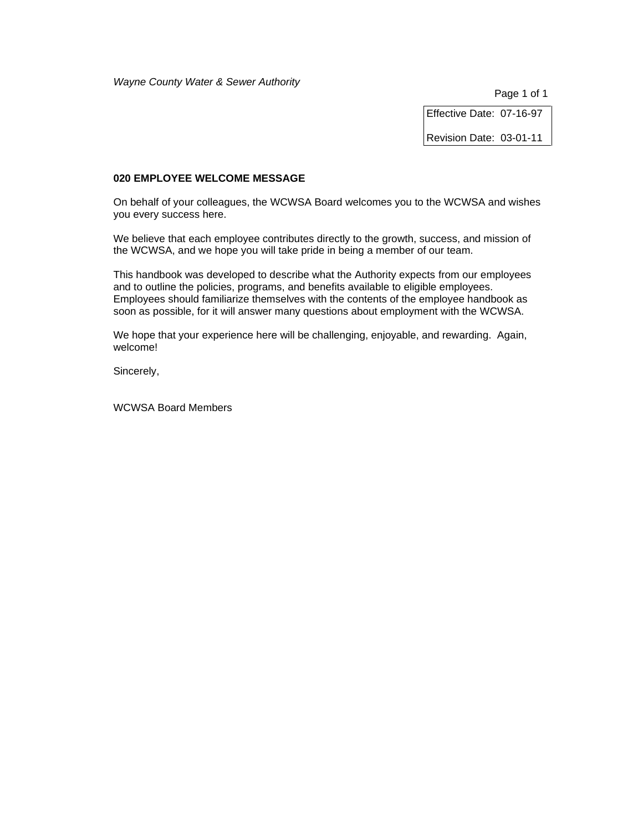Page 1 of 1

Effective Date: 07-16-97

Revision Date: 03-01-11

#### **020 EMPLOYEE WELCOME MESSAGE**

On behalf of your colleagues, the WCWSA Board welcomes you to the WCWSA and wishes you every success here.

We believe that each employee contributes directly to the growth, success, and mission of the WCWSA, and we hope you will take pride in being a member of our team.

This handbook was developed to describe what the Authority expects from our employees and to outline the policies, programs, and benefits available to eligible employees. Employees should familiarize themselves with the contents of the employee handbook as soon as possible, for it will answer many questions about employment with the WCWSA.

We hope that your experience here will be challenging, enjoyable, and rewarding. Again, welcome!

Sincerely,

WCWSA Board Members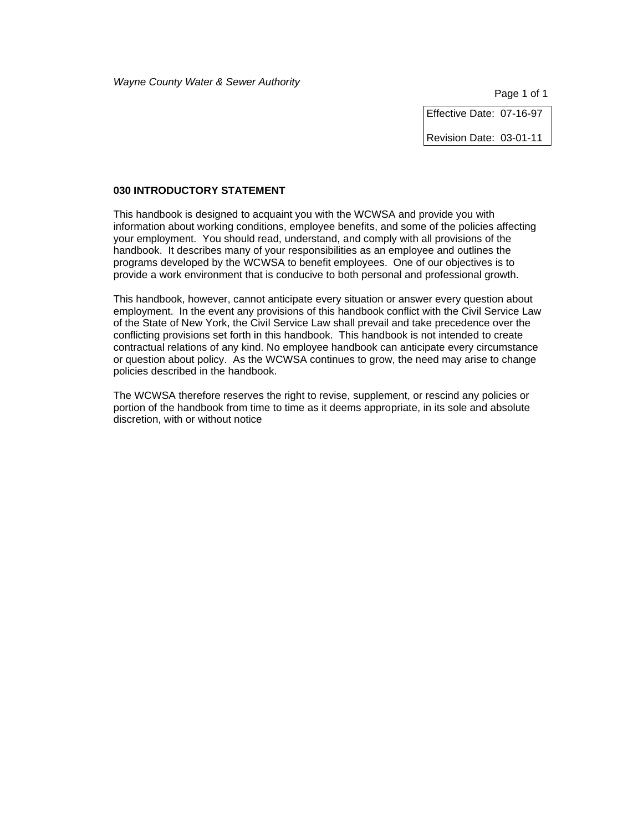Effective Date: 07-16-97

Revision Date: 03-01-11

### **030 INTRODUCTORY STATEMENT**

This handbook is designed to acquaint you with the WCWSA and provide you with information about working conditions, employee benefits, and some of the policies affecting your employment. You should read, understand, and comply with all provisions of the handbook. It describes many of your responsibilities as an employee and outlines the programs developed by the WCWSA to benefit employees. One of our objectives is to provide a work environment that is conducive to both personal and professional growth.

This handbook, however, cannot anticipate every situation or answer every question about employment. In the event any provisions of this handbook conflict with the Civil Service Law of the State of New York, the Civil Service Law shall prevail and take precedence over the conflicting provisions set forth in this handbook. This handbook is not intended to create contractual relations of any kind. No employee handbook can anticipate every circumstance or question about policy. As the WCWSA continues to grow, the need may arise to change policies described in the handbook.

The WCWSA therefore reserves the right to revise, supplement, or rescind any policies or portion of the handbook from time to time as it deems appropriate, in its sole and absolute discretion, with or without notice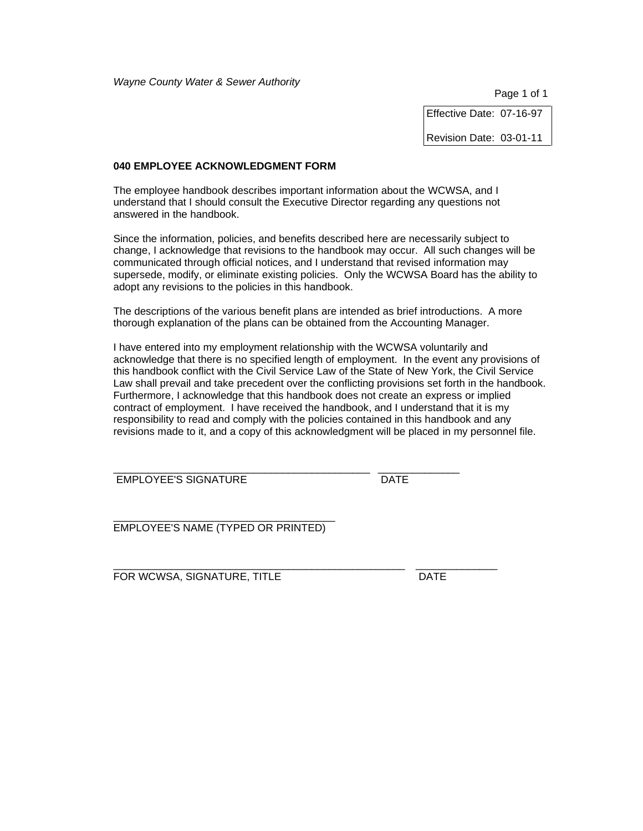Page 1 of 1

Effective Date: 07-16-97

Revision Date: 03-01-11

### **040 EMPLOYEE ACKNOWLEDGMENT FORM**

The employee handbook describes important information about the WCWSA, and I understand that I should consult the Executive Director regarding any questions not answered in the handbook.

Since the information, policies, and benefits described here are necessarily subject to change, I acknowledge that revisions to the handbook may occur. All such changes will be communicated through official notices, and I understand that revised information may supersede, modify, or eliminate existing policies. Only the WCWSA Board has the ability to adopt any revisions to the policies in this handbook.

The descriptions of the various benefit plans are intended as brief introductions. A more thorough explanation of the plans can be obtained from the Accounting Manager.

I have entered into my employment relationship with the WCWSA voluntarily and acknowledge that there is no specified length of employment. In the event any provisions of this handbook conflict with the Civil Service Law of the State of New York, the Civil Service Law shall prevail and take precedent over the conflicting provisions set forth in the handbook. Furthermore, I acknowledge that this handbook does not create an express or implied contract of employment. I have received the handbook, and I understand that it is my responsibility to read and comply with the policies contained in this handbook and any revisions made to it, and a copy of this acknowledgment will be placed in my personnel file.

\_\_\_\_\_\_\_\_\_\_\_\_\_\_\_\_\_\_\_\_\_\_\_\_\_\_\_\_\_\_\_\_\_\_\_\_\_\_\_\_\_\_\_\_ \_\_\_\_\_\_\_\_\_\_\_\_\_\_ EMPLOYEE'S SIGNATURE DATE

\_\_\_\_\_\_\_\_\_\_\_\_\_\_\_\_\_\_\_\_\_\_\_\_\_\_\_\_\_\_\_\_\_\_\_\_\_\_ EMPLOYEE'S NAME (TYPED OR PRINTED)

\_\_\_\_\_\_\_\_\_\_\_\_\_\_\_\_\_\_\_\_\_\_\_\_\_\_\_\_\_\_\_\_\_\_\_\_\_\_\_\_\_\_\_\_\_\_\_\_\_\_ \_\_\_\_\_\_\_\_\_\_\_\_\_\_ FOR WCWSA, SIGNATURE, TITLE DATE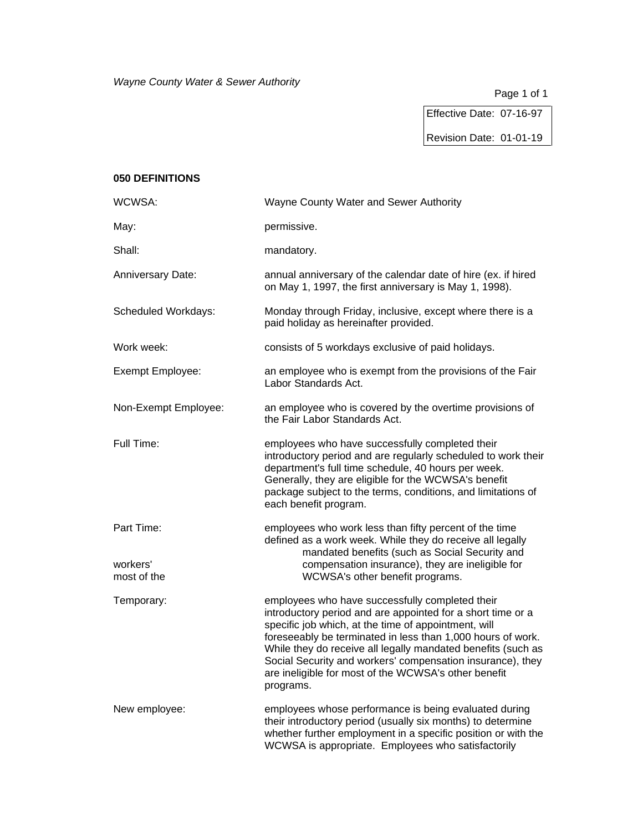Effective Date: 07-16-97

Revision Date: 01-01-19

# **050 DEFINITIONS**

| WCWSA:                   | Wayne County Water and Sewer Authority                                                                                                                                                                                                                                                                                                                                                                                                   |
|--------------------------|------------------------------------------------------------------------------------------------------------------------------------------------------------------------------------------------------------------------------------------------------------------------------------------------------------------------------------------------------------------------------------------------------------------------------------------|
| May:                     | permissive.                                                                                                                                                                                                                                                                                                                                                                                                                              |
| Shall:                   | mandatory.                                                                                                                                                                                                                                                                                                                                                                                                                               |
| <b>Anniversary Date:</b> | annual anniversary of the calendar date of hire (ex. if hired<br>on May 1, 1997, the first anniversary is May 1, 1998).                                                                                                                                                                                                                                                                                                                  |
| Scheduled Workdays:      | Monday through Friday, inclusive, except where there is a<br>paid holiday as hereinafter provided.                                                                                                                                                                                                                                                                                                                                       |
| Work week:               | consists of 5 workdays exclusive of paid holidays.                                                                                                                                                                                                                                                                                                                                                                                       |
| Exempt Employee:         | an employee who is exempt from the provisions of the Fair<br>Labor Standards Act.                                                                                                                                                                                                                                                                                                                                                        |
| Non-Exempt Employee:     | an employee who is covered by the overtime provisions of<br>the Fair Labor Standards Act.                                                                                                                                                                                                                                                                                                                                                |
| Full Time:               | employees who have successfully completed their<br>introductory period and are regularly scheduled to work their<br>department's full time schedule, 40 hours per week.<br>Generally, they are eligible for the WCWSA's benefit<br>package subject to the terms, conditions, and limitations of<br>each benefit program.                                                                                                                 |
| Part Time:               | employees who work less than fifty percent of the time<br>defined as a work week. While they do receive all legally<br>mandated benefits (such as Social Security and                                                                                                                                                                                                                                                                    |
| workers'<br>most of the  | compensation insurance), they are ineligible for<br>WCWSA's other benefit programs.                                                                                                                                                                                                                                                                                                                                                      |
| Temporary:               | employees who have successfully completed their<br>introductory period and are appointed for a short time or a<br>specific job which, at the time of appointment, will<br>foreseeably be terminated in less than 1,000 hours of work.<br>While they do receive all legally mandated benefits (such as<br>Social Security and workers' compensation insurance), they<br>are ineligible for most of the WCWSA's other benefit<br>programs. |
| New employee:            | employees whose performance is being evaluated during<br>their introductory period (usually six months) to determine<br>whether further employment in a specific position or with the<br>WCWSA is appropriate. Employees who satisfactorily                                                                                                                                                                                              |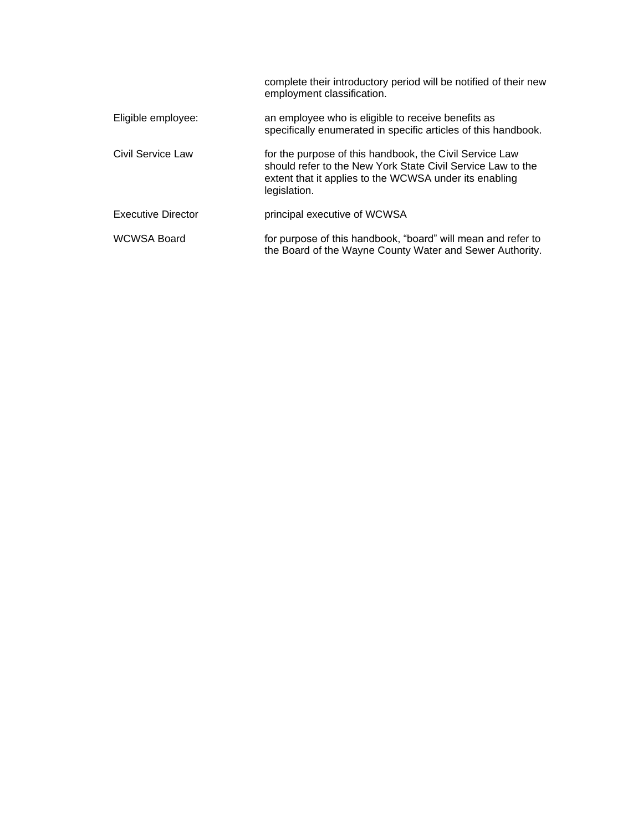|                           | complete their introductory period will be notified of their new<br>employment classification.                                                                                                   |
|---------------------------|--------------------------------------------------------------------------------------------------------------------------------------------------------------------------------------------------|
| Eligible employee:        | an employee who is eligible to receive benefits as<br>specifically enumerated in specific articles of this handbook.                                                                             |
| Civil Service Law         | for the purpose of this handbook, the Civil Service Law<br>should refer to the New York State Civil Service Law to the<br>extent that it applies to the WCWSA under its enabling<br>legislation. |
| <b>Executive Director</b> | principal executive of WCWSA                                                                                                                                                                     |
| <b>WCWSA Board</b>        | for purpose of this handbook, "board" will mean and refer to<br>the Board of the Wayne County Water and Sewer Authority.                                                                         |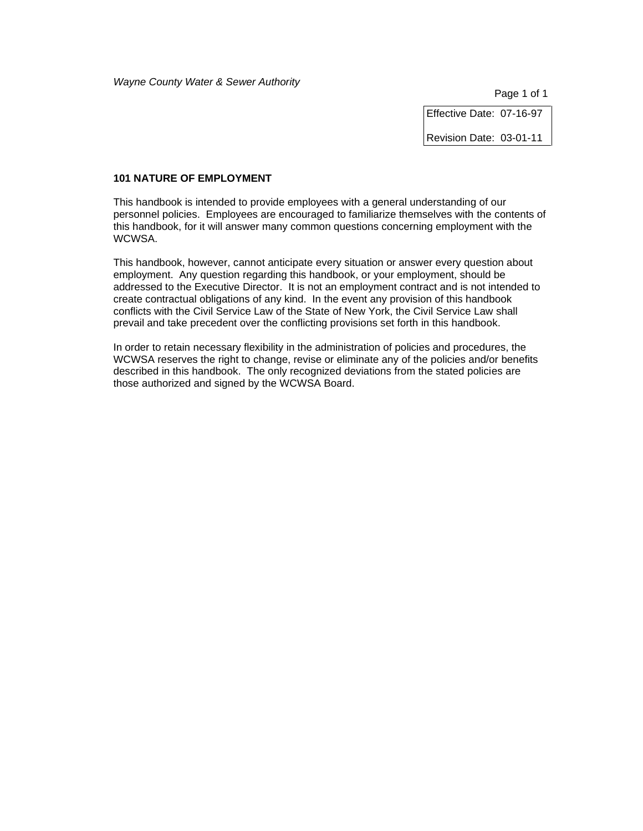Effective Date: 07-16-97

Revision Date: 03-01-11

### **101 NATURE OF EMPLOYMENT**

This handbook is intended to provide employees with a general understanding of our personnel policies. Employees are encouraged to familiarize themselves with the contents of this handbook, for it will answer many common questions concerning employment with the WCWSA.

This handbook, however, cannot anticipate every situation or answer every question about employment. Any question regarding this handbook, or your employment, should be addressed to the Executive Director. It is not an employment contract and is not intended to create contractual obligations of any kind. In the event any provision of this handbook conflicts with the Civil Service Law of the State of New York, the Civil Service Law shall prevail and take precedent over the conflicting provisions set forth in this handbook.

In order to retain necessary flexibility in the administration of policies and procedures, the WCWSA reserves the right to change, revise or eliminate any of the policies and/or benefits described in this handbook. The only recognized deviations from the stated policies are those authorized and signed by the WCWSA Board.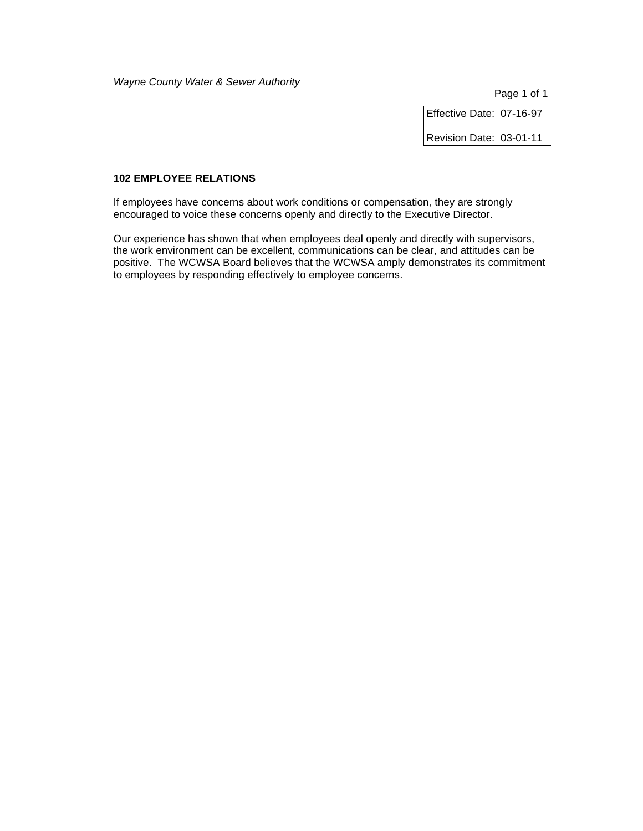Page 1 of 1

Effective Date: 07-16-97

Revision Date: 03-01-11

### **102 EMPLOYEE RELATIONS**

If employees have concerns about work conditions or compensation, they are strongly encouraged to voice these concerns openly and directly to the Executive Director.

Our experience has shown that when employees deal openly and directly with supervisors, the work environment can be excellent, communications can be clear, and attitudes can be positive. The WCWSA Board believes that the WCWSA amply demonstrates its commitment to employees by responding effectively to employee concerns.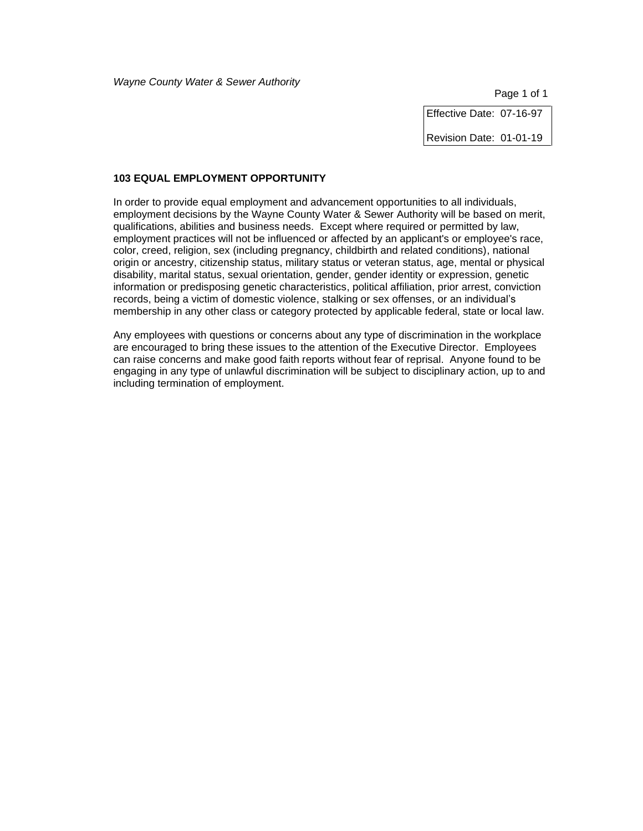Page 1 of 1

Effective Date: 07-16-97

Revision Date: 01-01-19

### **103 EQUAL EMPLOYMENT OPPORTUNITY**

In order to provide equal employment and advancement opportunities to all individuals, employment decisions by the Wayne County Water & Sewer Authority will be based on merit, qualifications, abilities and business needs. Except where required or permitted by law, employment practices will not be influenced or affected by an applicant's or employee's race, color, creed, religion, sex (including pregnancy, childbirth and related conditions), national origin or ancestry, citizenship status, military status or veteran status, age, mental or physical disability, marital status, sexual orientation, gender, gender identity or expression, genetic information or predisposing genetic characteristics, political affiliation, prior arrest, conviction records, being a victim of domestic violence, stalking or sex offenses, or an individual's membership in any other class or category protected by applicable federal, state or local law.

Any employees with questions or concerns about any type of discrimination in the workplace are encouraged to bring these issues to the attention of the Executive Director. Employees can raise concerns and make good faith reports without fear of reprisal. Anyone found to be engaging in any type of unlawful discrimination will be subject to disciplinary action, up to and including termination of employment.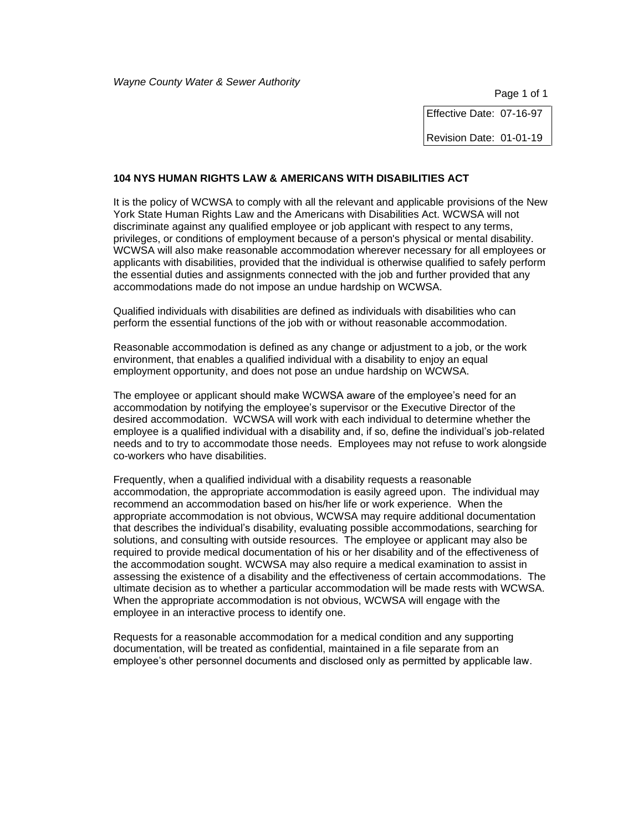Effective Date: 07-16-97

Revision Date: 01-01-19

#### **104 NYS HUMAN RIGHTS LAW & AMERICANS WITH DISABILITIES ACT**

It is the policy of WCWSA to comply with all the relevant and applicable provisions of the New York State Human Rights Law and the Americans with Disabilities Act. WCWSA will not discriminate against any qualified employee or job applicant with respect to any terms, privileges, or conditions of employment because of a person's physical or mental disability. WCWSA will also make reasonable accommodation wherever necessary for all employees or applicants with disabilities, provided that the individual is otherwise qualified to safely perform the essential duties and assignments connected with the job and further provided that any accommodations made do not impose an undue hardship on WCWSA.

Qualified individuals with disabilities are defined as individuals with disabilities who can perform the essential functions of the job with or without reasonable accommodation.

Reasonable accommodation is defined as any change or adjustment to a job, or the work environment, that enables a qualified individual with a disability to enjoy an equal employment opportunity, and does not pose an undue hardship on WCWSA.

The employee or applicant should make WCWSA aware of the employee's need for an accommodation by notifying the employee's supervisor or the Executive Director of the desired accommodation. WCWSA will work with each individual to determine whether the employee is a qualified individual with a disability and, if so, define the individual's job-related needs and to try to accommodate those needs. Employees may not refuse to work alongside co-workers who have disabilities.

Frequently, when a qualified individual with a disability requests a reasonable accommodation, the appropriate accommodation is easily agreed upon. The individual may recommend an accommodation based on his/her life or work experience. When the appropriate accommodation is not obvious, WCWSA may require additional documentation that describes the individual's disability, evaluating possible accommodations, searching for solutions, and consulting with outside resources. The employee or applicant may also be required to provide medical documentation of his or her disability and of the effectiveness of the accommodation sought. WCWSA may also require a medical examination to assist in assessing the existence of a disability and the effectiveness of certain accommodations. The ultimate decision as to whether a particular accommodation will be made rests with WCWSA. When the appropriate accommodation is not obvious, WCWSA will engage with the employee in an interactive process to identify one.

Requests for a reasonable accommodation for a medical condition and any supporting documentation, will be treated as confidential, maintained in a file separate from an employee's other personnel documents and disclosed only as permitted by applicable law.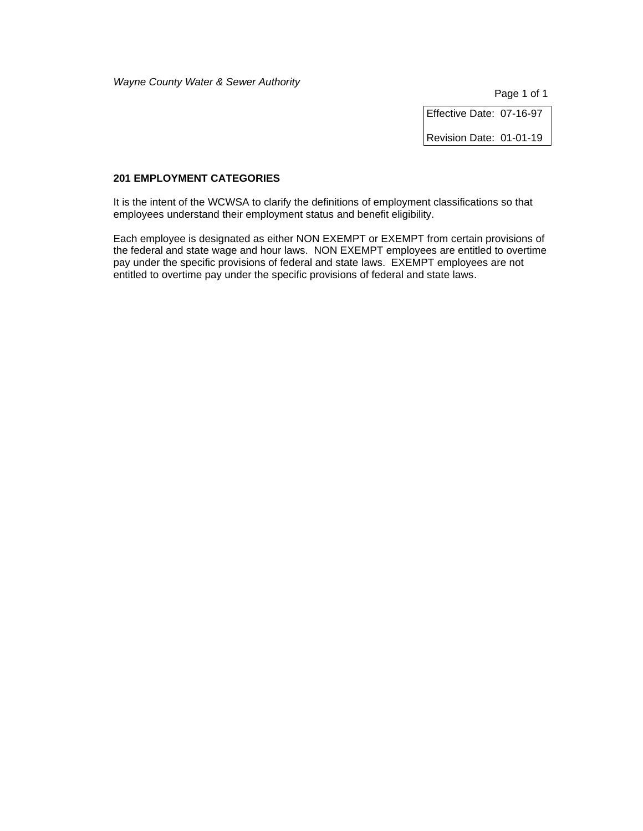Page 1 of 1

Effective Date: 07-16-97

Revision Date: 01-01-19

### **201 EMPLOYMENT CATEGORIES**

It is the intent of the WCWSA to clarify the definitions of employment classifications so that employees understand their employment status and benefit eligibility.

Each employee is designated as either NON EXEMPT or EXEMPT from certain provisions of the federal and state wage and hour laws. NON EXEMPT employees are entitled to overtime pay under the specific provisions of federal and state laws. EXEMPT employees are not entitled to overtime pay under the specific provisions of federal and state laws.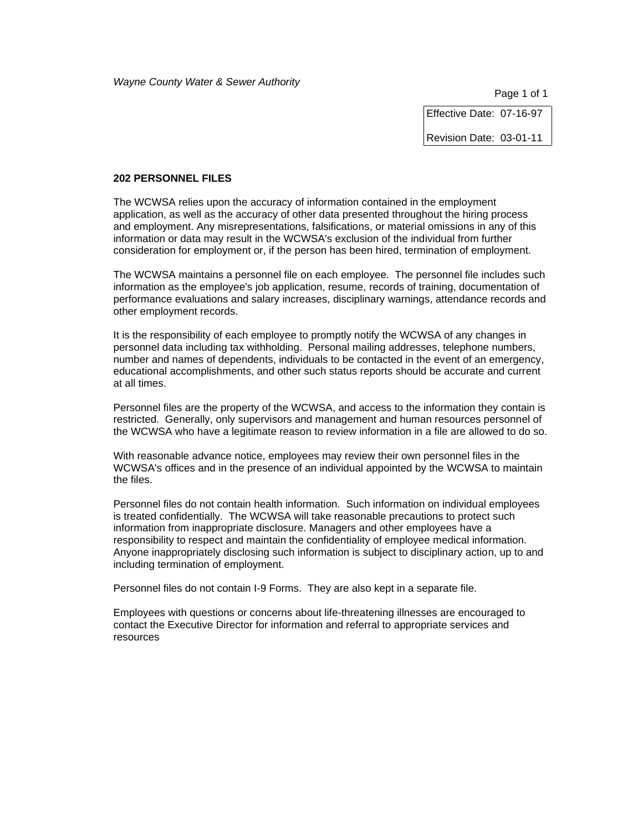Effective Date: 07-16-97

Revision Date: 03-01-11

#### **202 PERSONNEL FILES**

The WCWSA relies upon the accuracy of information contained in the employment application, as well as the accuracy of other data presented throughout the hiring process and employment. Any misrepresentations, falsifications, or material omissions in any of this information or data may result in the WCWSA's exclusion of the individual from further consideration for employment or, if the person has been hired, termination of employment.

The WCWSA maintains a personnel file on each employee. The personnel file includes such information as the employee's job application, resume, records of training, documentation of performance evaluations and salary increases, disciplinary warnings, attendance records and other employment records.

It is the responsibility of each employee to promptly notify the WCWSA of any changes in personnel data including tax withholding. Personal mailing addresses, telephone numbers, number and names of dependents, individuals to be contacted in the event of an emergency, educational accomplishments, and other such status reports should be accurate and current at all times.

Personnel files are the property of the WCWSA, and access to the information they contain is restricted. Generally, only supervisors and management and human resources personnel of the WCWSA who have a legitimate reason to review information in a file are allowed to do so.

With reasonable advance notice, employees may review their own personnel files in the WCWSA's offices and in the presence of an individual appointed by the WCWSA to maintain the files.

Personnel files do not contain health information. Such information on individual employees is treated confidentially. The WCWSA will take reasonable precautions to protect such information from inappropriate disclosure. Managers and other employees have a responsibility to respect and maintain the confidentiality of employee medical information. Anyone inappropriately disclosing such information is subject to disciplinary action, up to and including termination of employment.

Personnel files do not contain I-9 Forms. They are also kept in a separate file.

Employees with questions or concerns about life-threatening illnesses are encouraged to contact the Executive Director for information and referral to appropriate services and resources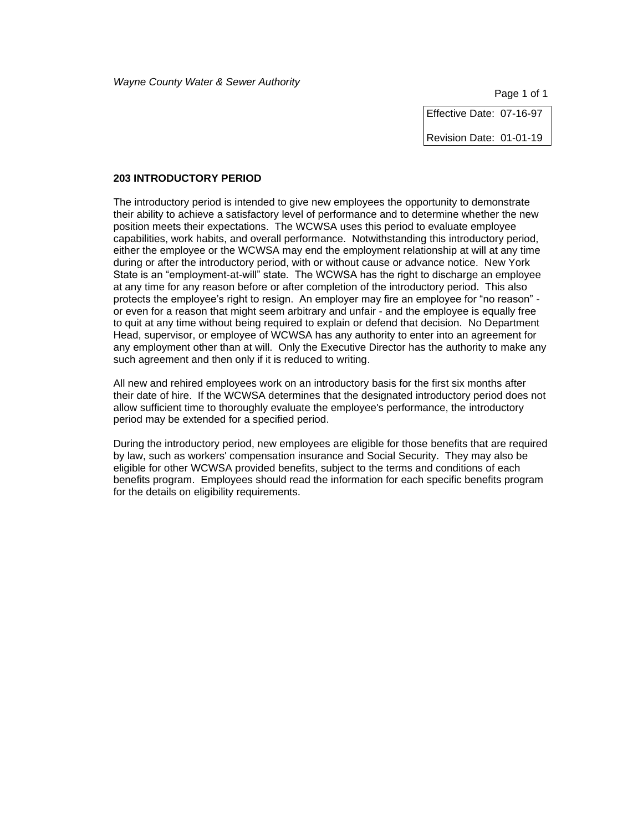Effective Date: 07-16-97

Revision Date: 01-01-19

#### **203 INTRODUCTORY PERIOD**

The introductory period is intended to give new employees the opportunity to demonstrate their ability to achieve a satisfactory level of performance and to determine whether the new position meets their expectations. The WCWSA uses this period to evaluate employee capabilities, work habits, and overall performance. Notwithstanding this introductory period, either the employee or the WCWSA may end the employment relationship at will at any time during or after the introductory period, with or without cause or advance notice. New York State is an "employment-at-will" state. The WCWSA has the right to discharge an employee at any time for any reason before or after completion of the introductory period. This also protects the employee's right to resign. An employer may fire an employee for "no reason" or even for a reason that might seem arbitrary and unfair - and the employee is equally free to quit at any time without being required to explain or defend that decision. No Department Head, supervisor, or employee of WCWSA has any authority to enter into an agreement for any employment other than at will. Only the Executive Director has the authority to make any such agreement and then only if it is reduced to writing.

All new and rehired employees work on an introductory basis for the first six months after their date of hire. If the WCWSA determines that the designated introductory period does not allow sufficient time to thoroughly evaluate the employee's performance, the introductory period may be extended for a specified period.

During the introductory period, new employees are eligible for those benefits that are required by law, such as workers' compensation insurance and Social Security. They may also be eligible for other WCWSA provided benefits, subject to the terms and conditions of each benefits program. Employees should read the information for each specific benefits program for the details on eligibility requirements.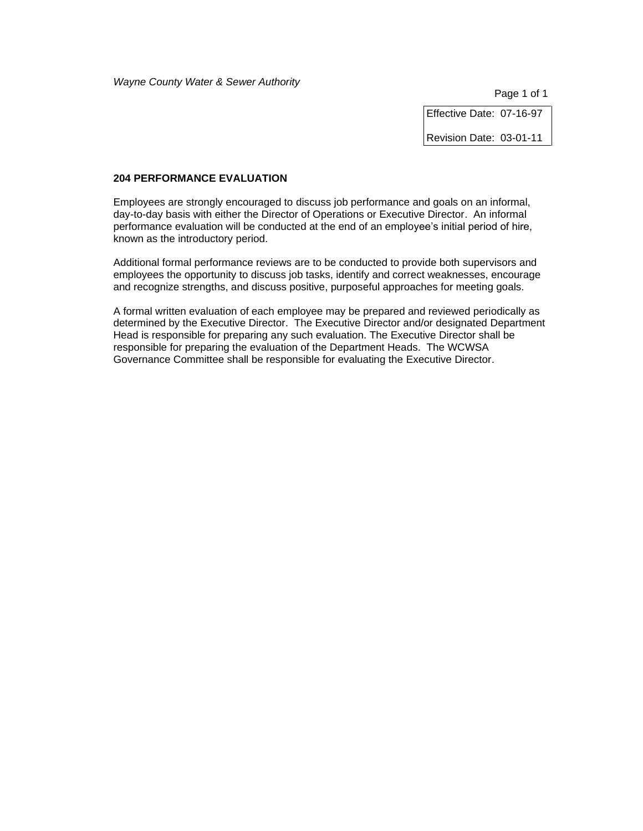Page 1 of 1

Effective Date: 07-16-97

Revision Date: 03-01-11

### **204 PERFORMANCE EVALUATION**

Employees are strongly encouraged to discuss job performance and goals on an informal, day-to-day basis with either the Director of Operations or Executive Director. An informal performance evaluation will be conducted at the end of an employee's initial period of hire, known as the introductory period.

Additional formal performance reviews are to be conducted to provide both supervisors and employees the opportunity to discuss job tasks, identify and correct weaknesses, encourage and recognize strengths, and discuss positive, purposeful approaches for meeting goals.

A formal written evaluation of each employee may be prepared and reviewed periodically as determined by the Executive Director. The Executive Director and/or designated Department Head is responsible for preparing any such evaluation. The Executive Director shall be responsible for preparing the evaluation of the Department Heads. The WCWSA Governance Committee shall be responsible for evaluating the Executive Director.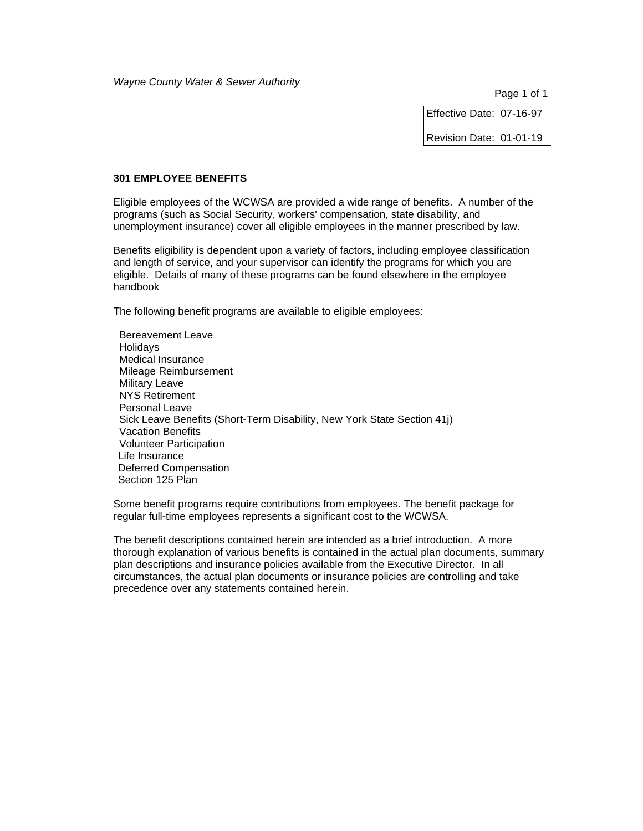Effective Date: 07-16-97

Revision Date: 01-01-19

### **301 EMPLOYEE BENEFITS**

Eligible employees of the WCWSA are provided a wide range of benefits. A number of the programs (such as Social Security, workers' compensation, state disability, and unemployment insurance) cover all eligible employees in the manner prescribed by law.

Benefits eligibility is dependent upon a variety of factors, including employee classification and length of service, and your supervisor can identify the programs for which you are eligible. Details of many of these programs can be found elsewhere in the employee handbook

The following benefit programs are available to eligible employees:

 Bereavement Leave **Holidavs**  Medical Insurance Mileage Reimbursement Military Leave NYS Retirement Personal Leave Sick Leave Benefits (Short-Term Disability, New York State Section 41j) Vacation Benefits Volunteer Participation Life Insurance Deferred Compensation Section 125 Plan

Some benefit programs require contributions from employees. The benefit package for regular full-time employees represents a significant cost to the WCWSA.

The benefit descriptions contained herein are intended as a brief introduction. A more thorough explanation of various benefits is contained in the actual plan documents, summary plan descriptions and insurance policies available from the Executive Director. In all circumstances, the actual plan documents or insurance policies are controlling and take precedence over any statements contained herein.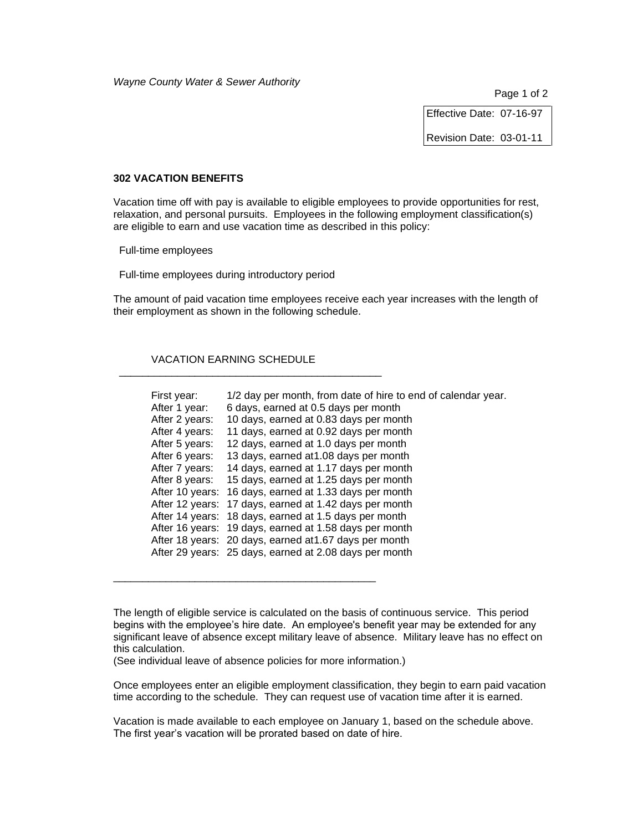Effective Date: 07-16-97

Revision Date: 03-01-11

#### **302 VACATION BENEFITS**

Vacation time off with pay is available to eligible employees to provide opportunities for rest, relaxation, and personal pursuits. Employees in the following employment classification(s) are eligible to earn and use vacation time as described in this policy:

Full-time employees

Full-time employees during introductory period

The amount of paid vacation time employees receive each year increases with the length of their employment as shown in the following schedule.

### VACATION EARNING SCHEDULE

\_\_\_\_\_\_\_\_\_\_\_\_\_\_\_\_\_\_\_\_\_\_\_\_\_\_\_\_\_\_\_\_\_\_\_\_\_\_\_\_\_\_\_\_\_

| First year:<br>After 1 year:<br>After 2 years:<br>After 4 years:<br>After 5 years:<br>After 6 years:<br>After 7 years:<br>After 8 years: | 1/2 day per month, from date of hire to end of calendar year.<br>6 days, earned at 0.5 days per month<br>10 days, earned at 0.83 days per month<br>11 days, earned at 0.92 days per month<br>12 days, earned at 1.0 days per month<br>13 days, earned at 1.08 days per month<br>14 days, earned at 1.17 days per month<br>15 days, earned at 1.25 days per month<br>After 10 years: 16 days, earned at 1.33 days per month<br>After 12 years: 17 days, earned at 1.42 days per month<br>After 14 years: 18 days, earned at 1.5 days per month<br>After 16 years: 19 days, earned at 1.58 days per month<br>After 18 years: 20 days, earned at 1.67 days per month<br>After 29 years: 25 days, earned at 2.08 days per month |
|------------------------------------------------------------------------------------------------------------------------------------------|-----------------------------------------------------------------------------------------------------------------------------------------------------------------------------------------------------------------------------------------------------------------------------------------------------------------------------------------------------------------------------------------------------------------------------------------------------------------------------------------------------------------------------------------------------------------------------------------------------------------------------------------------------------------------------------------------------------------------------|
|------------------------------------------------------------------------------------------------------------------------------------------|-----------------------------------------------------------------------------------------------------------------------------------------------------------------------------------------------------------------------------------------------------------------------------------------------------------------------------------------------------------------------------------------------------------------------------------------------------------------------------------------------------------------------------------------------------------------------------------------------------------------------------------------------------------------------------------------------------------------------------|

(See individual leave of absence policies for more information.)

\_\_\_\_\_\_\_\_\_\_\_\_\_\_\_\_\_\_\_\_\_\_\_\_\_\_\_\_\_\_\_\_\_\_\_\_\_\_\_\_\_\_\_\_\_

Once employees enter an eligible employment classification, they begin to earn paid vacation time according to the schedule. They can request use of vacation time after it is earned.

Vacation is made available to each employee on January 1, based on the schedule above. The first year's vacation will be prorated based on date of hire.

The length of eligible service is calculated on the basis of continuous service. This period begins with the employee's hire date. An employee's benefit year may be extended for any significant leave of absence except military leave of absence. Military leave has no effect on this calculation.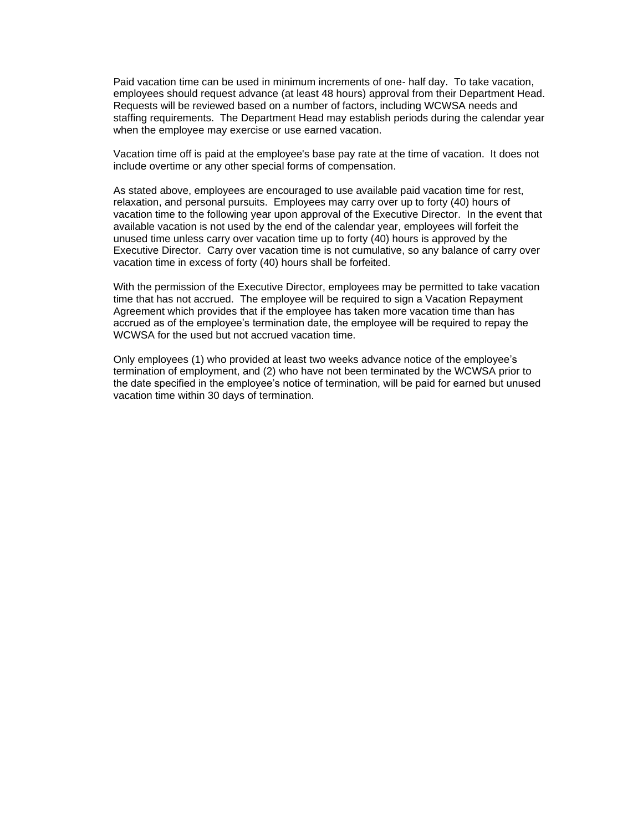Paid vacation time can be used in minimum increments of one- half day. To take vacation, employees should request advance (at least 48 hours) approval from their Department Head. Requests will be reviewed based on a number of factors, including WCWSA needs and staffing requirements. The Department Head may establish periods during the calendar year when the employee may exercise or use earned vacation.

Vacation time off is paid at the employee's base pay rate at the time of vacation. It does not include overtime or any other special forms of compensation.

As stated above, employees are encouraged to use available paid vacation time for rest, relaxation, and personal pursuits. Employees may carry over up to forty (40) hours of vacation time to the following year upon approval of the Executive Director. In the event that available vacation is not used by the end of the calendar year, employees will forfeit the unused time unless carry over vacation time up to forty (40) hours is approved by the Executive Director. Carry over vacation time is not cumulative, so any balance of carry over vacation time in excess of forty (40) hours shall be forfeited.

With the permission of the Executive Director, employees may be permitted to take vacation time that has not accrued. The employee will be required to sign a Vacation Repayment Agreement which provides that if the employee has taken more vacation time than has accrued as of the employee's termination date, the employee will be required to repay the WCWSA for the used but not accrued vacation time.

Only employees (1) who provided at least two weeks advance notice of the employee's termination of employment, and (2) who have not been terminated by the WCWSA prior to the date specified in the employee's notice of termination, will be paid for earned but unused vacation time within 30 days of termination.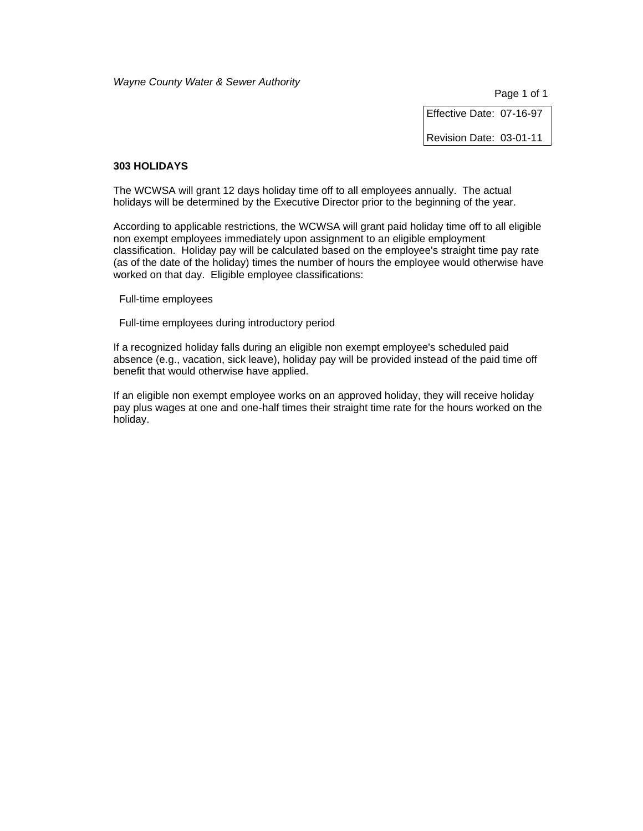Page 1 of 1

Effective Date: 07-16-97

Revision Date: 03-01-11

### **303 HOLIDAYS**

The WCWSA will grant 12 days holiday time off to all employees annually. The actual holidays will be determined by the Executive Director prior to the beginning of the year.

According to applicable restrictions, the WCWSA will grant paid holiday time off to all eligible non exempt employees immediately upon assignment to an eligible employment classification. Holiday pay will be calculated based on the employee's straight time pay rate (as of the date of the holiday) times the number of hours the employee would otherwise have worked on that day. Eligible employee classifications:

Full-time employees

Full-time employees during introductory period

If a recognized holiday falls during an eligible non exempt employee's scheduled paid absence (e.g., vacation, sick leave), holiday pay will be provided instead of the paid time off benefit that would otherwise have applied.

If an eligible non exempt employee works on an approved holiday, they will receive holiday pay plus wages at one and one-half times their straight time rate for the hours worked on the holiday.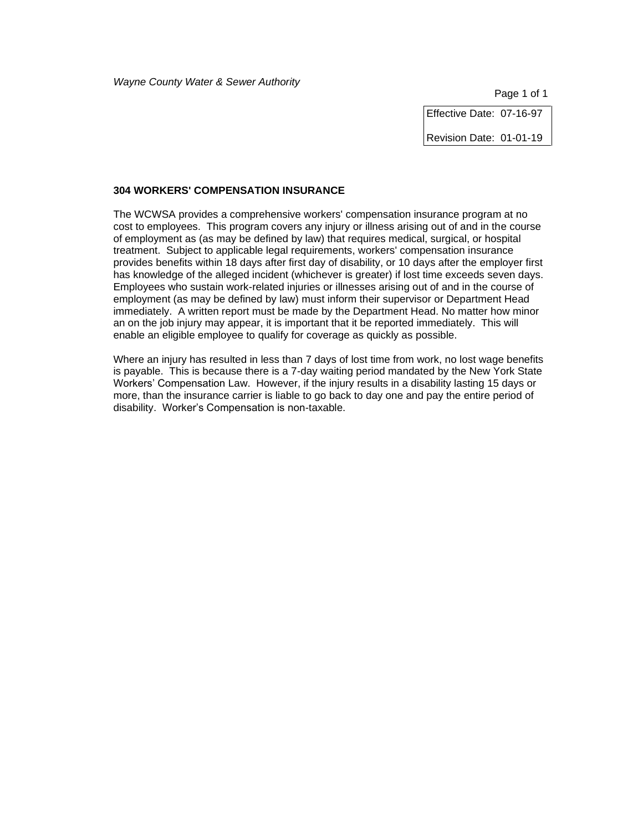Effective Date: 07-16-97

Revision Date: 01-01-19

### **304 WORKERS' COMPENSATION INSURANCE**

The WCWSA provides a comprehensive workers' compensation insurance program at no cost to employees. This program covers any injury or illness arising out of and in the course of employment as (as may be defined by law) that requires medical, surgical, or hospital treatment. Subject to applicable legal requirements, workers' compensation insurance provides benefits within 18 days after first day of disability, or 10 days after the employer first has knowledge of the alleged incident (whichever is greater) if lost time exceeds seven days. Employees who sustain work-related injuries or illnesses arising out of and in the course of employment (as may be defined by law) must inform their supervisor or Department Head immediately. A written report must be made by the Department Head. No matter how minor an on the job injury may appear, it is important that it be reported immediately. This will enable an eligible employee to qualify for coverage as quickly as possible.

Where an injury has resulted in less than 7 days of lost time from work, no lost wage benefits is payable. This is because there is a 7-day waiting period mandated by the New York State Workers' Compensation Law. However, if the injury results in a disability lasting 15 days or more, than the insurance carrier is liable to go back to day one and pay the entire period of disability. Worker's Compensation is non-taxable.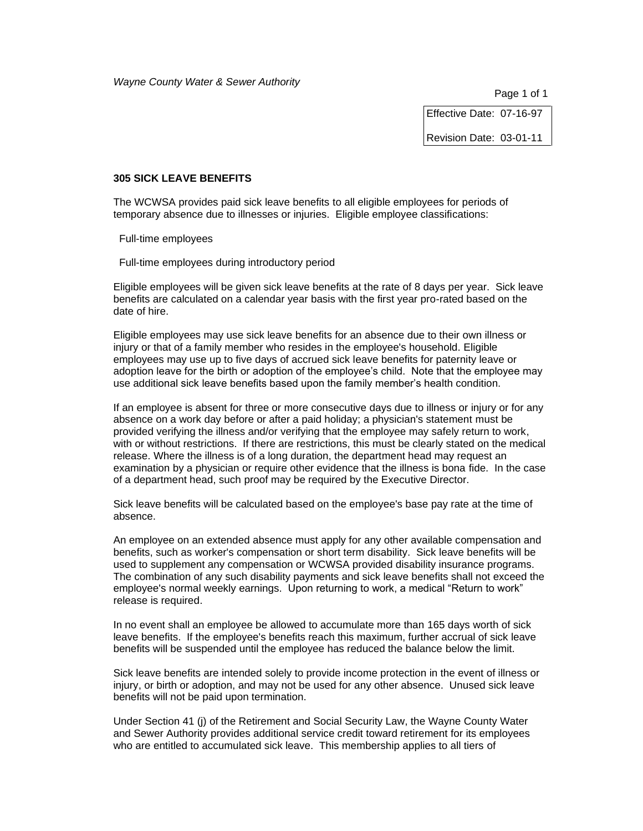Effective Date: 07-16-97

Revision Date: 03-01-11

#### **305 SICK LEAVE BENEFITS**

The WCWSA provides paid sick leave benefits to all eligible employees for periods of temporary absence due to illnesses or injuries. Eligible employee classifications:

Full-time employees

Full-time employees during introductory period

Eligible employees will be given sick leave benefits at the rate of 8 days per year. Sick leave benefits are calculated on a calendar year basis with the first year pro-rated based on the date of hire.

Eligible employees may use sick leave benefits for an absence due to their own illness or injury or that of a family member who resides in the employee's household. Eligible employees may use up to five days of accrued sick leave benefits for paternity leave or adoption leave for the birth or adoption of the employee's child. Note that the employee may use additional sick leave benefits based upon the family member's health condition.

If an employee is absent for three or more consecutive days due to illness or injury or for any absence on a work day before or after a paid holiday; a physician's statement must be provided verifying the illness and/or verifying that the employee may safely return to work, with or without restrictions. If there are restrictions, this must be clearly stated on the medical release. Where the illness is of a long duration, the department head may request an examination by a physician or require other evidence that the illness is bona fide. In the case of a department head, such proof may be required by the Executive Director.

Sick leave benefits will be calculated based on the employee's base pay rate at the time of absence.

An employee on an extended absence must apply for any other available compensation and benefits, such as worker's compensation or short term disability. Sick leave benefits will be used to supplement any compensation or WCWSA provided disability insurance programs. The combination of any such disability payments and sick leave benefits shall not exceed the employee's normal weekly earnings. Upon returning to work, a medical "Return to work" release is required.

In no event shall an employee be allowed to accumulate more than 165 days worth of sick leave benefits. If the employee's benefits reach this maximum, further accrual of sick leave benefits will be suspended until the employee has reduced the balance below the limit.

Sick leave benefits are intended solely to provide income protection in the event of illness or injury, or birth or adoption, and may not be used for any other absence. Unused sick leave benefits will not be paid upon termination.

Under Section 41 (j) of the Retirement and Social Security Law, the Wayne County Water and Sewer Authority provides additional service credit toward retirement for its employees who are entitled to accumulated sick leave. This membership applies to all tiers of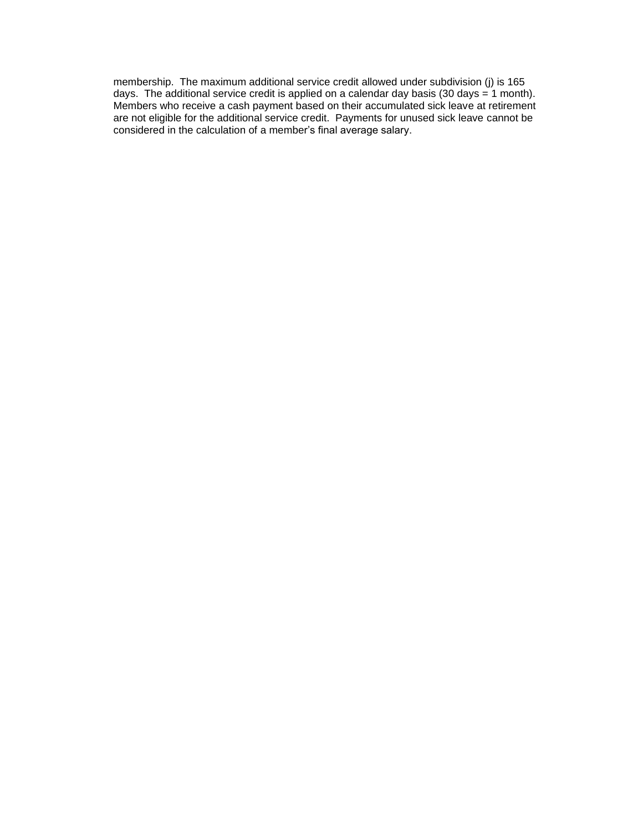membership. The maximum additional service credit allowed under subdivision (j) is 165 days. The additional service credit is applied on a calendar day basis (30 days = 1 month). Members who receive a cash payment based on their accumulated sick leave at retirement are not eligible for the additional service credit. Payments for unused sick leave cannot be considered in the calculation of a member's final average salary.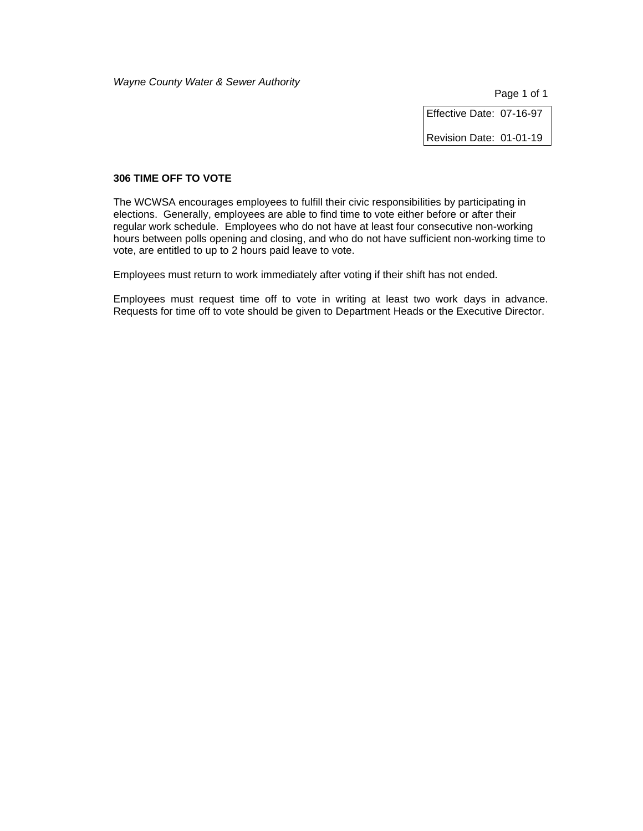Page 1 of 1

Effective Date: 07-16-97

Revision Date: 01-01-19

### **306 TIME OFF TO VOTE**

The WCWSA encourages employees to fulfill their civic responsibilities by participating in elections. Generally, employees are able to find time to vote either before or after their regular work schedule. Employees who do not have at least four consecutive non-working hours between polls opening and closing, and who do not have sufficient non-working time to vote, are entitled to up to 2 hours paid leave to vote.

Employees must return to work immediately after voting if their shift has not ended.

Employees must request time off to vote in writing at least two work days in advance. Requests for time off to vote should be given to Department Heads or the Executive Director.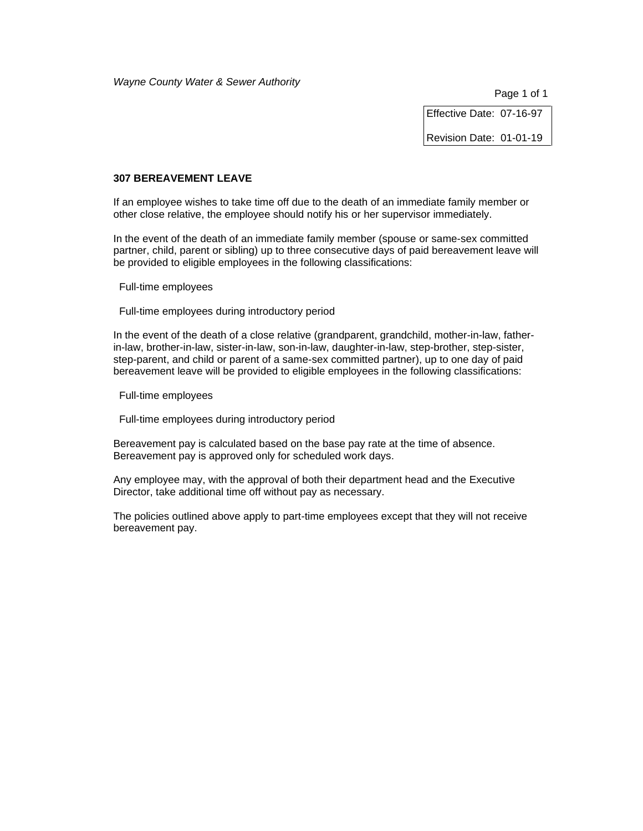Page 1 of 1

Effective Date: 07-16-97

Revision Date: 01-01-19

### **307 BEREAVEMENT LEAVE**

If an employee wishes to take time off due to the death of an immediate family member or other close relative, the employee should notify his or her supervisor immediately.

In the event of the death of an immediate family member (spouse or same-sex committed partner, child, parent or sibling) up to three consecutive days of paid bereavement leave will be provided to eligible employees in the following classifications:

Full-time employees

Full-time employees during introductory period

In the event of the death of a close relative (grandparent, grandchild, mother-in-law, fatherin-law, brother-in-law, sister-in-law, son-in-law, daughter-in-law, step-brother, step-sister, step-parent, and child or parent of a same-sex committed partner), up to one day of paid bereavement leave will be provided to eligible employees in the following classifications:

Full-time employees

Full-time employees during introductory period

Bereavement pay is calculated based on the base pay rate at the time of absence. Bereavement pay is approved only for scheduled work days.

Any employee may, with the approval of both their department head and the Executive Director, take additional time off without pay as necessary.

The policies outlined above apply to part-time employees except that they will not receive bereavement pay.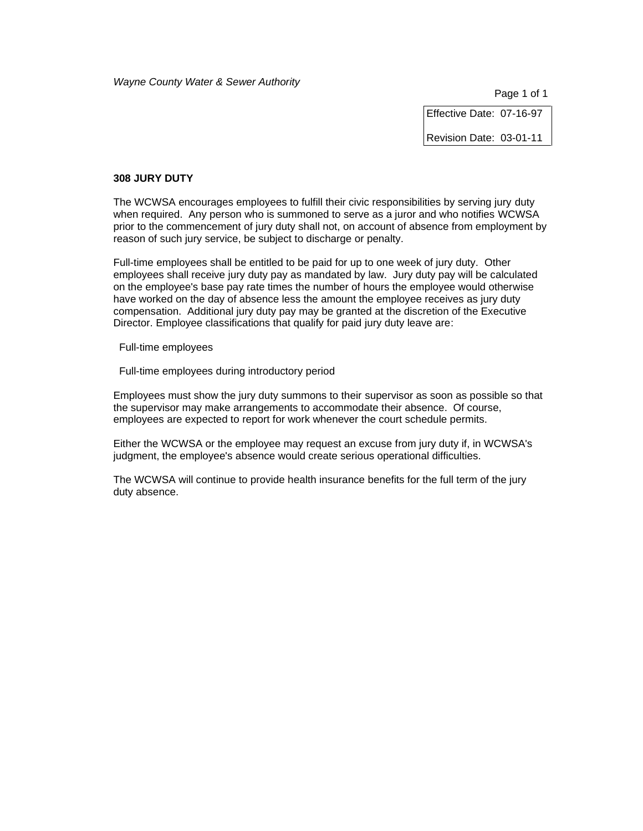Page 1 of 1

Effective Date: 07-16-97

Revision Date: 03-01-11

#### **308 JURY DUTY**

The WCWSA encourages employees to fulfill their civic responsibilities by serving jury duty when required. Any person who is summoned to serve as a juror and who notifies WCWSA prior to the commencement of jury duty shall not, on account of absence from employment by reason of such jury service, be subject to discharge or penalty.

Full-time employees shall be entitled to be paid for up to one week of jury duty. Other employees shall receive jury duty pay as mandated by law. Jury duty pay will be calculated on the employee's base pay rate times the number of hours the employee would otherwise have worked on the day of absence less the amount the employee receives as jury duty compensation. Additional jury duty pay may be granted at the discretion of the Executive Director. Employee classifications that qualify for paid jury duty leave are:

Full-time employees

Full-time employees during introductory period

Employees must show the jury duty summons to their supervisor as soon as possible so that the supervisor may make arrangements to accommodate their absence. Of course, employees are expected to report for work whenever the court schedule permits.

Either the WCWSA or the employee may request an excuse from jury duty if, in WCWSA's judgment, the employee's absence would create serious operational difficulties.

The WCWSA will continue to provide health insurance benefits for the full term of the jury duty absence.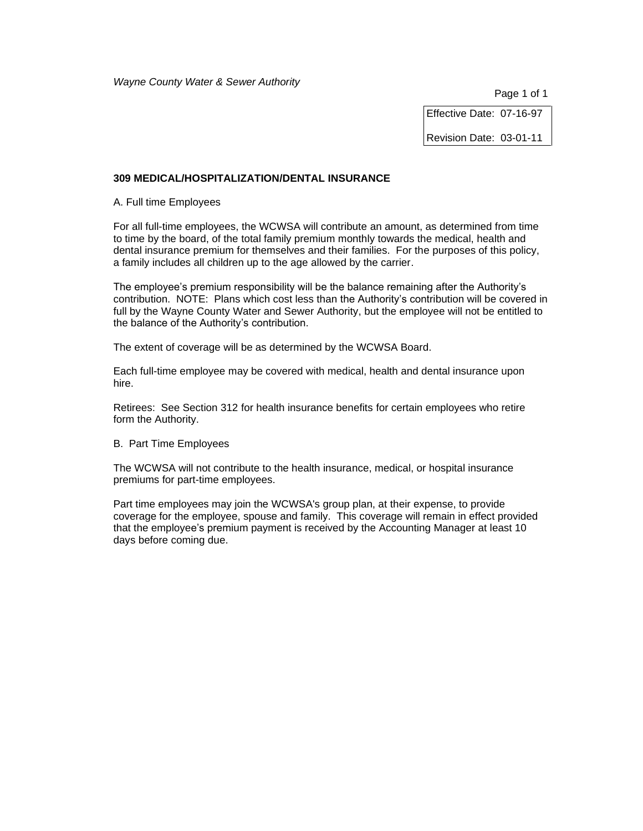Effective Date: 07-16-97

Revision Date: 03-01-11

### **309 MEDICAL/HOSPITALIZATION/DENTAL INSURANCE**

A. Full time Employees

For all full-time employees, the WCWSA will contribute an amount, as determined from time to time by the board, of the total family premium monthly towards the medical, health and dental insurance premium for themselves and their families. For the purposes of this policy, a family includes all children up to the age allowed by the carrier.

The employee's premium responsibility will be the balance remaining after the Authority's contribution. NOTE: Plans which cost less than the Authority's contribution will be covered in full by the Wayne County Water and Sewer Authority, but the employee will not be entitled to the balance of the Authority's contribution.

The extent of coverage will be as determined by the WCWSA Board.

Each full-time employee may be covered with medical, health and dental insurance upon hire.

Retirees: See Section 312 for health insurance benefits for certain employees who retire form the Authority.

### B. Part Time Employees

The WCWSA will not contribute to the health insurance, medical, or hospital insurance premiums for part-time employees.

Part time employees may join the WCWSA's group plan, at their expense, to provide coverage for the employee, spouse and family. This coverage will remain in effect provided that the employee's premium payment is received by the Accounting Manager at least 10 days before coming due.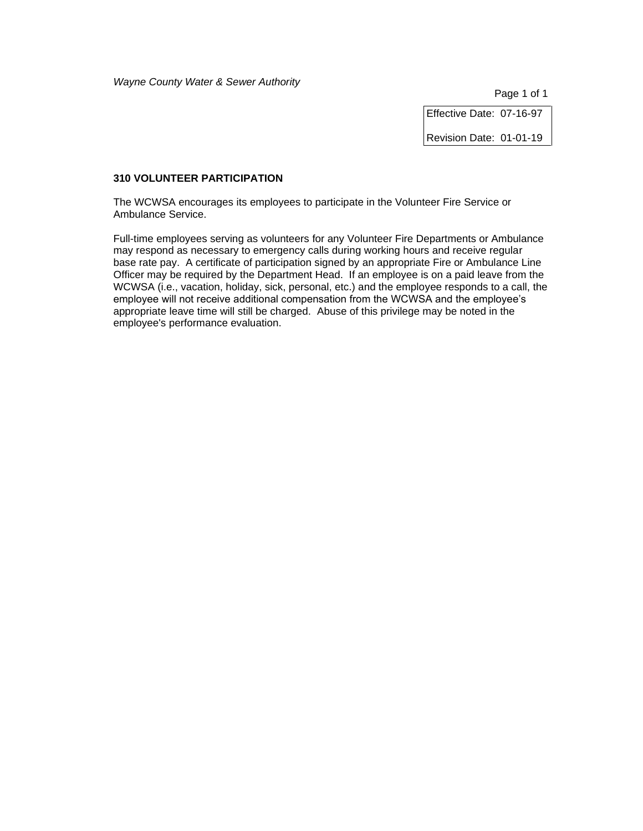Effective Date: 07-16-97

Revision Date: 01-01-19

### **310 VOLUNTEER PARTICIPATION**

The WCWSA encourages its employees to participate in the Volunteer Fire Service or Ambulance Service.

Full-time employees serving as volunteers for any Volunteer Fire Departments or Ambulance may respond as necessary to emergency calls during working hours and receive regular base rate pay. A certificate of participation signed by an appropriate Fire or Ambulance Line Officer may be required by the Department Head. If an employee is on a paid leave from the WCWSA (i.e., vacation, holiday, sick, personal, etc.) and the employee responds to a call, the employee will not receive additional compensation from the WCWSA and the employee's appropriate leave time will still be charged. Abuse of this privilege may be noted in the employee's performance evaluation.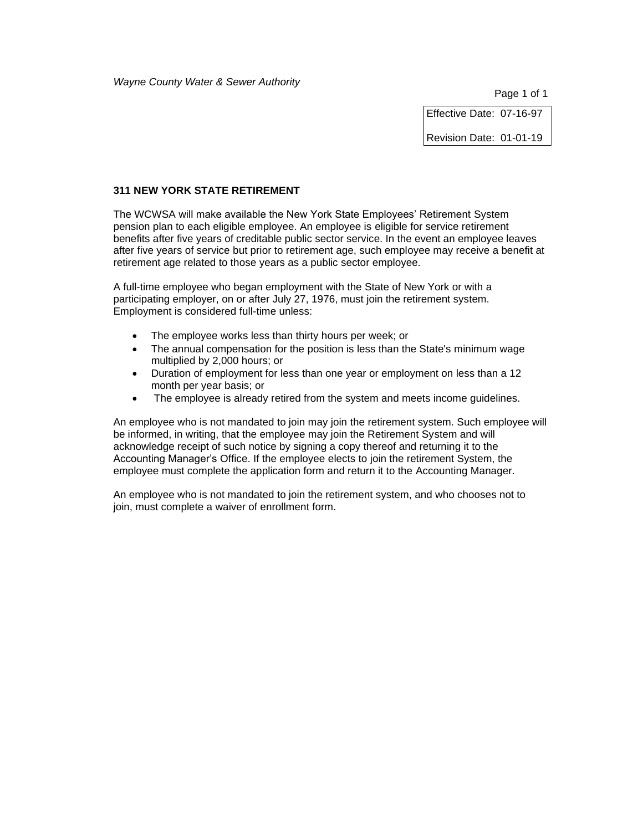Effective Date: 07-16-97

Revision Date: 01-01-19

### **311 NEW YORK STATE RETIREMENT**

The WCWSA will make available the New York State Employees' Retirement System pension plan to each eligible employee. An employee is eligible for service retirement benefits after five years of creditable public sector service. In the event an employee leaves after five years of service but prior to retirement age, such employee may receive a benefit at retirement age related to those years as a public sector employee.

A full-time employee who began employment with the State of New York or with a participating employer, on or after July 27, 1976, must join the retirement system. Employment is considered full-time unless:

- The employee works less than thirty hours per week; or
- The annual compensation for the position is less than the State's minimum wage multiplied by 2,000 hours; or
- Duration of employment for less than one year or employment on less than a 12 month per year basis; or
- The employee is already retired from the system and meets income guidelines.

An employee who is not mandated to join may join the retirement system. Such employee will be informed, in writing, that the employee may join the Retirement System and will acknowledge receipt of such notice by signing a copy thereof and returning it to the Accounting Manager's Office. If the employee elects to join the retirement System, the employee must complete the application form and return it to the Accounting Manager.

An employee who is not mandated to join the retirement system, and who chooses not to join, must complete a waiver of enrollment form.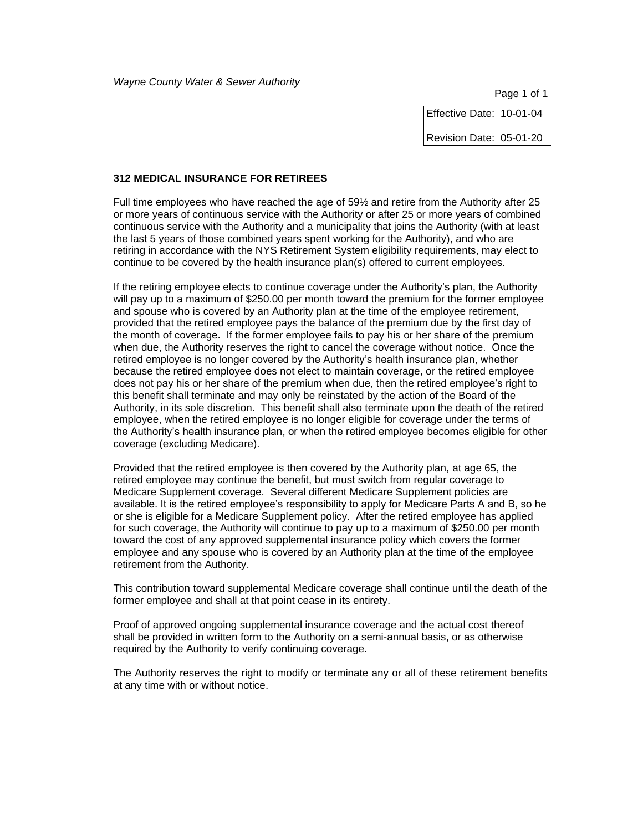Effective Date: 10-01-04

Revision Date: 05-01-20

#### **312 MEDICAL INSURANCE FOR RETIREES**

Full time employees who have reached the age of 59½ and retire from the Authority after 25 or more years of continuous service with the Authority or after 25 or more years of combined continuous service with the Authority and a municipality that joins the Authority (with at least the last 5 years of those combined years spent working for the Authority), and who are retiring in accordance with the NYS Retirement System eligibility requirements, may elect to continue to be covered by the health insurance plan(s) offered to current employees.

If the retiring employee elects to continue coverage under the Authority's plan, the Authority will pay up to a maximum of \$250.00 per month toward the premium for the former employee and spouse who is covered by an Authority plan at the time of the employee retirement, provided that the retired employee pays the balance of the premium due by the first day of the month of coverage. If the former employee fails to pay his or her share of the premium when due, the Authority reserves the right to cancel the coverage without notice. Once the retired employee is no longer covered by the Authority's health insurance plan, whether because the retired employee does not elect to maintain coverage, or the retired employee does not pay his or her share of the premium when due, then the retired employee's right to this benefit shall terminate and may only be reinstated by the action of the Board of the Authority, in its sole discretion. This benefit shall also terminate upon the death of the retired employee, when the retired employee is no longer eligible for coverage under the terms of the Authority's health insurance plan, or when the retired employee becomes eligible for other coverage (excluding Medicare).

Provided that the retired employee is then covered by the Authority plan, at age 65, the retired employee may continue the benefit, but must switch from regular coverage to Medicare Supplement coverage. Several different Medicare Supplement policies are available. It is the retired employee's responsibility to apply for Medicare Parts A and B, so he or she is eligible for a Medicare Supplement policy. After the retired employee has applied for such coverage, the Authority will continue to pay up to a maximum of \$250.00 per month toward the cost of any approved supplemental insurance policy which covers the former employee and any spouse who is covered by an Authority plan at the time of the employee retirement from the Authority.

This contribution toward supplemental Medicare coverage shall continue until the death of the former employee and shall at that point cease in its entirety.

Proof of approved ongoing supplemental insurance coverage and the actual cost thereof shall be provided in written form to the Authority on a semi-annual basis, or as otherwise required by the Authority to verify continuing coverage.

The Authority reserves the right to modify or terminate any or all of these retirement benefits at any time with or without notice.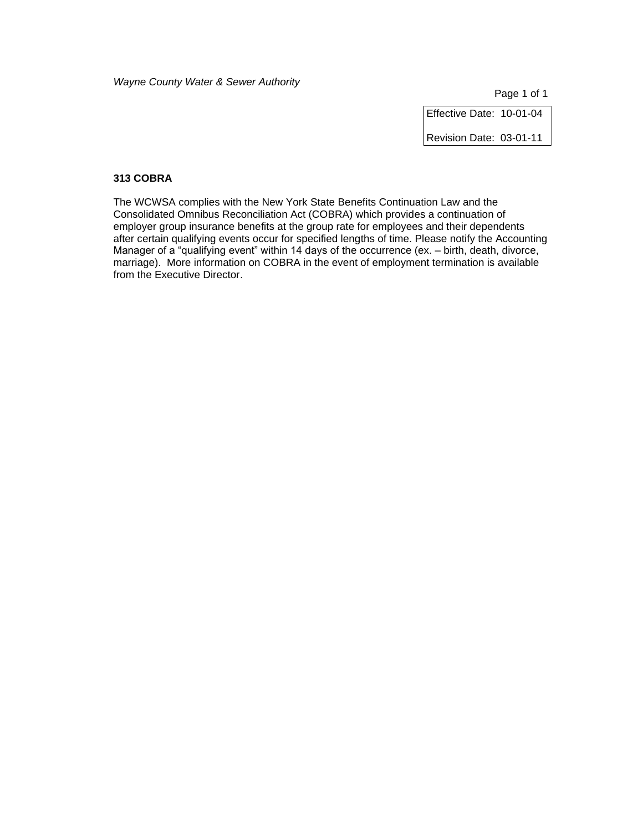Effective Date: 10-01-04

Revision Date: 03-01-11

### **313 COBRA**

The WCWSA complies with the New York State Benefits Continuation Law and the Consolidated Omnibus Reconciliation Act (COBRA) which provides a continuation of employer group insurance benefits at the group rate for employees and their dependents after certain qualifying events occur for specified lengths of time. Please notify the Accounting Manager of a "qualifying event" within 14 days of the occurrence (ex. – birth, death, divorce, marriage). More information on COBRA in the event of employment termination is available from the Executive Director.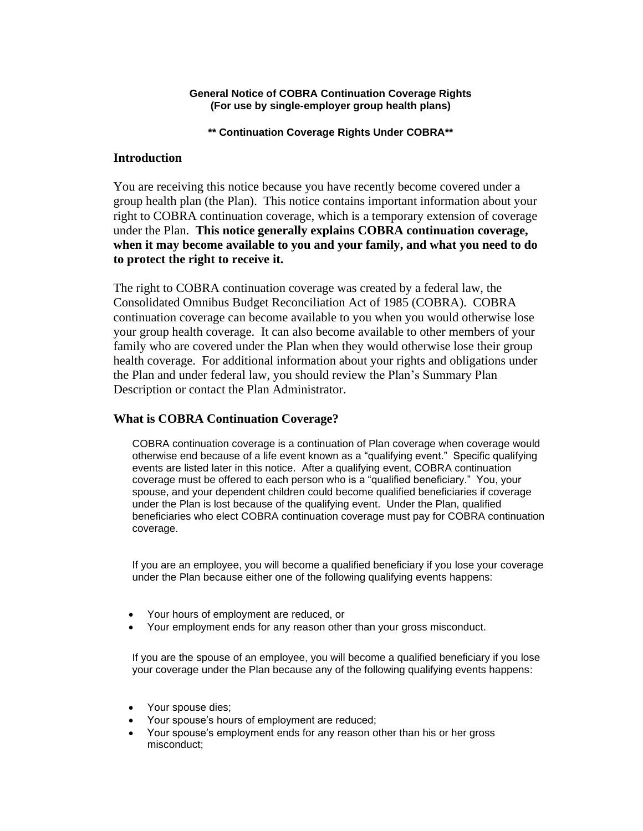### **General Notice of COBRA Continuation Coverage Rights (For use by single-employer group health plans)**

**\*\* Continuation Coverage Rights Under COBRA\*\***

## **Introduction**

You are receiving this notice because you have recently become covered under a group health plan (the Plan). This notice contains important information about your right to COBRA continuation coverage, which is a temporary extension of coverage under the Plan. **This notice generally explains COBRA continuation coverage, when it may become available to you and your family, and what you need to do to protect the right to receive it.**

The right to COBRA continuation coverage was created by a federal law, the Consolidated Omnibus Budget Reconciliation Act of 1985 (COBRA). COBRA continuation coverage can become available to you when you would otherwise lose your group health coverage. It can also become available to other members of your family who are covered under the Plan when they would otherwise lose their group health coverage. For additional information about your rights and obligations under the Plan and under federal law, you should review the Plan's Summary Plan Description or contact the Plan Administrator.

## **What is COBRA Continuation Coverage?**

COBRA continuation coverage is a continuation of Plan coverage when coverage would otherwise end because of a life event known as a "qualifying event." Specific qualifying events are listed later in this notice. After a qualifying event, COBRA continuation coverage must be offered to each person who is a "qualified beneficiary." You, your spouse, and your dependent children could become qualified beneficiaries if coverage under the Plan is lost because of the qualifying event. Under the Plan, qualified beneficiaries who elect COBRA continuation coverage must pay for COBRA continuation coverage.

If you are an employee, you will become a qualified beneficiary if you lose your coverage under the Plan because either one of the following qualifying events happens:

- Your hours of employment are reduced, or
- Your employment ends for any reason other than your gross misconduct.

If you are the spouse of an employee, you will become a qualified beneficiary if you lose your coverage under the Plan because any of the following qualifying events happens:

- Your spouse dies;
- Your spouse's hours of employment are reduced;
- Your spouse's employment ends for any reason other than his or her gross misconduct;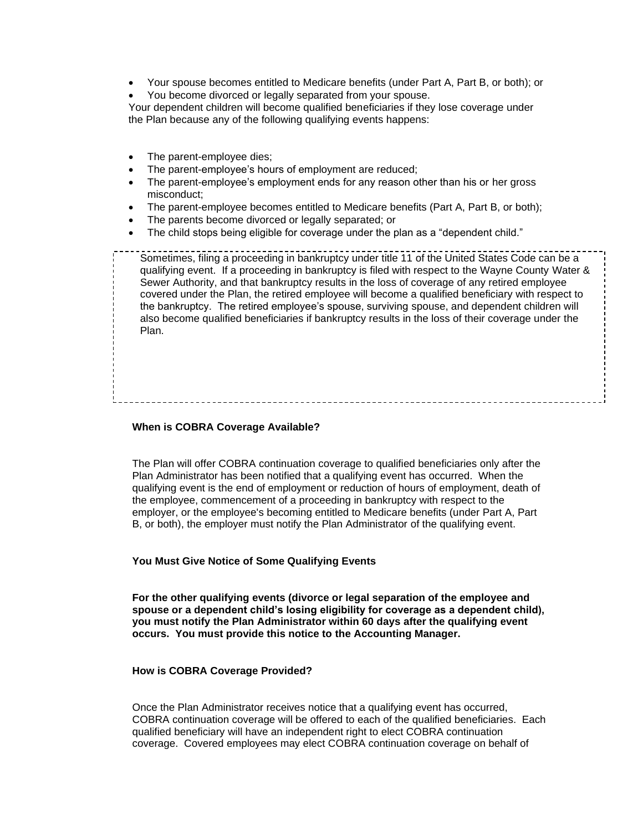- Your spouse becomes entitled to Medicare benefits (under Part A, Part B, or both); or
- You become divorced or legally separated from your spouse.

Your dependent children will become qualified beneficiaries if they lose coverage under the Plan because any of the following qualifying events happens:

- The parent-employee dies;
- The parent-employee's hours of employment are reduced;
- The parent-employee's employment ends for any reason other than his or her gross misconduct;
- The parent-employee becomes entitled to Medicare benefits (Part A, Part B, or both);
- The parents become divorced or legally separated; or
- The child stops being eligible for coverage under the plan as a "dependent child."

Sometimes, filing a proceeding in bankruptcy under title 11 of the United States Code can be a qualifying event. If a proceeding in bankruptcy is filed with respect to the Wayne County Water & Sewer Authority, and that bankruptcy results in the loss of coverage of any retired employee covered under the Plan, the retired employee will become a qualified beneficiary with respect to the bankruptcy. The retired employee's spouse, surviving spouse, and dependent children will also become qualified beneficiaries if bankruptcy results in the loss of their coverage under the Plan.

### **When is COBRA Coverage Available?**

The Plan will offer COBRA continuation coverage to qualified beneficiaries only after the Plan Administrator has been notified that a qualifying event has occurred. When the qualifying event is the end of employment or reduction of hours of employment, death of the employee, commencement of a proceeding in bankruptcy with respect to the employer, or the employee's becoming entitled to Medicare benefits (under Part A, Part B, or both), the employer must notify the Plan Administrator of the qualifying event.

#### **You Must Give Notice of Some Qualifying Events**

**For the other qualifying events (divorce or legal separation of the employee and spouse or a dependent child's losing eligibility for coverage as a dependent child), you must notify the Plan Administrator within 60 days after the qualifying event occurs. You must provide this notice to the Accounting Manager.**

#### **How is COBRA Coverage Provided?**

Once the Plan Administrator receives notice that a qualifying event has occurred, COBRA continuation coverage will be offered to each of the qualified beneficiaries. Each qualified beneficiary will have an independent right to elect COBRA continuation coverage. Covered employees may elect COBRA continuation coverage on behalf of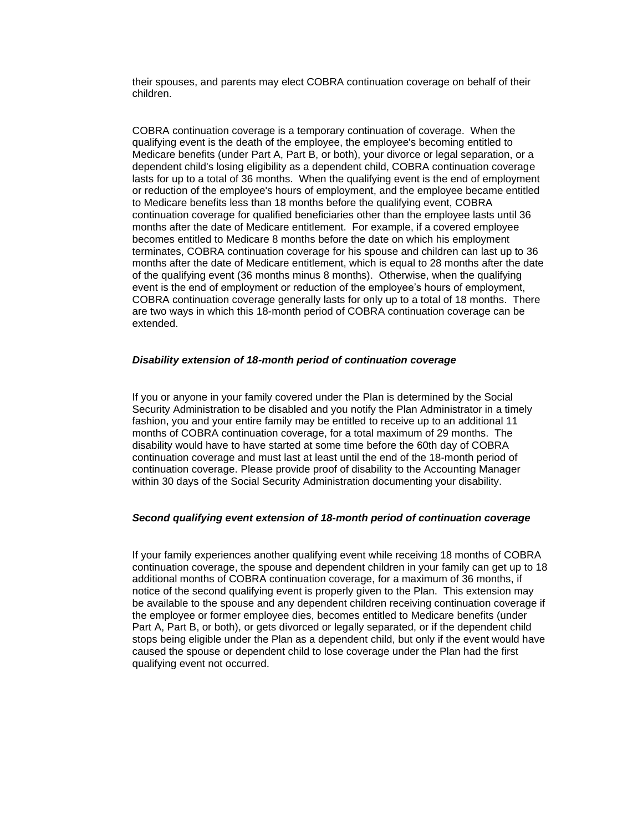their spouses, and parents may elect COBRA continuation coverage on behalf of their children.

COBRA continuation coverage is a temporary continuation of coverage. When the qualifying event is the death of the employee, the employee's becoming entitled to Medicare benefits (under Part A, Part B, or both), your divorce or legal separation, or a dependent child's losing eligibility as a dependent child, COBRA continuation coverage lasts for up to a total of 36 months. When the qualifying event is the end of employment or reduction of the employee's hours of employment, and the employee became entitled to Medicare benefits less than 18 months before the qualifying event, COBRA continuation coverage for qualified beneficiaries other than the employee lasts until 36 months after the date of Medicare entitlement. For example, if a covered employee becomes entitled to Medicare 8 months before the date on which his employment terminates, COBRA continuation coverage for his spouse and children can last up to 36 months after the date of Medicare entitlement, which is equal to 28 months after the date of the qualifying event (36 months minus 8 months). Otherwise, when the qualifying event is the end of employment or reduction of the employee's hours of employment, COBRA continuation coverage generally lasts for only up to a total of 18 months. There are two ways in which this 18-month period of COBRA continuation coverage can be extended.

### *Disability extension of 18-month period of continuation coverage*

If you or anyone in your family covered under the Plan is determined by the Social Security Administration to be disabled and you notify the Plan Administrator in a timely fashion, you and your entire family may be entitled to receive up to an additional 11 months of COBRA continuation coverage, for a total maximum of 29 months. The disability would have to have started at some time before the 60th day of COBRA continuation coverage and must last at least until the end of the 18-month period of continuation coverage. Please provide proof of disability to the Accounting Manager within 30 days of the Social Security Administration documenting your disability.

#### *Second qualifying event extension of 18-month period of continuation coverage*

If your family experiences another qualifying event while receiving 18 months of COBRA continuation coverage, the spouse and dependent children in your family can get up to 18 additional months of COBRA continuation coverage, for a maximum of 36 months, if notice of the second qualifying event is properly given to the Plan. This extension may be available to the spouse and any dependent children receiving continuation coverage if the employee or former employee dies, becomes entitled to Medicare benefits (under Part A, Part B, or both), or gets divorced or legally separated, or if the dependent child stops being eligible under the Plan as a dependent child, but only if the event would have caused the spouse or dependent child to lose coverage under the Plan had the first qualifying event not occurred.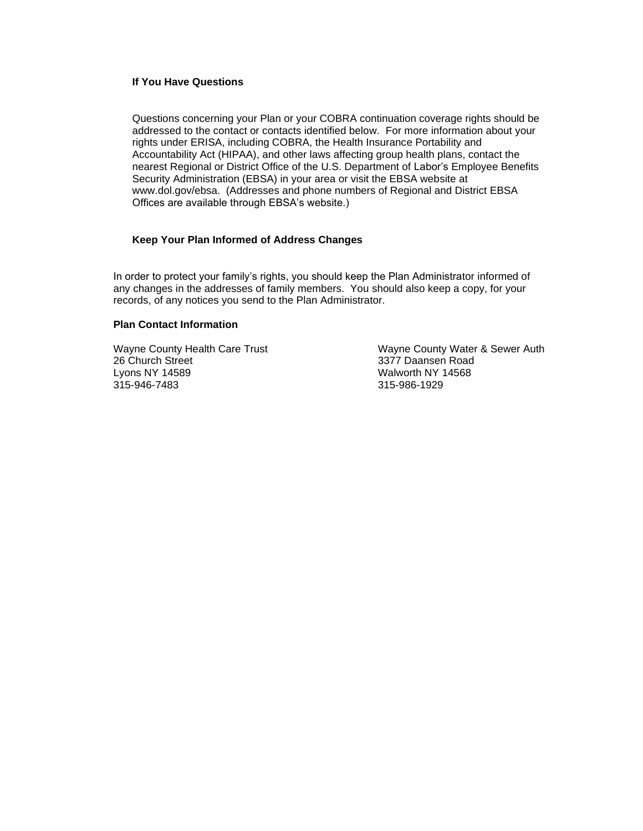## **If You Have Questions**

Questions concerning your Plan or your COBRA continuation coverage rights should be addressed to the contact or contacts identified below. For more information about your rights under ERISA, including COBRA, the Health Insurance Portability and Accountability Act (HIPAA), and other laws affecting group health plans, contact the nearest Regional or District Office of the U.S. Department of Labor's Employee Benefits Security Administration (EBSA) in your area or visit the EBSA website at www.dol.gov/ebsa. (Addresses and phone numbers of Regional and District EBSA Offices are available through EBSA's website.)

### **Keep Your Plan Informed of Address Changes**

In order to protect your family's rights, you should keep the Plan Administrator informed of any changes in the addresses of family members.You should also keep a copy, for your records, of any notices you send to the Plan Administrator.

### **Plan Contact Information**

26 Church Street 20 26 Church Street 23377 Daansen Road<br>
2377 Daansen Road<br>
22 Walworth NY 14568 315-946-7483 315-986-1929

Wayne County Health Care Trust Wayne County Water & Sewer Auth Walworth NY 14568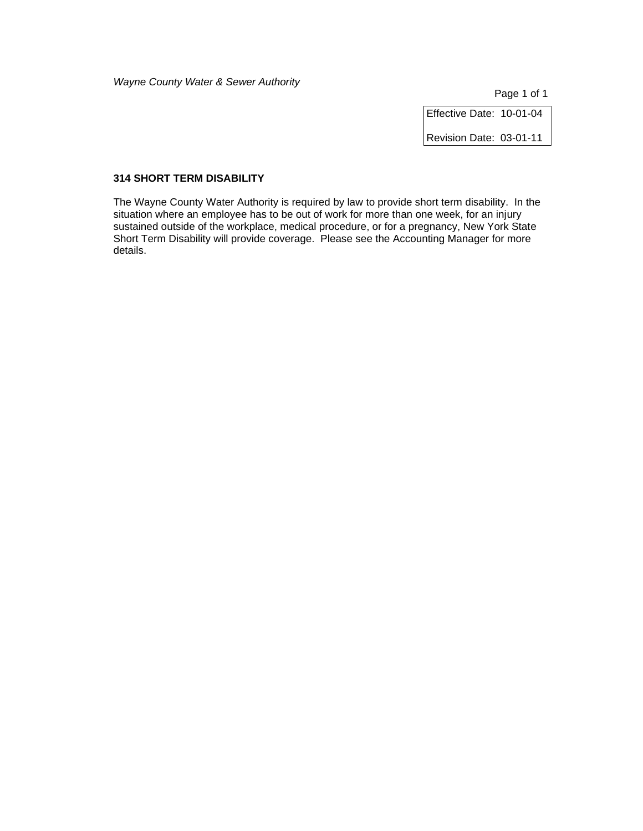Page 1 of 1

Effective Date: 10-01-04

Revision Date: 03-01-11

### **314 SHORT TERM DISABILITY**

The Wayne County Water Authority is required by law to provide short term disability. In the situation where an employee has to be out of work for more than one week, for an injury sustained outside of the workplace, medical procedure, or for a pregnancy, New York State Short Term Disability will provide coverage. Please see the Accounting Manager for more details.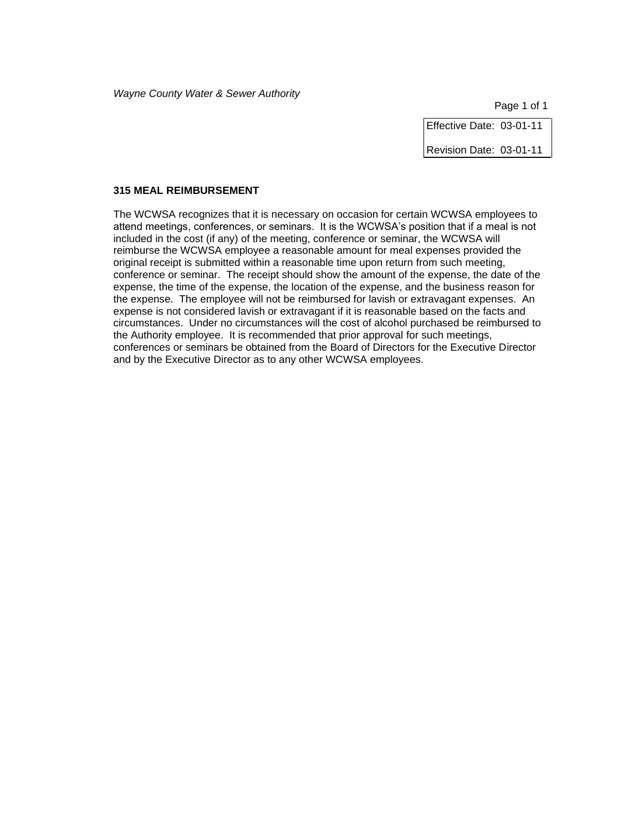Effective Date: 03-01-11

Revision Date: 03-01-11

### **315 MEAL REIMBURSEMENT**

The WCWSA recognizes that it is necessary on occasion for certain WCWSA employees to attend meetings, conferences, or seminars. It is the WCWSA's position that if a meal is not included in the cost (if any) of the meeting, conference or seminar, the WCWSA will reimburse the WCWSA employee a reasonable amount for meal expenses provided the original receipt is submitted within a reasonable time upon return from such meeting, conference or seminar. The receipt should show the amount of the expense, the date of the expense, the time of the expense, the location of the expense, and the business reason for the expense. The employee will not be reimbursed for lavish or extravagant expenses. An expense is not considered lavish or extravagant if it is reasonable based on the facts and circumstances. Under no circumstances will the cost of alcohol purchased be reimbursed to the Authority employee. It is recommended that prior approval for such meetings, conferences or seminars be obtained from the Board of Directors for the Executive Director and by the Executive Director as to any other WCWSA employees.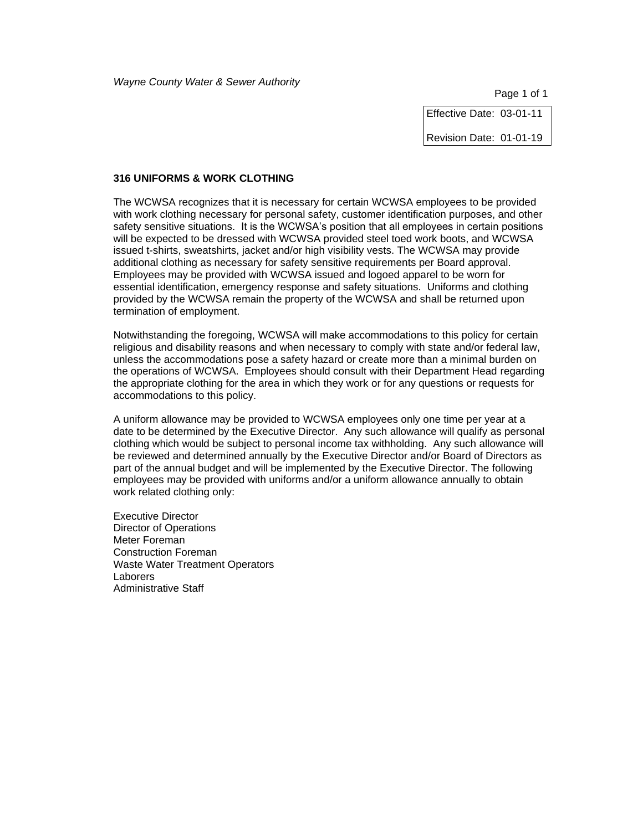Effective Date: 03-01-11

Revision Date: 01-01-19

#### **316 UNIFORMS & WORK CLOTHING**

The WCWSA recognizes that it is necessary for certain WCWSA employees to be provided with work clothing necessary for personal safety, customer identification purposes, and other safety sensitive situations. It is the WCWSA's position that all employees in certain positions will be expected to be dressed with WCWSA provided steel toed work boots, and WCWSA issued t-shirts, sweatshirts, jacket and/or high visibility vests. The WCWSA may provide additional clothing as necessary for safety sensitive requirements per Board approval. Employees may be provided with WCWSA issued and logoed apparel to be worn for essential identification, emergency response and safety situations. Uniforms and clothing provided by the WCWSA remain the property of the WCWSA and shall be returned upon termination of employment.

Notwithstanding the foregoing, WCWSA will make accommodations to this policy for certain religious and disability reasons and when necessary to comply with state and/or federal law, unless the accommodations pose a safety hazard or create more than a minimal burden on the operations of WCWSA. Employees should consult with their Department Head regarding the appropriate clothing for the area in which they work or for any questions or requests for accommodations to this policy.

A uniform allowance may be provided to WCWSA employees only one time per year at a date to be determined by the Executive Director. Any such allowance will qualify as personal clothing which would be subject to personal income tax withholding. Any such allowance will be reviewed and determined annually by the Executive Director and/or Board of Directors as part of the annual budget and will be implemented by the Executive Director. The following employees may be provided with uniforms and/or a uniform allowance annually to obtain work related clothing only:

Executive Director Director of Operations Meter Foreman Construction Foreman Waste Water Treatment Operators **Laborers** Administrative Staff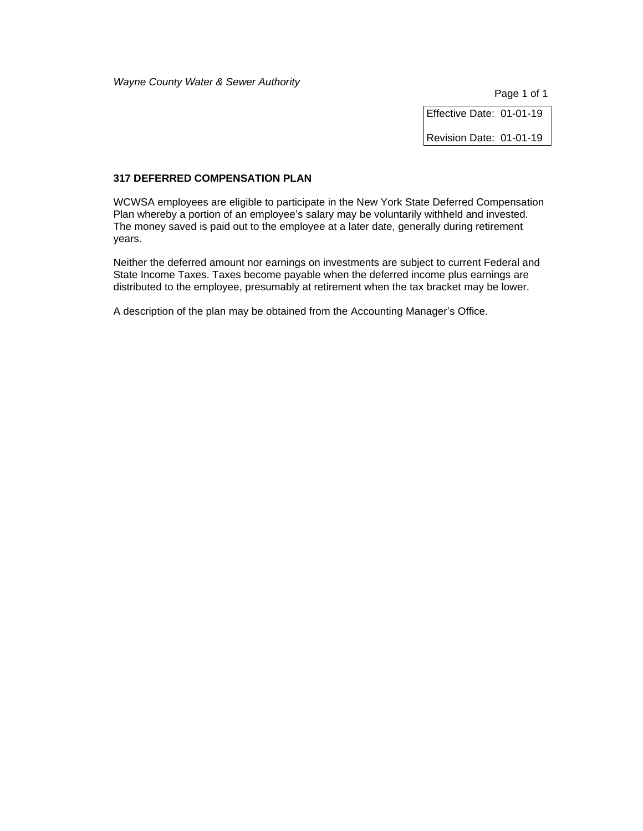Page 1 of 1

Effective Date: 01-01-19

Revision Date: 01-01-19

# **317 DEFERRED COMPENSATION PLAN**

WCWSA employees are eligible to participate in the New York State Deferred Compensation Plan whereby a portion of an employee's salary may be voluntarily withheld and invested. The money saved is paid out to the employee at a later date, generally during retirement years.

Neither the deferred amount nor earnings on investments are subject to current Federal and State Income Taxes. Taxes become payable when the deferred income plus earnings are distributed to the employee, presumably at retirement when the tax bracket may be lower.

A description of the plan may be obtained from the Accounting Manager's Office.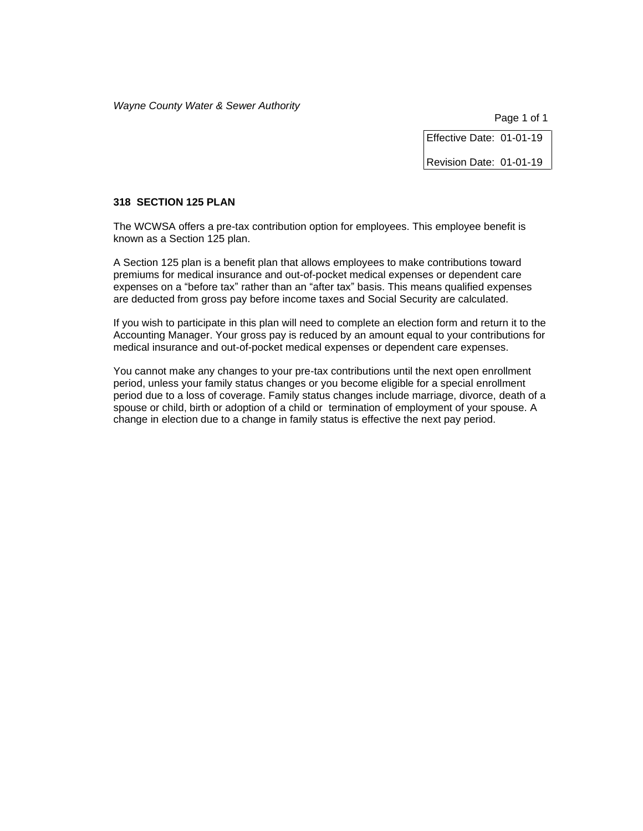Page 1 of 1

Effective Date: 01-01-19

Revision Date: 01-01-19

### **318 SECTION 125 PLAN**

The WCWSA offers a pre-tax contribution option for employees. This employee benefit is known as a Section 125 plan.

A Section 125 plan is a benefit plan that allows employees to make contributions toward premiums for medical insurance and out-of-pocket medical expenses or dependent care expenses on a "before tax" rather than an "after tax" basis. This means qualified expenses are deducted from gross pay before income taxes and Social Security are calculated.

If you wish to participate in this plan will need to complete an election form and return it to the Accounting Manager. Your gross pay is reduced by an amount equal to your contributions for medical insurance and out-of-pocket medical expenses or dependent care expenses.

You cannot make any changes to your pre-tax contributions until the next open enrollment period, unless your family status changes or you become eligible for a special enrollment period due to a loss of coverage. Family status changes include marriage, divorce, death of a spouse or child, birth or adoption of a child or termination of employment of your spouse. A change in election due to a change in family status is effective the next pay period.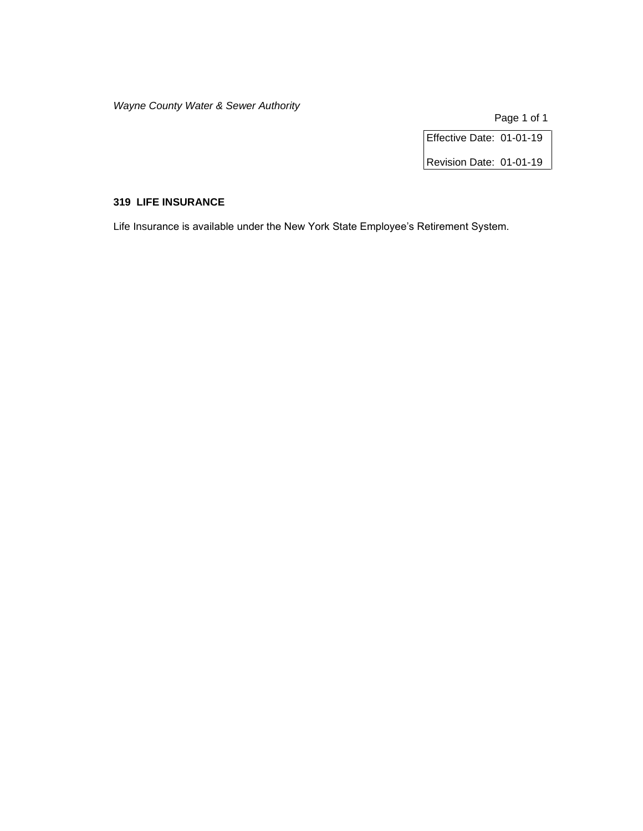Page 1 of 1

Effective Date: 01-01-19

Revision Date: 01-01-19

# **319 LIFE INSURANCE**

Life Insurance is available under the New York State Employee's Retirement System.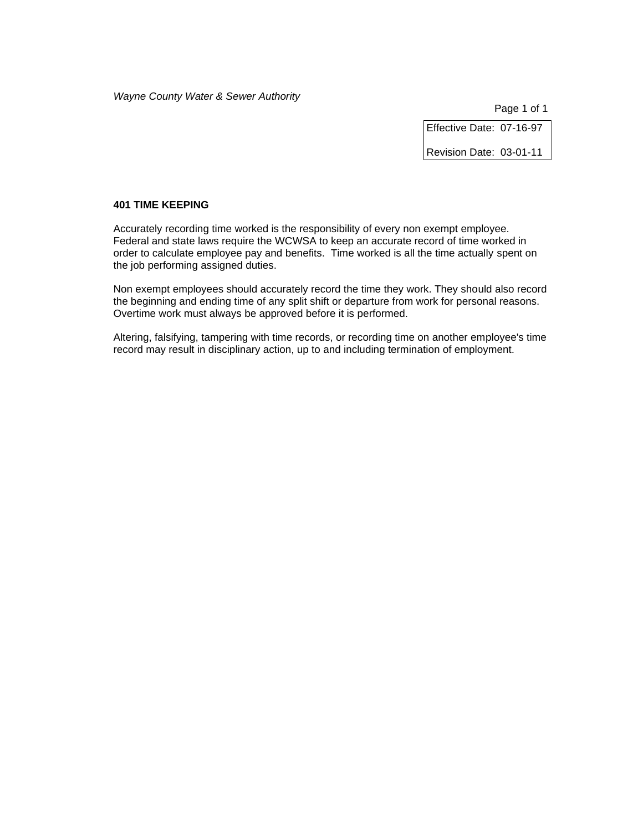Page 1 of 1

Effective Date: 07-16-97

Revision Date: 03-01-11

## **401 TIME KEEPING**

Accurately recording time worked is the responsibility of every non exempt employee. Federal and state laws require the WCWSA to keep an accurate record of time worked in order to calculate employee pay and benefits. Time worked is all the time actually spent on the job performing assigned duties.

Non exempt employees should accurately record the time they work. They should also record the beginning and ending time of any split shift or departure from work for personal reasons. Overtime work must always be approved before it is performed.

Altering, falsifying, tampering with time records, or recording time on another employee's time record may result in disciplinary action, up to and including termination of employment.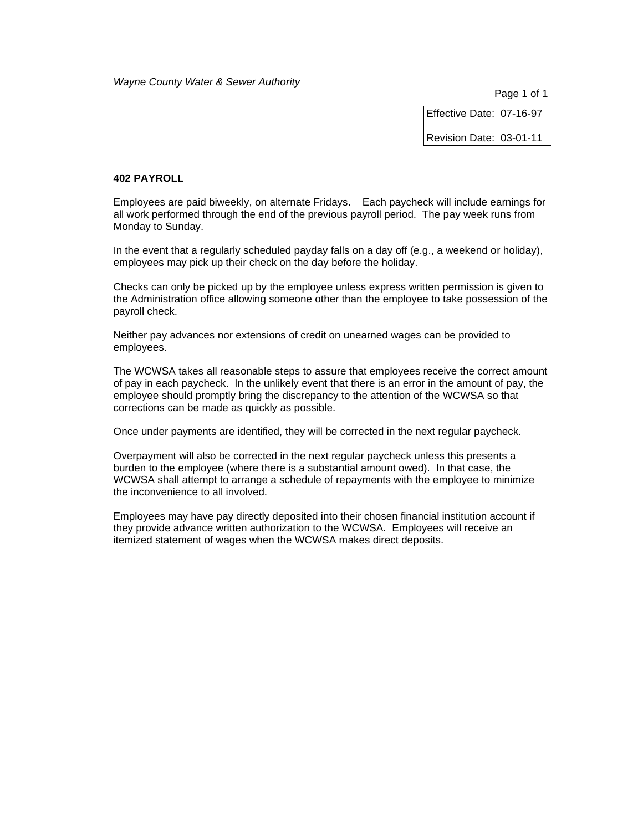Page 1 of 1

Effective Date: 07-16-97

Revision Date: 03-01-11

### **402 PAYROLL**

Employees are paid biweekly, on alternate Fridays. Each paycheck will include earnings for all work performed through the end of the previous payroll period. The pay week runs from Monday to Sunday.

In the event that a regularly scheduled payday falls on a day off (e.g., a weekend or holiday), employees may pick up their check on the day before the holiday.

Checks can only be picked up by the employee unless express written permission is given to the Administration office allowing someone other than the employee to take possession of the payroll check.

Neither pay advances nor extensions of credit on unearned wages can be provided to employees.

The WCWSA takes all reasonable steps to assure that employees receive the correct amount of pay in each paycheck. In the unlikely event that there is an error in the amount of pay, the employee should promptly bring the discrepancy to the attention of the WCWSA so that corrections can be made as quickly as possible.

Once under payments are identified, they will be corrected in the next regular paycheck.

Overpayment will also be corrected in the next regular paycheck unless this presents a burden to the employee (where there is a substantial amount owed). In that case, the WCWSA shall attempt to arrange a schedule of repayments with the employee to minimize the inconvenience to all involved.

Employees may have pay directly deposited into their chosen financial institution account if they provide advance written authorization to the WCWSA. Employees will receive an itemized statement of wages when the WCWSA makes direct deposits.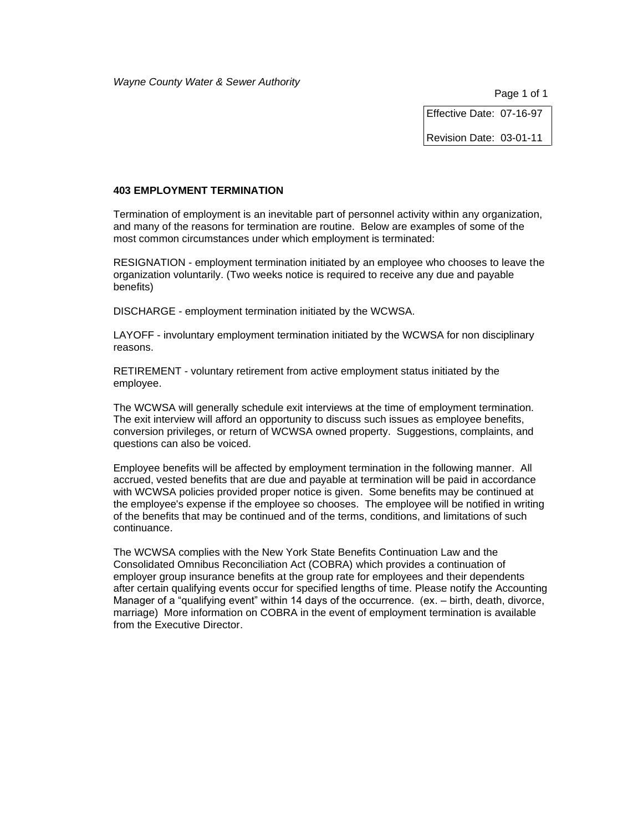Page 1 of 1

Effective Date: 07-16-97

Revision Date: 03-01-11

# **403 EMPLOYMENT TERMINATION**

Termination of employment is an inevitable part of personnel activity within any organization, and many of the reasons for termination are routine. Below are examples of some of the most common circumstances under which employment is terminated:

RESIGNATION - employment termination initiated by an employee who chooses to leave the organization voluntarily. (Two weeks notice is required to receive any due and payable benefits)

DISCHARGE - employment termination initiated by the WCWSA.

LAYOFF - involuntary employment termination initiated by the WCWSA for non disciplinary reasons.

RETIREMENT - voluntary retirement from active employment status initiated by the employee.

The WCWSA will generally schedule exit interviews at the time of employment termination. The exit interview will afford an opportunity to discuss such issues as employee benefits, conversion privileges, or return of WCWSA owned property. Suggestions, complaints, and questions can also be voiced.

Employee benefits will be affected by employment termination in the following manner. All accrued, vested benefits that are due and payable at termination will be paid in accordance with WCWSA policies provided proper notice is given. Some benefits may be continued at the employee's expense if the employee so chooses. The employee will be notified in writing of the benefits that may be continued and of the terms, conditions, and limitations of such continuance.

The WCWSA complies with the New York State Benefits Continuation Law and the Consolidated Omnibus Reconciliation Act (COBRA) which provides a continuation of employer group insurance benefits at the group rate for employees and their dependents after certain qualifying events occur for specified lengths of time. Please notify the Accounting Manager of a "qualifying event" within 14 days of the occurrence. (ex. – birth, death, divorce, marriage) More information on COBRA in the event of employment termination is available from the Executive Director.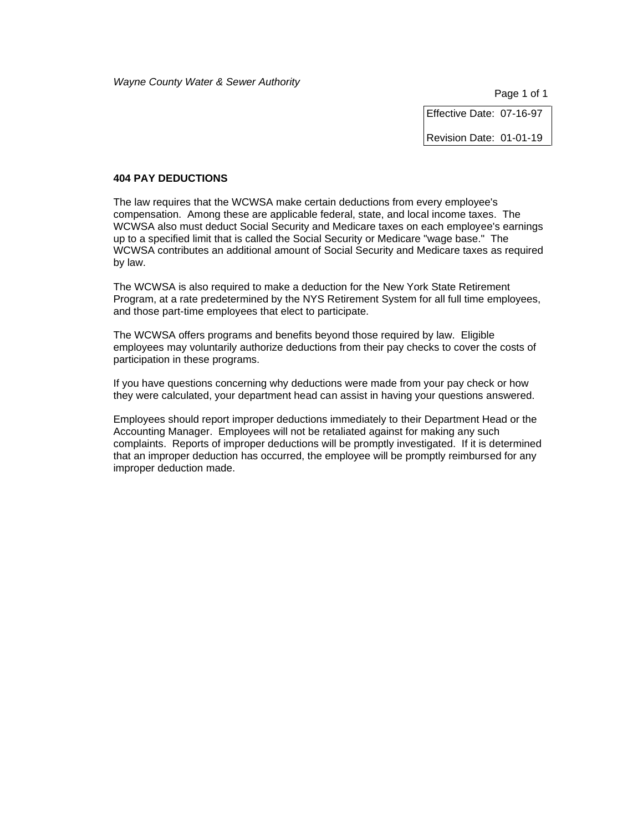Effective Date: 07-16-97

Revision Date: 01-01-19

#### **404 PAY DEDUCTIONS**

The law requires that the WCWSA make certain deductions from every employee's compensation. Among these are applicable federal, state, and local income taxes. The WCWSA also must deduct Social Security and Medicare taxes on each employee's earnings up to a specified limit that is called the Social Security or Medicare "wage base." The WCWSA contributes an additional amount of Social Security and Medicare taxes as required by law.

The WCWSA is also required to make a deduction for the New York State Retirement Program, at a rate predetermined by the NYS Retirement System for all full time employees, and those part-time employees that elect to participate.

The WCWSA offers programs and benefits beyond those required by law. Eligible employees may voluntarily authorize deductions from their pay checks to cover the costs of participation in these programs.

If you have questions concerning why deductions were made from your pay check or how they were calculated, your department head can assist in having your questions answered.

Employees should report improper deductions immediately to their Department Head or the Accounting Manager. Employees will not be retaliated against for making any such complaints. Reports of improper deductions will be promptly investigated. If it is determined that an improper deduction has occurred, the employee will be promptly reimbursed for any improper deduction made.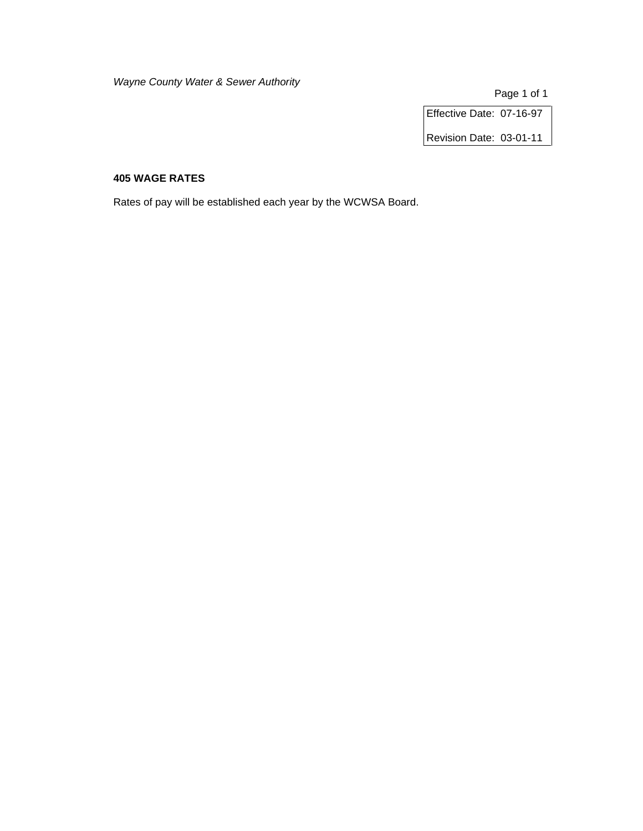Page 1 of 1

Effective Date: 07-16-97

Revision Date: 03-01-11

# **405 WAGE RATES**

Rates of pay will be established each year by the WCWSA Board.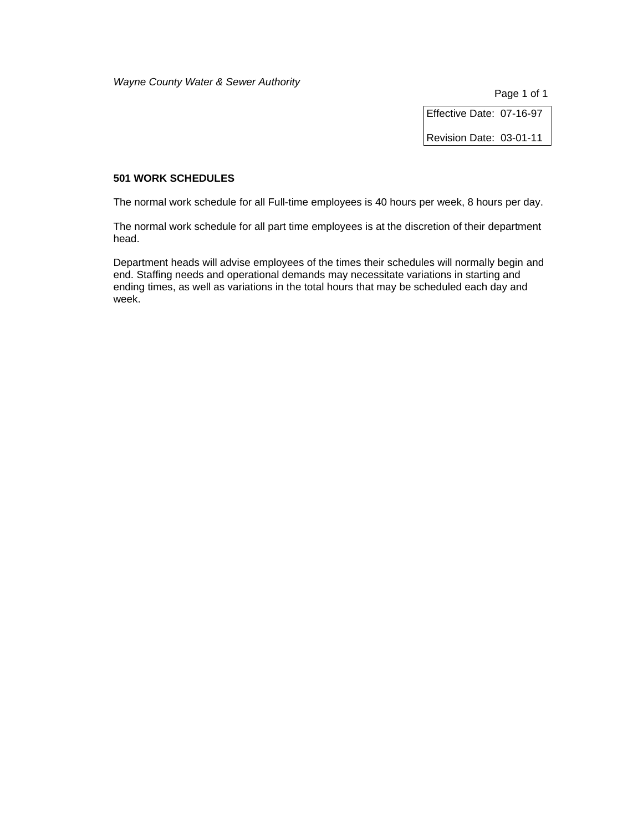Page 1 of 1

Effective Date: 07-16-97

Revision Date: 03-01-11

# **501 WORK SCHEDULES**

The normal work schedule for all Full-time employees is 40 hours per week, 8 hours per day.

The normal work schedule for all part time employees is at the discretion of their department head.

Department heads will advise employees of the times their schedules will normally begin and end. Staffing needs and operational demands may necessitate variations in starting and ending times, as well as variations in the total hours that may be scheduled each day and week.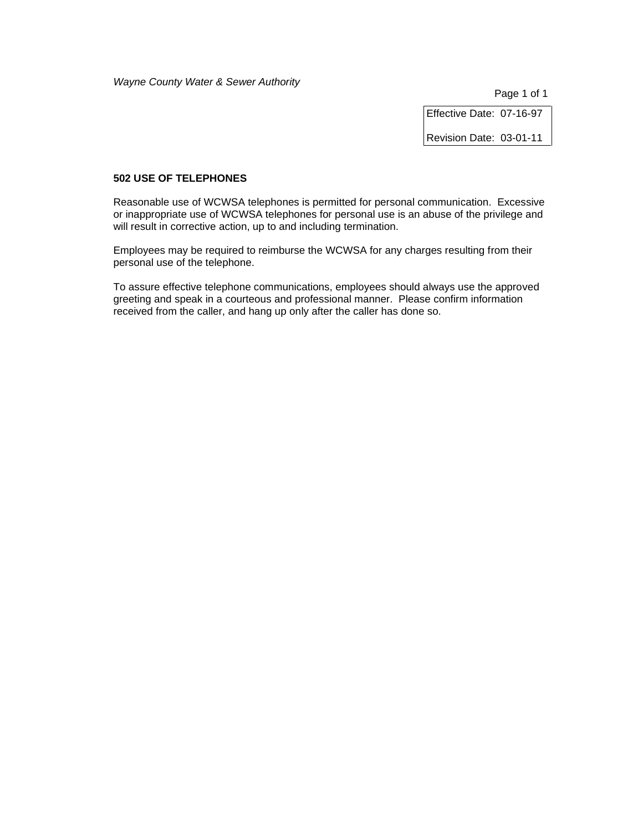Page 1 of 1

Effective Date: 07-16-97

Revision Date: 03-01-11

# **502 USE OF TELEPHONES**

Reasonable use of WCWSA telephones is permitted for personal communication. Excessive or inappropriate use of WCWSA telephones for personal use is an abuse of the privilege and will result in corrective action, up to and including termination.

Employees may be required to reimburse the WCWSA for any charges resulting from their personal use of the telephone.

To assure effective telephone communications, employees should always use the approved greeting and speak in a courteous and professional manner. Please confirm information received from the caller, and hang up only after the caller has done so.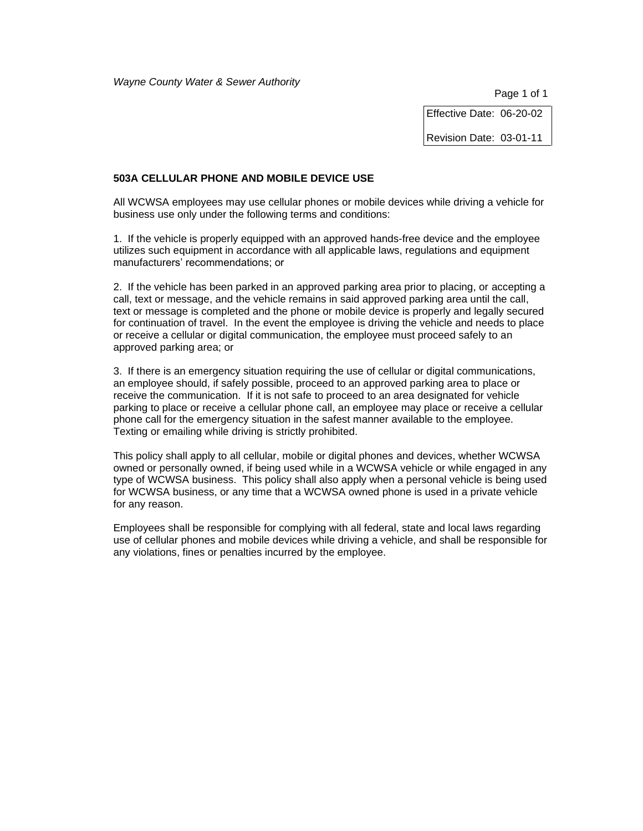Effective Date: 06-20-02

Revision Date: 03-01-11

### **503A CELLULAR PHONE AND MOBILE DEVICE USE**

All WCWSA employees may use cellular phones or mobile devices while driving a vehicle for business use only under the following terms and conditions:

1. If the vehicle is properly equipped with an approved hands-free device and the employee utilizes such equipment in accordance with all applicable laws, regulations and equipment manufacturers' recommendations; or

2. If the vehicle has been parked in an approved parking area prior to placing, or accepting a call, text or message, and the vehicle remains in said approved parking area until the call, text or message is completed and the phone or mobile device is properly and legally secured for continuation of travel. In the event the employee is driving the vehicle and needs to place or receive a cellular or digital communication, the employee must proceed safely to an approved parking area; or

3. If there is an emergency situation requiring the use of cellular or digital communications, an employee should, if safely possible, proceed to an approved parking area to place or receive the communication. If it is not safe to proceed to an area designated for vehicle parking to place or receive a cellular phone call, an employee may place or receive a cellular phone call for the emergency situation in the safest manner available to the employee. Texting or emailing while driving is strictly prohibited.

This policy shall apply to all cellular, mobile or digital phones and devices, whether WCWSA owned or personally owned, if being used while in a WCWSA vehicle or while engaged in any type of WCWSA business. This policy shall also apply when a personal vehicle is being used for WCWSA business, or any time that a WCWSA owned phone is used in a private vehicle for any reason.

Employees shall be responsible for complying with all federal, state and local laws regarding use of cellular phones and mobile devices while driving a vehicle, and shall be responsible for any violations, fines or penalties incurred by the employee.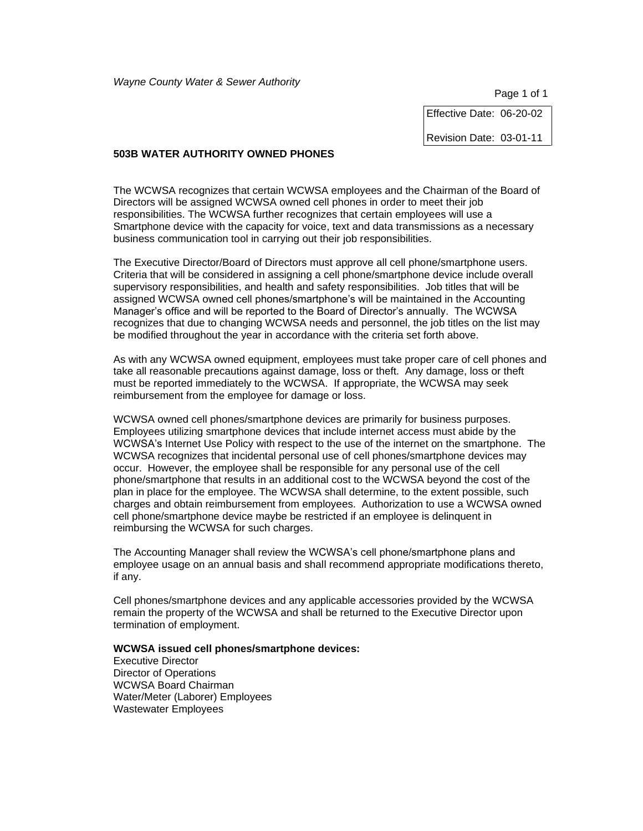Page 1 of 1

Effective Date: 06-20-02

Revision Date: 03-01-11

### **503B WATER AUTHORITY OWNED PHONES**

The WCWSA recognizes that certain WCWSA employees and the Chairman of the Board of Directors will be assigned WCWSA owned cell phones in order to meet their job responsibilities. The WCWSA further recognizes that certain employees will use a Smartphone device with the capacity for voice, text and data transmissions as a necessary business communication tool in carrying out their job responsibilities.

The Executive Director/Board of Directors must approve all cell phone/smartphone users. Criteria that will be considered in assigning a cell phone/smartphone device include overall supervisory responsibilities, and health and safety responsibilities. Job titles that will be assigned WCWSA owned cell phones/smartphone's will be maintained in the Accounting Manager's office and will be reported to the Board of Director's annually. The WCWSA recognizes that due to changing WCWSA needs and personnel, the job titles on the list may be modified throughout the year in accordance with the criteria set forth above.

As with any WCWSA owned equipment, employees must take proper care of cell phones and take all reasonable precautions against damage, loss or theft. Any damage, loss or theft must be reported immediately to the WCWSA. If appropriate, the WCWSA may seek reimbursement from the employee for damage or loss.

WCWSA owned cell phones/smartphone devices are primarily for business purposes. Employees utilizing smartphone devices that include internet access must abide by the WCWSA's Internet Use Policy with respect to the use of the internet on the smartphone. The WCWSA recognizes that incidental personal use of cell phones/smartphone devices may occur. However, the employee shall be responsible for any personal use of the cell phone/smartphone that results in an additional cost to the WCWSA beyond the cost of the plan in place for the employee. The WCWSA shall determine, to the extent possible, such charges and obtain reimbursement from employees. Authorization to use a WCWSA owned cell phone/smartphone device maybe be restricted if an employee is delinquent in reimbursing the WCWSA for such charges.

The Accounting Manager shall review the WCWSA's cell phone/smartphone plans and employee usage on an annual basis and shall recommend appropriate modifications thereto, if any.

Cell phones/smartphone devices and any applicable accessories provided by the WCWSA remain the property of the WCWSA and shall be returned to the Executive Director upon termination of employment.

#### **WCWSA issued cell phones/smartphone devices:**

Executive Director Director of Operations WCWSA Board Chairman Water/Meter (Laborer) Employees Wastewater Employees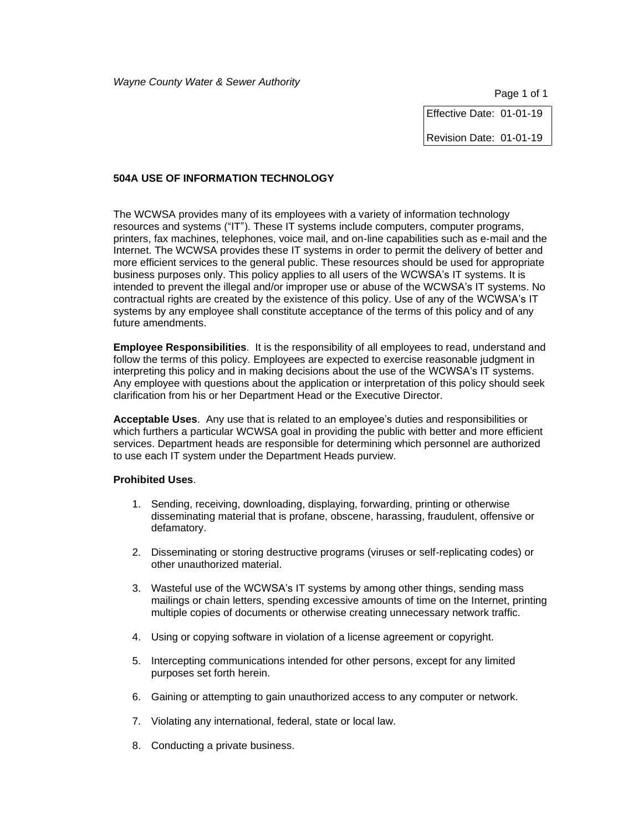Effective Date: 01-01-19

Revision Date: 01-01-19

# **504A USE OF INFORMATION TECHNOLOGY**

The WCWSA provides many of its employees with a variety of information technology resources and systems ("IT"). These IT systems include computers, computer programs, printers, fax machines, telephones, voice mail, and on-line capabilities such as e-mail and the Internet. The WCWSA provides these IT systems in order to permit the delivery of better and more efficient services to the general public. These resources should be used for appropriate business purposes only. This policy applies to all users of the WCWSA's IT systems. It is intended to prevent the illegal and/or improper use or abuse of the WCWSA's IT systems. No contractual rights are created by the existence of this policy. Use of any of the WCWSA's IT systems by any employee shall constitute acceptance of the terms of this policy and of any future amendments.

**Employee Responsibilities**. It is the responsibility of all employees to read, understand and follow the terms of this policy. Employees are expected to exercise reasonable judgment in interpreting this policy and in making decisions about the use of the WCWSA's IT systems. Any employee with questions about the application or interpretation of this policy should seek clarification from his or her Department Head or the Executive Director.

**Acceptable Uses**. Any use that is related to an employee's duties and responsibilities or which furthers a particular WCWSA goal in providing the public with better and more efficient services. Department heads are responsible for determining which personnel are authorized to use each IT system under the Department Heads purview.

# **Prohibited Uses**.

- 1. Sending, receiving, downloading, displaying, forwarding, printing or otherwise disseminating material that is profane, obscene, harassing, fraudulent, offensive or defamatory.
- 2. Disseminating or storing destructive programs (viruses or self-replicating codes) or other unauthorized material.
- 3. Wasteful use of the WCWSA's IT systems by among other things, sending mass mailings or chain letters, spending excessive amounts of time on the Internet, printing multiple copies of documents or otherwise creating unnecessary network traffic.
- 4. Using or copying software in violation of a license agreement or copyright.
- 5. Intercepting communications intended for other persons, except for any limited purposes set forth herein.
- 6. Gaining or attempting to gain unauthorized access to any computer or network.
- 7. Violating any international, federal, state or local law.
- 8. Conducting a private business.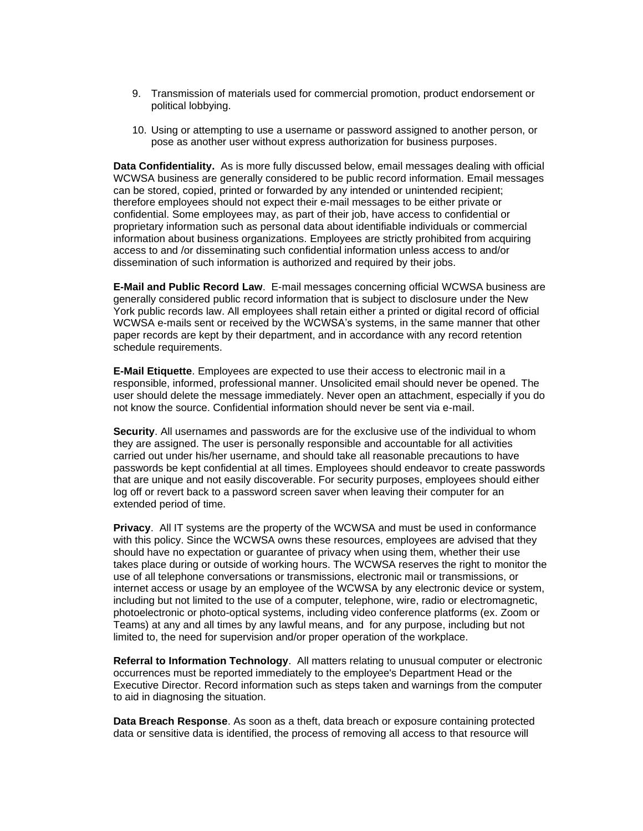- 9. Transmission of materials used for commercial promotion, product endorsement or political lobbying.
- 10. Using or attempting to use a username or password assigned to another person, or pose as another user without express authorization for business purposes.

**Data Confidentiality.** As is more fully discussed below, email messages dealing with official WCWSA business are generally considered to be public record information. Email messages can be stored, copied, printed or forwarded by any intended or unintended recipient; therefore employees should not expect their e-mail messages to be either private or confidential. Some employees may, as part of their job, have access to confidential or proprietary information such as personal data about identifiable individuals or commercial information about business organizations. Employees are strictly prohibited from acquiring access to and /or disseminating such confidential information unless access to and/or dissemination of such information is authorized and required by their jobs.

**E-Mail and Public Record Law**. E-mail messages concerning official WCWSA business are generally considered public record information that is subject to disclosure under the New York public records law. All employees shall retain either a printed or digital record of official WCWSA e-mails sent or received by the WCWSA's systems, in the same manner that other paper records are kept by their department, and in accordance with any record retention schedule requirements.

**E-Mail Etiquette**. Employees are expected to use their access to electronic mail in a responsible, informed, professional manner. Unsolicited email should never be opened. The user should delete the message immediately. Never open an attachment, especially if you do not know the source. Confidential information should never be sent via e-mail.

**Security**. All usernames and passwords are for the exclusive use of the individual to whom they are assigned. The user is personally responsible and accountable for all activities carried out under his/her username, and should take all reasonable precautions to have passwords be kept confidential at all times. Employees should endeavor to create passwords that are unique and not easily discoverable. For security purposes, employees should either log off or revert back to a password screen saver when leaving their computer for an extended period of time.

**Privacy**. All IT systems are the property of the WCWSA and must be used in conformance with this policy. Since the WCWSA owns these resources, employees are advised that they should have no expectation or guarantee of privacy when using them, whether their use takes place during or outside of working hours. The WCWSA reserves the right to monitor the use of all telephone conversations or transmissions, electronic mail or transmissions, or internet access or usage by an employee of the WCWSA by any electronic device or system, including but not limited to the use of a computer, telephone, wire, radio or electromagnetic, photoelectronic or photo-optical systems, including video conference platforms (ex. Zoom or Teams) at any and all times by any lawful means, and for any purpose, including but not limited to, the need for supervision and/or proper operation of the workplace.

**Referral to Information Technology**. All matters relating to unusual computer or electronic occurrences must be reported immediately to the employee's Department Head or the Executive Director. Record information such as steps taken and warnings from the computer to aid in diagnosing the situation.

**Data Breach Response**. As soon as a theft, data breach or exposure containing protected data or sensitive data is identified, the process of removing all access to that resource will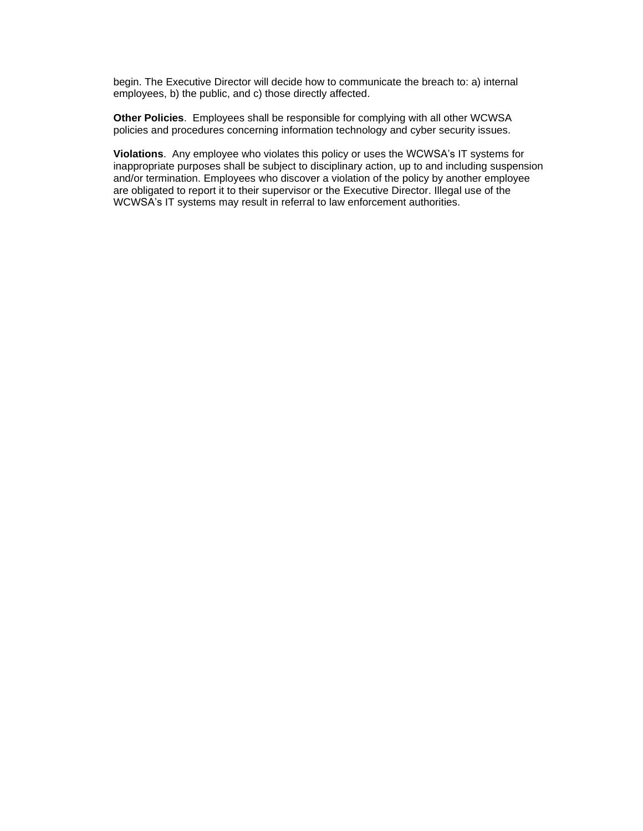begin. The Executive Director will decide how to communicate the breach to: a) internal employees, b) the public, and c) those directly affected.

**Other Policies**. Employees shall be responsible for complying with all other WCWSA policies and procedures concerning information technology and cyber security issues.

**Violations**. Any employee who violates this policy or uses the WCWSA's IT systems for inappropriate purposes shall be subject to disciplinary action, up to and including suspension and/or termination. Employees who discover a violation of the policy by another employee are obligated to report it to their supervisor or the Executive Director. Illegal use of the WCWSA's IT systems may result in referral to law enforcement authorities.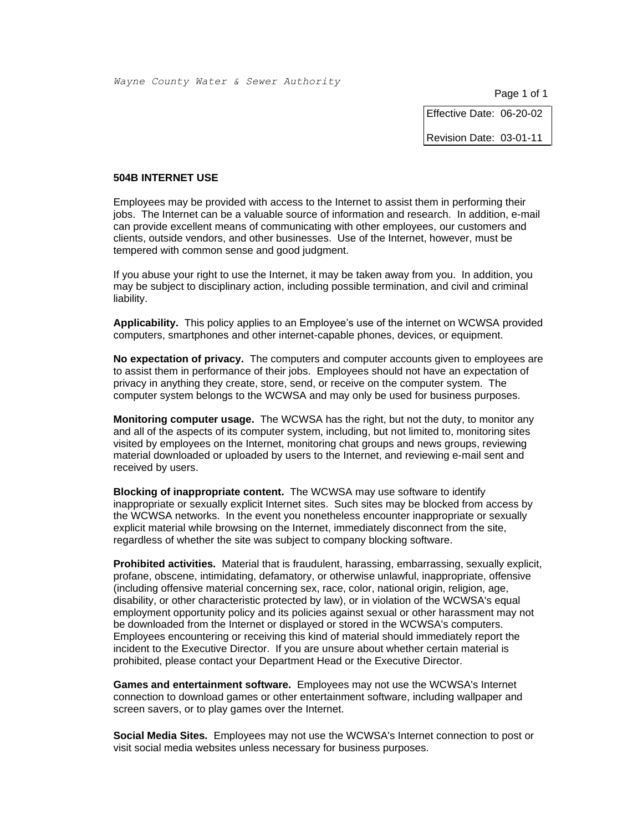Effective Date: 06-20-02

Revision Date: 03-01-11

#### **504B INTERNET USE**

Employees may be provided with access to the Internet to assist them in performing their jobs. The Internet can be a valuable source of information and research. In addition, e-mail can provide excellent means of communicating with other employees, our customers and clients, outside vendors, and other businesses. Use of the Internet, however, must be tempered with common sense and good judgment.

If you abuse your right to use the Internet, it may be taken away from you. In addition, you may be subject to disciplinary action, including possible termination, and civil and criminal liability.

**Applicability.** This policy applies to an Employee's use of the internet on WCWSA provided computers, smartphones and other internet-capable phones, devices, or equipment.

**No expectation of privacy.** The computers and computer accounts given to employees are to assist them in performance of their jobs. Employees should not have an expectation of privacy in anything they create, store, send, or receive on the computer system. The computer system belongs to the WCWSA and may only be used for business purposes.

**Monitoring computer usage.** The WCWSA has the right, but not the duty, to monitor any and all of the aspects of its computer system, including, but not limited to, monitoring sites visited by employees on the Internet, monitoring chat groups and news groups, reviewing material downloaded or uploaded by users to the Internet, and reviewing e-mail sent and received by users.

**Blocking of inappropriate content.** The WCWSA may use software to identify inappropriate or sexually explicit Internet sites. Such sites may be blocked from access by the WCWSA networks. In the event you nonetheless encounter inappropriate or sexually explicit material while browsing on the Internet, immediately disconnect from the site, regardless of whether the site was subject to company blocking software.

**Prohibited activities.** Material that is fraudulent, harassing, embarrassing, sexually explicit, profane, obscene, intimidating, defamatory, or otherwise unlawful, inappropriate, offensive (including offensive material concerning sex, race, color, national origin, religion, age, disability, or other characteristic protected by law), or in violation of the WCWSA's equal employment opportunity policy and its policies against sexual or other harassment may not be downloaded from the Internet or displayed or stored in the WCWSA's computers. Employees encountering or receiving this kind of material should immediately report the incident to the Executive Director. If you are unsure about whether certain material is prohibited, please contact your Department Head or the Executive Director.

**Games and entertainment software.** Employees may not use the WCWSA's Internet connection to download games or other entertainment software, including wallpaper and screen savers, or to play games over the Internet.

**Social Media Sites.** Employees may not use the WCWSA's Internet connection to post or visit social media websites unless necessary for business purposes.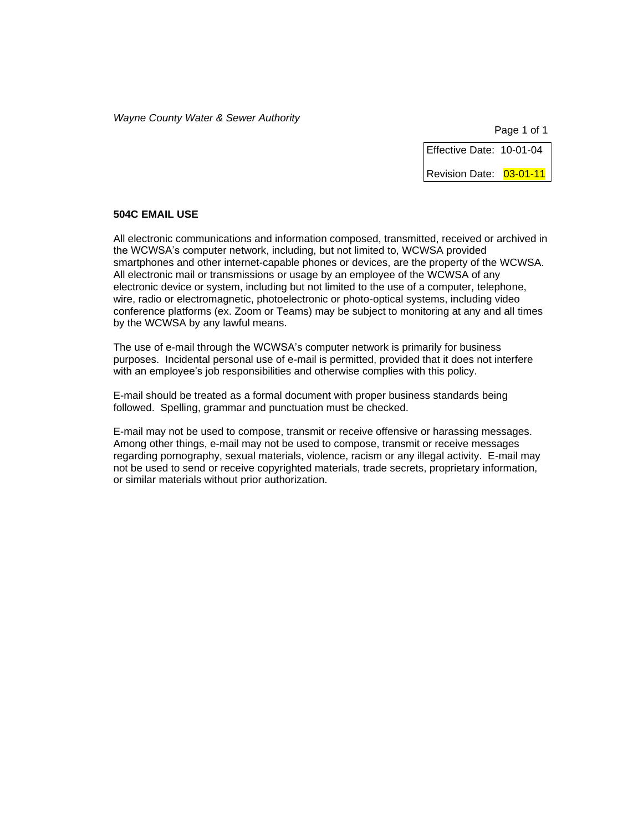Page 1 of 1

Effective Date: 10-01-04

Revision Date: 03-01-11

# **504C EMAIL USE**

All electronic communications and information composed, transmitted, received or archived in the WCWSA's computer network, including, but not limited to, WCWSA provided smartphones and other internet-capable phones or devices, are the property of the WCWSA. All electronic mail or transmissions or usage by an employee of the WCWSA of any electronic device or system, including but not limited to the use of a computer, telephone, wire, radio or electromagnetic, photoelectronic or photo-optical systems, including video conference platforms (ex. Zoom or Teams) may be subject to monitoring at any and all times by the WCWSA by any lawful means.

The use of e-mail through the WCWSA's computer network is primarily for business purposes. Incidental personal use of e-mail is permitted, provided that it does not interfere with an employee's job responsibilities and otherwise complies with this policy.

E-mail should be treated as a formal document with proper business standards being followed. Spelling, grammar and punctuation must be checked.

E-mail may not be used to compose, transmit or receive offensive or harassing messages. Among other things, e-mail may not be used to compose, transmit or receive messages regarding pornography, sexual materials, violence, racism or any illegal activity. E-mail may not be used to send or receive copyrighted materials, trade secrets, proprietary information, or similar materials without prior authorization.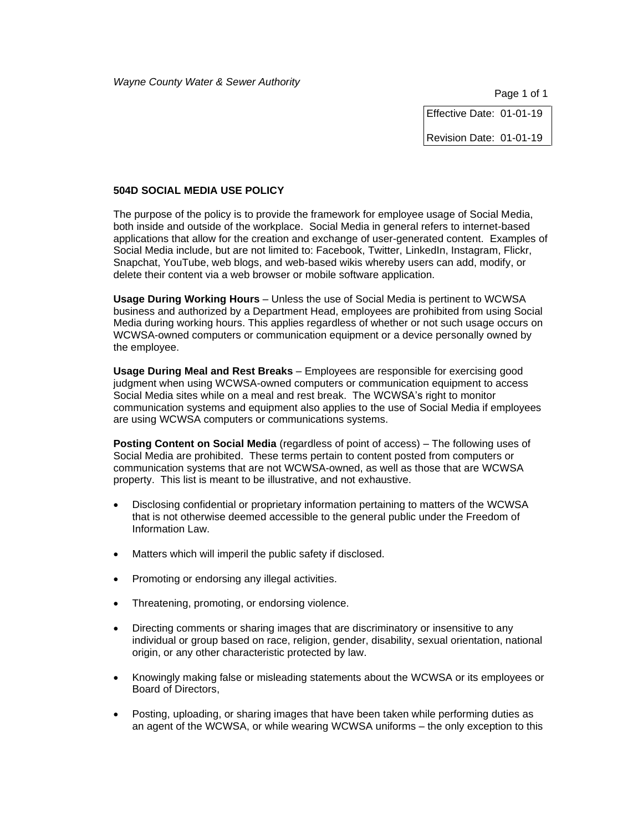Effective Date: 01-01-19

Revision Date: 01-01-19

# **504D SOCIAL MEDIA USE POLICY**

The purpose of the policy is to provide the framework for employee usage of Social Media, both inside and outside of the workplace. Social Media in general refers to internet-based applications that allow for the creation and exchange of user-generated content. Examples of Social Media include, but are not limited to: Facebook, Twitter, LinkedIn, Instagram, Flickr, Snapchat, YouTube, web blogs, and web-based wikis whereby users can add, modify, or delete their content via a web browser or mobile software application.

**Usage During Working Hours** – Unless the use of Social Media is pertinent to WCWSA business and authorized by a Department Head, employees are prohibited from using Social Media during working hours. This applies regardless of whether or not such usage occurs on WCWSA-owned computers or communication equipment or a device personally owned by the employee.

**Usage During Meal and Rest Breaks** – Employees are responsible for exercising good judgment when using WCWSA-owned computers or communication equipment to access Social Media sites while on a meal and rest break. The WCWSA's right to monitor communication systems and equipment also applies to the use of Social Media if employees are using WCWSA computers or communications systems.

**Posting Content on Social Media** (regardless of point of access) – The following uses of Social Media are prohibited. These terms pertain to content posted from computers or communication systems that are not WCWSA-owned, as well as those that are WCWSA property. This list is meant to be illustrative, and not exhaustive.

- Disclosing confidential or proprietary information pertaining to matters of the WCWSA that is not otherwise deemed accessible to the general public under the Freedom of Information Law.
- Matters which will imperil the public safety if disclosed.
- Promoting or endorsing any illegal activities.
- Threatening, promoting, or endorsing violence.
- Directing comments or sharing images that are discriminatory or insensitive to any individual or group based on race, religion, gender, disability, sexual orientation, national origin, or any other characteristic protected by law.
- Knowingly making false or misleading statements about the WCWSA or its employees or Board of Directors,
- Posting, uploading, or sharing images that have been taken while performing duties as an agent of the WCWSA, or while wearing WCWSA uniforms – the only exception to this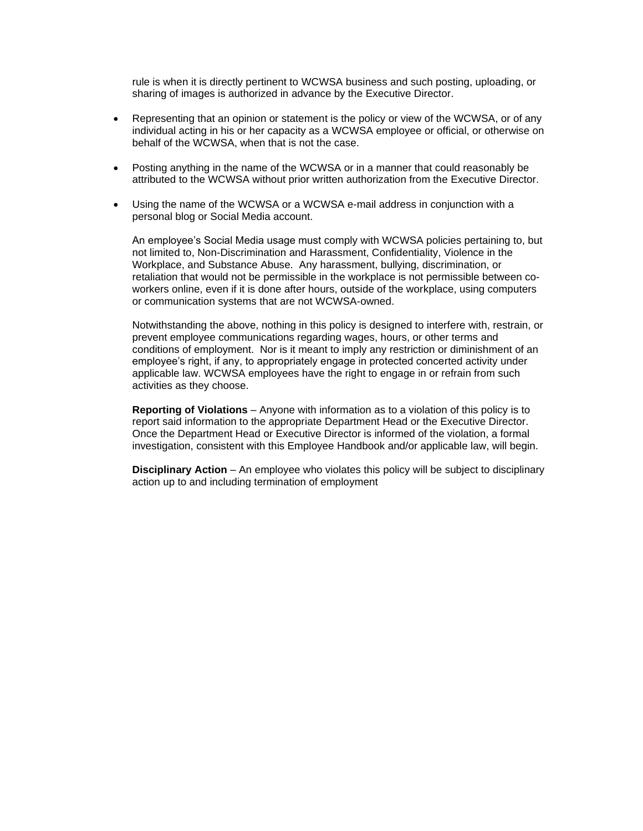rule is when it is directly pertinent to WCWSA business and such posting, uploading, or sharing of images is authorized in advance by the Executive Director.

- Representing that an opinion or statement is the policy or view of the WCWSA, or of any individual acting in his or her capacity as a WCWSA employee or official, or otherwise on behalf of the WCWSA, when that is not the case.
- Posting anything in the name of the WCWSA or in a manner that could reasonably be attributed to the WCWSA without prior written authorization from the Executive Director.
- Using the name of the WCWSA or a WCWSA e-mail address in conjunction with a personal blog or Social Media account.

An employee's Social Media usage must comply with WCWSA policies pertaining to, but not limited to, Non-Discrimination and Harassment, Confidentiality, Violence in the Workplace, and Substance Abuse. Any harassment, bullying, discrimination, or retaliation that would not be permissible in the workplace is not permissible between coworkers online, even if it is done after hours, outside of the workplace, using computers or communication systems that are not WCWSA-owned.

Notwithstanding the above, nothing in this policy is designed to interfere with, restrain, or prevent employee communications regarding wages, hours, or other terms and conditions of employment. Nor is it meant to imply any restriction or diminishment of an employee's right, if any, to appropriately engage in protected concerted activity under applicable law. WCWSA employees have the right to engage in or refrain from such activities as they choose.

**Reporting of Violations** – Anyone with information as to a violation of this policy is to report said information to the appropriate Department Head or the Executive Director. Once the Department Head or Executive Director is informed of the violation, a formal investigation, consistent with this Employee Handbook and/or applicable law, will begin.

**Disciplinary Action** – An employee who violates this policy will be subject to disciplinary action up to and including termination of employment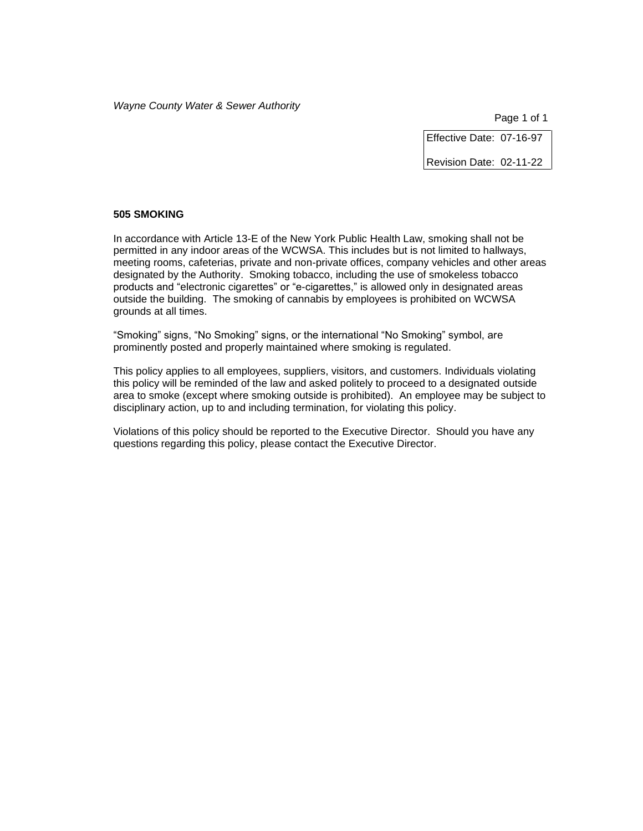Page 1 of 1

Effective Date: 07-16-97

Revision Date: 02-11-22

#### **505 SMOKING**

In accordance with Article 13-E of the New York Public Health Law, smoking shall not be permitted in any indoor areas of the WCWSA. This includes but is not limited to hallways, meeting rooms, cafeterias, private and non-private offices, company vehicles and other areas designated by the Authority. Smoking tobacco, including the use of smokeless tobacco products and "electronic cigarettes" or "e-cigarettes," is allowed only in designated areas outside the building. The smoking of cannabis by employees is prohibited on WCWSA grounds at all times.

"Smoking" signs, "No Smoking" signs, or the international "No Smoking" symbol, are prominently posted and properly maintained where smoking is regulated.

This policy applies to all employees, suppliers, visitors, and customers. Individuals violating this policy will be reminded of the law and asked politely to proceed to a designated outside area to smoke (except where smoking outside is prohibited). An employee may be subject to disciplinary action, up to and including termination, for violating this policy.

Violations of this policy should be reported to the Executive Director. Should you have any questions regarding this policy, please contact the Executive Director.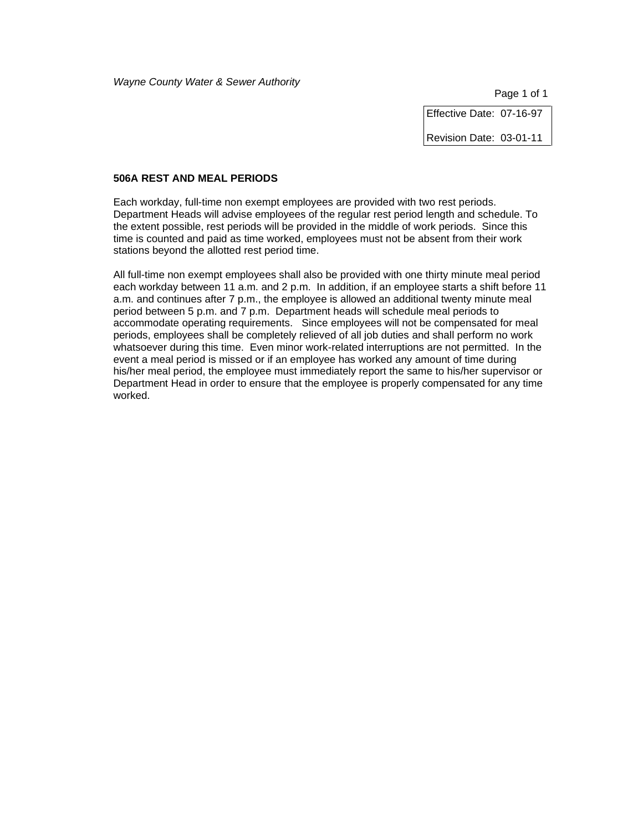Page 1 of 1

Effective Date: 07-16-97

Revision Date: 03-01-11

### **506A REST AND MEAL PERIODS**

Each workday, full-time non exempt employees are provided with two rest periods. Department Heads will advise employees of the regular rest period length and schedule. To the extent possible, rest periods will be provided in the middle of work periods. Since this time is counted and paid as time worked, employees must not be absent from their work stations beyond the allotted rest period time.

All full-time non exempt employees shall also be provided with one thirty minute meal period each workday between 11 a.m. and 2 p.m. In addition, if an employee starts a shift before 11 a.m. and continues after 7 p.m., the employee is allowed an additional twenty minute meal period between 5 p.m. and 7 p.m. Department heads will schedule meal periods to accommodate operating requirements. Since employees will not be compensated for meal periods, employees shall be completely relieved of all job duties and shall perform no work whatsoever during this time. Even minor work-related interruptions are not permitted. In the event a meal period is missed or if an employee has worked any amount of time during his/her meal period, the employee must immediately report the same to his/her supervisor or Department Head in order to ensure that the employee is properly compensated for any time worked.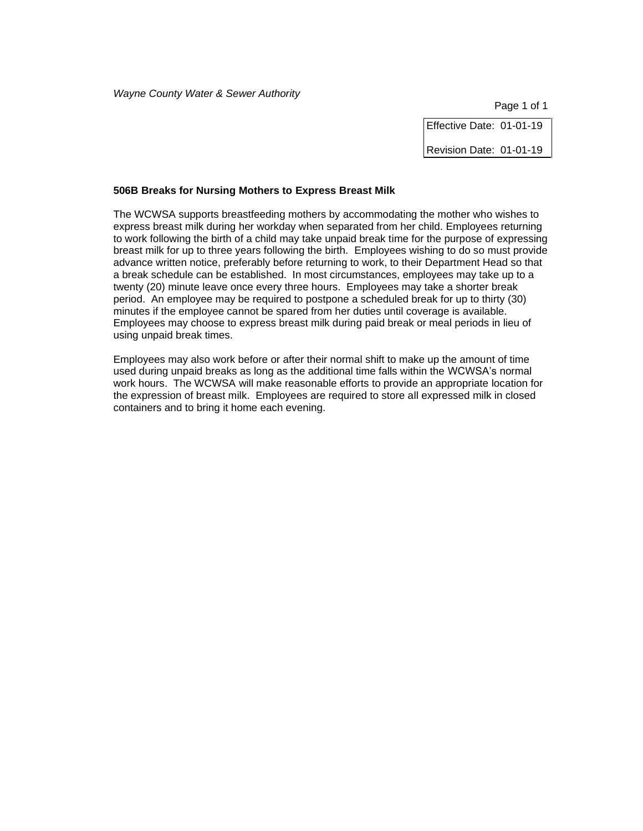Effective Date: 01-01-19 Revision Date: 01-01-19

#### **506B Breaks for Nursing Mothers to Express Breast Milk**

The WCWSA supports breastfeeding mothers by accommodating the mother who wishes to express breast milk during her workday when separated from her child. Employees returning to work following the birth of a child may take unpaid break time for the purpose of expressing breast milk for up to three years following the birth.Employees wishing to do so must provide advance written notice, preferably before returning to work, to their Department Head so that a break schedule can be established. In most circumstances, employees may take up to a twenty (20) minute leave once every three hours. Employees may take a shorter break period. An employee may be required to postpone a scheduled break for up to thirty (30) minutes if the employee cannot be spared from her duties until coverage is available. Employees may choose to express breast milk during paid break or meal periods in lieu of using unpaid break times.

Employees may also work before or after their normal shift to make up the amount of time used during unpaid breaks as long as the additional time falls within the WCWSA's normal work hours. The WCWSA will make reasonable efforts to provide an appropriate location for the expression of breast milk. Employees are required to store all expressed milk in closed containers and to bring it home each evening.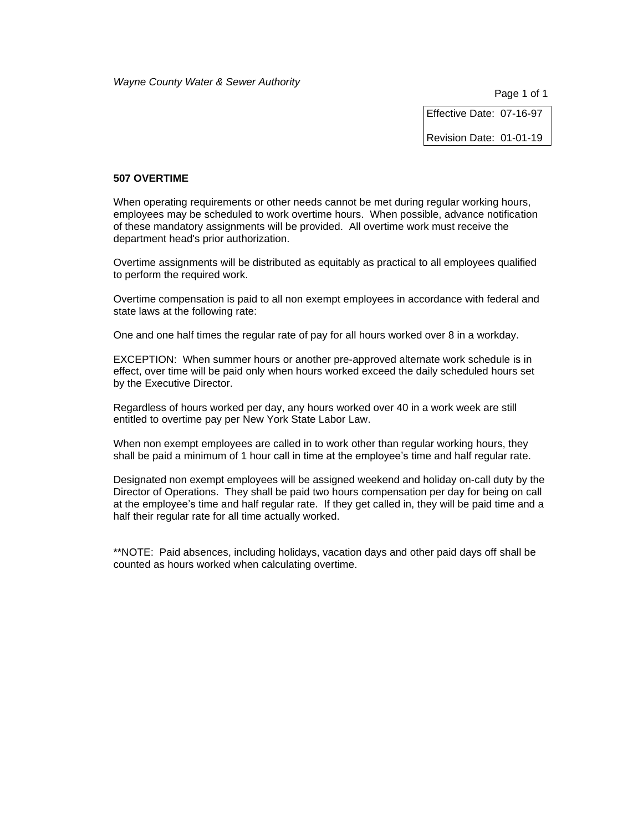Page 1 of 1

Effective Date: 07-16-97

Revision Date: 01-01-19

### **507 OVERTIME**

When operating requirements or other needs cannot be met during regular working hours, employees may be scheduled to work overtime hours. When possible, advance notification of these mandatory assignments will be provided. All overtime work must receive the department head's prior authorization.

Overtime assignments will be distributed as equitably as practical to all employees qualified to perform the required work.

Overtime compensation is paid to all non exempt employees in accordance with federal and state laws at the following rate:

One and one half times the regular rate of pay for all hours worked over 8 in a workday.

EXCEPTION: When summer hours or another pre-approved alternate work schedule is in effect, over time will be paid only when hours worked exceed the daily scheduled hours set by the Executive Director.

Regardless of hours worked per day, any hours worked over 40 in a work week are still entitled to overtime pay per New York State Labor Law.

When non exempt employees are called in to work other than regular working hours, they shall be paid a minimum of 1 hour call in time at the employee's time and half regular rate.

Designated non exempt employees will be assigned weekend and holiday on-call duty by the Director of Operations. They shall be paid two hours compensation per day for being on call at the employee's time and half regular rate. If they get called in, they will be paid time and a half their regular rate for all time actually worked.

\*\*NOTE: Paid absences, including holidays, vacation days and other paid days off shall be counted as hours worked when calculating overtime.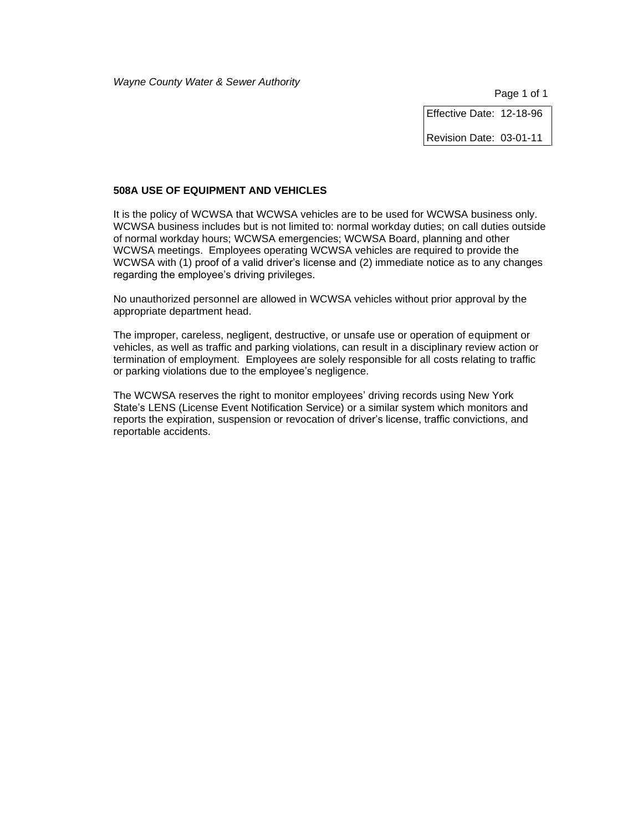Effective Date: 12-18-96

Revision Date: 03-01-11

# **508A USE OF EQUIPMENT AND VEHICLES**

It is the policy of WCWSA that WCWSA vehicles are to be used for WCWSA business only. WCWSA business includes but is not limited to: normal workday duties; on call duties outside of normal workday hours; WCWSA emergencies; WCWSA Board, planning and other WCWSA meetings. Employees operating WCWSA vehicles are required to provide the WCWSA with (1) proof of a valid driver's license and (2) immediate notice as to any changes regarding the employee's driving privileges.

No unauthorized personnel are allowed in WCWSA vehicles without prior approval by the appropriate department head.

The improper, careless, negligent, destructive, or unsafe use or operation of equipment or vehicles, as well as traffic and parking violations, can result in a disciplinary review action or termination of employment. Employees are solely responsible for all costs relating to traffic or parking violations due to the employee's negligence.

The WCWSA reserves the right to monitor employees' driving records using New York State's LENS (License Event Notification Service) or a similar system which monitors and reports the expiration, suspension or revocation of driver's license, traffic convictions, and reportable accidents.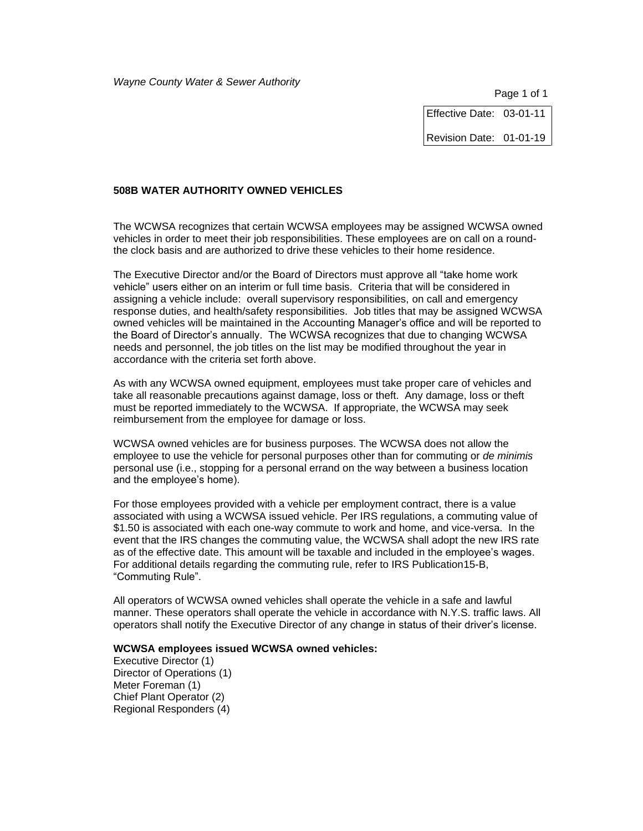Page 1 of 1

Effective Date: 03-01-11 Revision Date: 01-01-19

# **508B WATER AUTHORITY OWNED VEHICLES**

The WCWSA recognizes that certain WCWSA employees may be assigned WCWSA owned vehicles in order to meet their job responsibilities. These employees are on call on a roundthe clock basis and are authorized to drive these vehicles to their home residence.

The Executive Director and/or the Board of Directors must approve all "take home work vehicle" users either on an interim or full time basis. Criteria that will be considered in assigning a vehicle include: overall supervisory responsibilities, on call and emergency response duties, and health/safety responsibilities. Job titles that may be assigned WCWSA owned vehicles will be maintained in the Accounting Manager's office and will be reported to the Board of Director's annually. The WCWSA recognizes that due to changing WCWSA needs and personnel, the job titles on the list may be modified throughout the year in accordance with the criteria set forth above.

As with any WCWSA owned equipment, employees must take proper care of vehicles and take all reasonable precautions against damage, loss or theft. Any damage, loss or theft must be reported immediately to the WCWSA. If appropriate, the WCWSA may seek reimbursement from the employee for damage or loss.

WCWSA owned vehicles are for business purposes. The WCWSA does not allow the employee to use the vehicle for personal purposes other than for commuting or *de minimis* personal use (i.e., stopping for a personal errand on the way between a business location and the employee's home).

For those employees provided with a vehicle per employment contract, there is a value associated with using a WCWSA issued vehicle. Per IRS regulations, a commuting value of \$1.50 is associated with each one-way commute to work and home, and vice-versa. In the event that the IRS changes the commuting value, the WCWSA shall adopt the new IRS rate as of the effective date. This amount will be taxable and included in the employee's wages. For additional details regarding the commuting rule, refer to IRS Publication15-B, "Commuting Rule".

All operators of WCWSA owned vehicles shall operate the vehicle in a safe and lawful manner. These operators shall operate the vehicle in accordance with N.Y.S. traffic laws. All operators shall notify the Executive Director of any change in status of their driver's license.

#### **WCWSA employees issued WCWSA owned vehicles:**

Executive Director (1) Director of Operations (1) Meter Foreman (1) Chief Plant Operator (2) Regional Responders (4)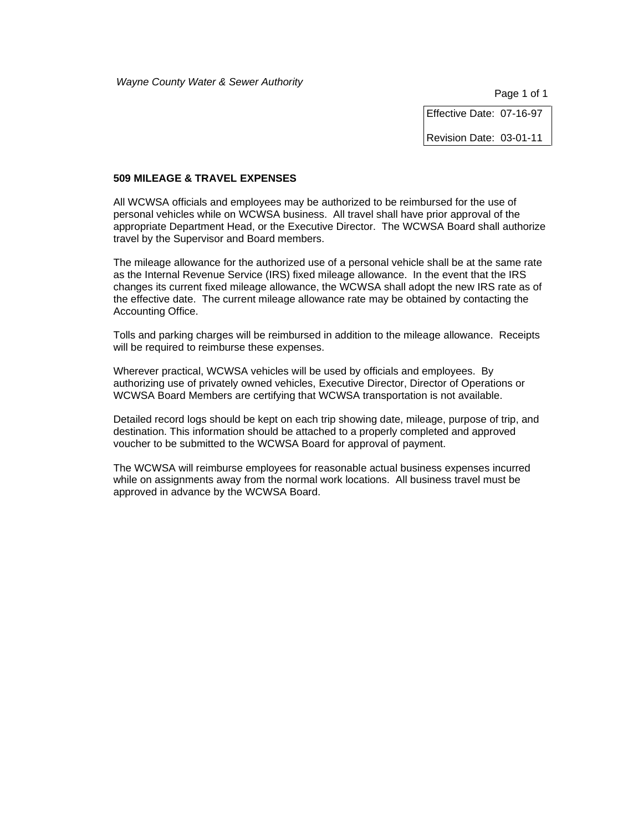Page 1 of 1

Effective Date: 07-16-97

Revision Date: 03-01-11

#### **509 MILEAGE & TRAVEL EXPENSES**

All WCWSA officials and employees may be authorized to be reimbursed for the use of personal vehicles while on WCWSA business. All travel shall have prior approval of the appropriate Department Head, or the Executive Director. The WCWSA Board shall authorize travel by the Supervisor and Board members.

The mileage allowance for the authorized use of a personal vehicle shall be at the same rate as the Internal Revenue Service (IRS) fixed mileage allowance. In the event that the IRS changes its current fixed mileage allowance, the WCWSA shall adopt the new IRS rate as of the effective date. The current mileage allowance rate may be obtained by contacting the Accounting Office.

Tolls and parking charges will be reimbursed in addition to the mileage allowance. Receipts will be required to reimburse these expenses.

Wherever practical, WCWSA vehicles will be used by officials and employees. By authorizing use of privately owned vehicles, Executive Director, Director of Operations or WCWSA Board Members are certifying that WCWSA transportation is not available.

Detailed record logs should be kept on each trip showing date, mileage, purpose of trip, and destination. This information should be attached to a properly completed and approved voucher to be submitted to the WCWSA Board for approval of payment.

The WCWSA will reimburse employees for reasonable actual business expenses incurred while on assignments away from the normal work locations. All business travel must be approved in advance by the WCWSA Board.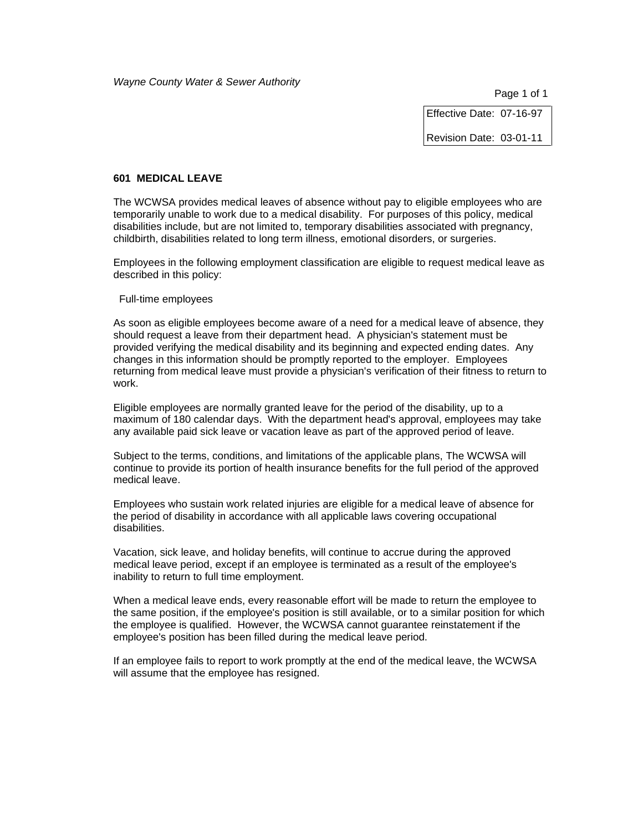Effective Date: 07-16-97

Revision Date: 03-01-11

#### **601 MEDICAL LEAVE**

The WCWSA provides medical leaves of absence without pay to eligible employees who are temporarily unable to work due to a medical disability. For purposes of this policy, medical disabilities include, but are not limited to, temporary disabilities associated with pregnancy, childbirth, disabilities related to long term illness, emotional disorders, or surgeries.

Employees in the following employment classification are eligible to request medical leave as described in this policy:

Full-time employees

As soon as eligible employees become aware of a need for a medical leave of absence, they should request a leave from their department head. A physician's statement must be provided verifying the medical disability and its beginning and expected ending dates. Any changes in this information should be promptly reported to the employer. Employees returning from medical leave must provide a physician's verification of their fitness to return to work.

Eligible employees are normally granted leave for the period of the disability, up to a maximum of 180 calendar days. With the department head's approval, employees may take any available paid sick leave or vacation leave as part of the approved period of leave.

Subject to the terms, conditions, and limitations of the applicable plans, The WCWSA will continue to provide its portion of health insurance benefits for the full period of the approved medical leave.

Employees who sustain work related injuries are eligible for a medical leave of absence for the period of disability in accordance with all applicable laws covering occupational disabilities.

Vacation, sick leave, and holiday benefits, will continue to accrue during the approved medical leave period, except if an employee is terminated as a result of the employee's inability to return to full time employment.

When a medical leave ends, every reasonable effort will be made to return the employee to the same position, if the employee's position is still available, or to a similar position for which the employee is qualified. However, the WCWSA cannot guarantee reinstatement if the employee's position has been filled during the medical leave period.

If an employee fails to report to work promptly at the end of the medical leave, the WCWSA will assume that the employee has resigned.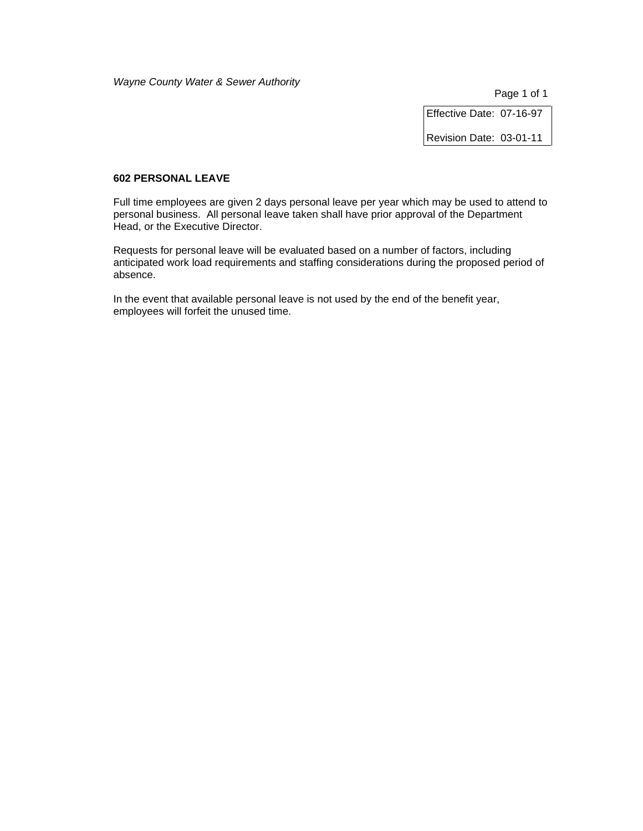Page 1 of 1

Effective Date: 07-16-97

Revision Date: 03-01-11

### **602 PERSONAL LEAVE**

Full time employees are given 2 days personal leave per year which may be used to attend to personal business. All personal leave taken shall have prior approval of the Department Head, or the Executive Director.

Requests for personal leave will be evaluated based on a number of factors, including anticipated work load requirements and staffing considerations during the proposed period of absence.

In the event that available personal leave is not used by the end of the benefit year, employees will forfeit the unused time.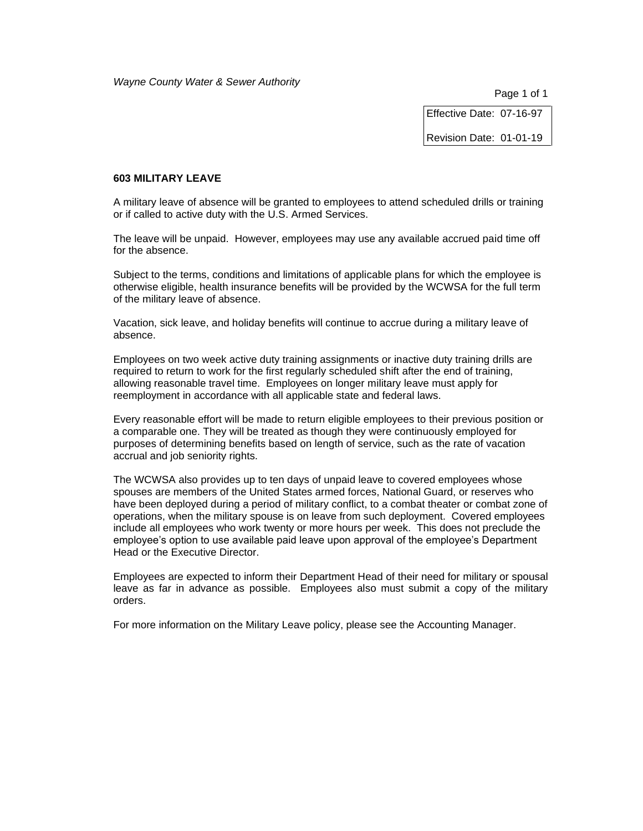Page 1 of 1

Effective Date: 07-16-97

Revision Date: 01-01-19

#### **603 MILITARY LEAVE**

A military leave of absence will be granted to employees to attend scheduled drills or training or if called to active duty with the U.S. Armed Services.

The leave will be unpaid. However, employees may use any available accrued paid time off for the absence.

Subject to the terms, conditions and limitations of applicable plans for which the employee is otherwise eligible, health insurance benefits will be provided by the WCWSA for the full term of the military leave of absence.

Vacation, sick leave, and holiday benefits will continue to accrue during a military leave of absence.

Employees on two week active duty training assignments or inactive duty training drills are required to return to work for the first regularly scheduled shift after the end of training, allowing reasonable travel time. Employees on longer military leave must apply for reemployment in accordance with all applicable state and federal laws.

Every reasonable effort will be made to return eligible employees to their previous position or a comparable one. They will be treated as though they were continuously employed for purposes of determining benefits based on length of service, such as the rate of vacation accrual and job seniority rights.

The WCWSA also provides up to ten days of unpaid leave to covered employees whose spouses are members of the United States armed forces, National Guard, or reserves who have been deployed during a period of military conflict, to a combat theater or combat zone of operations, when the military spouse is on leave from such deployment. Covered employees include all employees who work twenty or more hours per week. This does not preclude the employee's option to use available paid leave upon approval of the employee's Department Head or the Executive Director.

Employees are expected to inform their Department Head of their need for military or spousal leave as far in advance as possible. Employees also must submit a copy of the military orders.

For more information on the Military Leave policy, please see the Accounting Manager.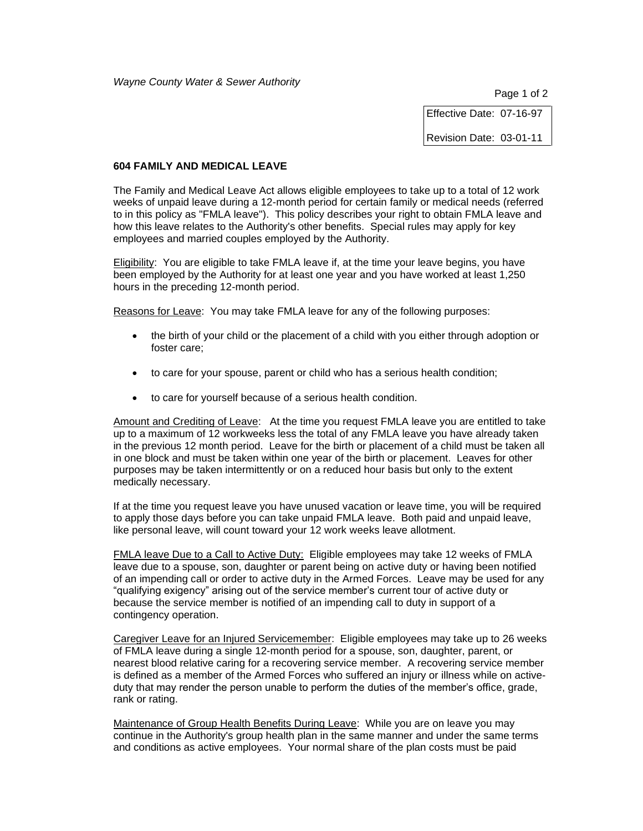Page 1 of 2

Effective Date: 07-16-97

Revision Date: 03-01-11

### **604 FAMILY AND MEDICAL LEAVE**

The Family and Medical Leave Act allows eligible employees to take up to a total of 12 work weeks of unpaid leave during a 12-month period for certain family or medical needs (referred to in this policy as "FMLA leave"). This policy describes your right to obtain FMLA leave and how this leave relates to the Authority's other benefits. Special rules may apply for key employees and married couples employed by the Authority.

Eligibility: You are eligible to take FMLA leave if, at the time your leave begins, you have been employed by the Authority for at least one year and you have worked at least 1,250 hours in the preceding 12-month period.

Reasons for Leave: You may take FMLA leave for any of the following purposes:

- the birth of your child or the placement of a child with you either through adoption or foster care;
- to care for your spouse, parent or child who has a serious health condition;
- to care for yourself because of a serious health condition.

Amount and Crediting of Leave: At the time you request FMLA leave you are entitled to take up to a maximum of 12 workweeks less the total of any FMLA leave you have already taken in the previous 12 month period. Leave for the birth or placement of a child must be taken all in one block and must be taken within one year of the birth or placement. Leaves for other purposes may be taken intermittently or on a reduced hour basis but only to the extent medically necessary.

If at the time you request leave you have unused vacation or leave time, you will be required to apply those days before you can take unpaid FMLA leave. Both paid and unpaid leave, like personal leave, will count toward your 12 work weeks leave allotment.

FMLA leave Due to a Call to Active Duty: Eligible employees may take 12 weeks of FMLA leave due to a spouse, son, daughter or parent being on active duty or having been notified of an impending call or order to active duty in the Armed Forces. Leave may be used for any "qualifying exigency" arising out of the service member's current tour of active duty or because the service member is notified of an impending call to duty in support of a contingency operation.

Caregiver Leave for an Injured Servicemember: Eligible employees may take up to 26 weeks of FMLA leave during a single 12-month period for a spouse, son, daughter, parent, or nearest blood relative caring for a recovering service member. A recovering service member is defined as a member of the Armed Forces who suffered an injury or illness while on activeduty that may render the person unable to perform the duties of the member's office, grade, rank or rating.

Maintenance of Group Health Benefits During Leave: While you are on leave you may continue in the Authority's group health plan in the same manner and under the same terms and conditions as active employees. Your normal share of the plan costs must be paid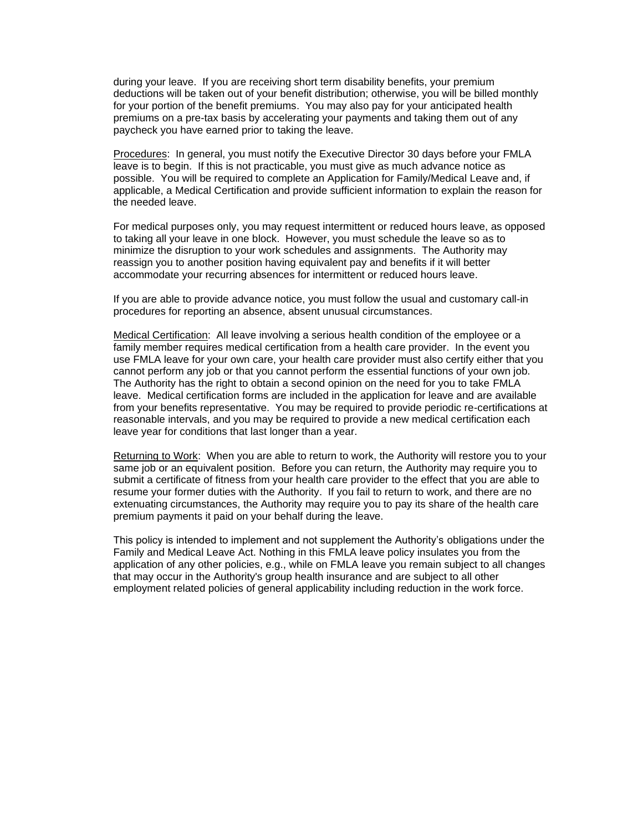during your leave. If you are receiving short term disability benefits, your premium deductions will be taken out of your benefit distribution; otherwise, you will be billed monthly for your portion of the benefit premiums. You may also pay for your anticipated health premiums on a pre-tax basis by accelerating your payments and taking them out of any paycheck you have earned prior to taking the leave.

Procedures: In general, you must notify the Executive Director 30 days before your FMLA leave is to begin. If this is not practicable, you must give as much advance notice as possible. You will be required to complete an Application for Family/Medical Leave and, if applicable, a Medical Certification and provide sufficient information to explain the reason for the needed leave.

For medical purposes only, you may request intermittent or reduced hours leave, as opposed to taking all your leave in one block. However, you must schedule the leave so as to minimize the disruption to your work schedules and assignments. The Authority may reassign you to another position having equivalent pay and benefits if it will better accommodate your recurring absences for intermittent or reduced hours leave.

If you are able to provide advance notice, you must follow the usual and customary call-in procedures for reporting an absence, absent unusual circumstances.

Medical Certification: All leave involving a serious health condition of the employee or a family member requires medical certification from a health care provider. In the event you use FMLA leave for your own care, your health care provider must also certify either that you cannot perform any job or that you cannot perform the essential functions of your own job. The Authority has the right to obtain a second opinion on the need for you to take FMLA leave. Medical certification forms are included in the application for leave and are available from your benefits representative. You may be required to provide periodic re-certifications at reasonable intervals, and you may be required to provide a new medical certification each leave year for conditions that last longer than a year.

Returning to Work: When you are able to return to work, the Authority will restore you to your same job or an equivalent position. Before you can return, the Authority may require you to submit a certificate of fitness from your health care provider to the effect that you are able to resume your former duties with the Authority. If you fail to return to work, and there are no extenuating circumstances, the Authority may require you to pay its share of the health care premium payments it paid on your behalf during the leave.

This policy is intended to implement and not supplement the Authority's obligations under the Family and Medical Leave Act. Nothing in this FMLA leave policy insulates you from the application of any other policies, e.g., while on FMLA leave you remain subject to all changes that may occur in the Authority's group health insurance and are subject to all other employment related policies of general applicability including reduction in the work force.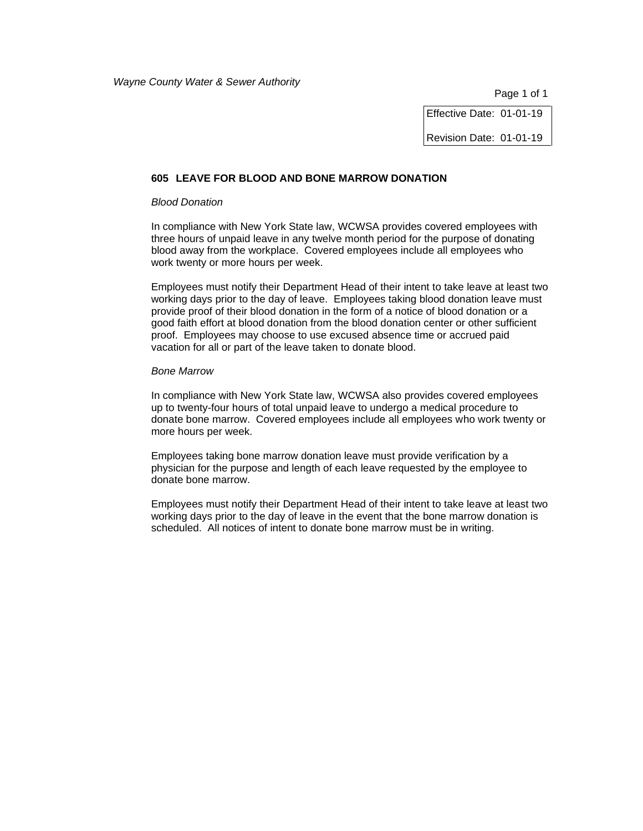Effective Date: 01-01-19

Revision Date: 01-01-19

#### **605 LEAVE FOR BLOOD AND BONE MARROW DONATION**

#### *Blood Donation*

In compliance with New York State law, WCWSA provides covered employees with three hours of unpaid leave in any twelve month period for the purpose of donating blood away from the workplace. Covered employees include all employees who work twenty or more hours per week.

Employees must notify their Department Head of their intent to take leave at least two working days prior to the day of leave. Employees taking blood donation leave must provide proof of their blood donation in the form of a notice of blood donation or a good faith effort at blood donation from the blood donation center or other sufficient proof. Employees may choose to use excused absence time or accrued paid vacation for all or part of the leave taken to donate blood.

#### *Bone Marrow*

In compliance with New York State law, WCWSA also provides covered employees up to twenty-four hours of total unpaid leave to undergo a medical procedure to donate bone marrow. Covered employees include all employees who work twenty or more hours per week.

Employees taking bone marrow donation leave must provide verification by a physician for the purpose and length of each leave requested by the employee to donate bone marrow.

Employees must notify their Department Head of their intent to take leave at least two working days prior to the day of leave in the event that the bone marrow donation is scheduled. All notices of intent to donate bone marrow must be in writing.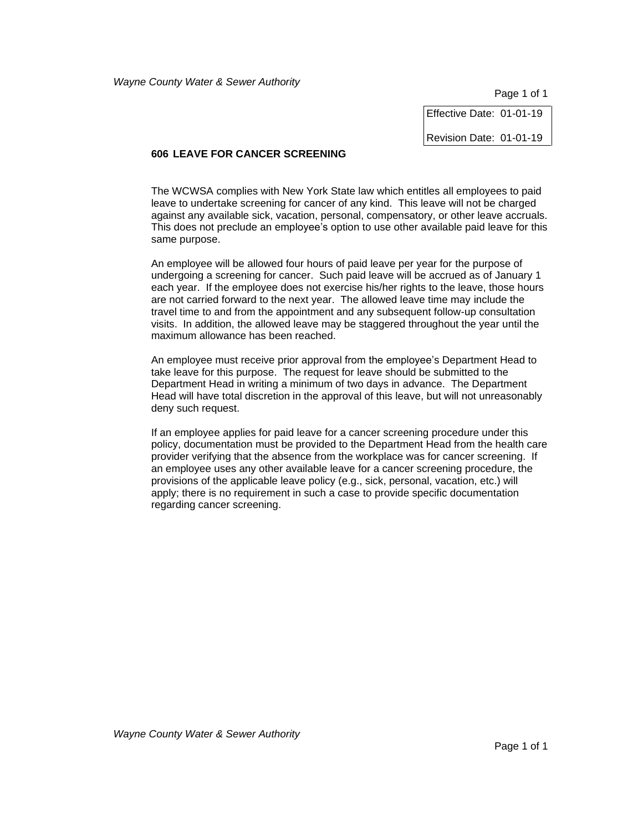Page 1 of 1

Effective Date: 01-01-19

Revision Date: 01-01-19

# **606 LEAVE FOR CANCER SCREENING**

The WCWSA complies with New York State law which entitles all employees to paid leave to undertake screening for cancer of any kind. This leave will not be charged against any available sick, vacation, personal, compensatory, or other leave accruals. This does not preclude an employee's option to use other available paid leave for this same purpose.

An employee will be allowed four hours of paid leave per year for the purpose of undergoing a screening for cancer. Such paid leave will be accrued as of January 1 each year. If the employee does not exercise his/her rights to the leave, those hours are not carried forward to the next year. The allowed leave time may include the travel time to and from the appointment and any subsequent follow-up consultation visits. In addition, the allowed leave may be staggered throughout the year until the maximum allowance has been reached.

An employee must receive prior approval from the employee's Department Head to take leave for this purpose. The request for leave should be submitted to the Department Head in writing a minimum of two days in advance. The Department Head will have total discretion in the approval of this leave, but will not unreasonably deny such request.

If an employee applies for paid leave for a cancer screening procedure under this policy, documentation must be provided to the Department Head from the health care provider verifying that the absence from the workplace was for cancer screening. If an employee uses any other available leave for a cancer screening procedure, the provisions of the applicable leave policy (e.g., sick, personal, vacation, etc.) will apply; there is no requirement in such a case to provide specific documentation regarding cancer screening.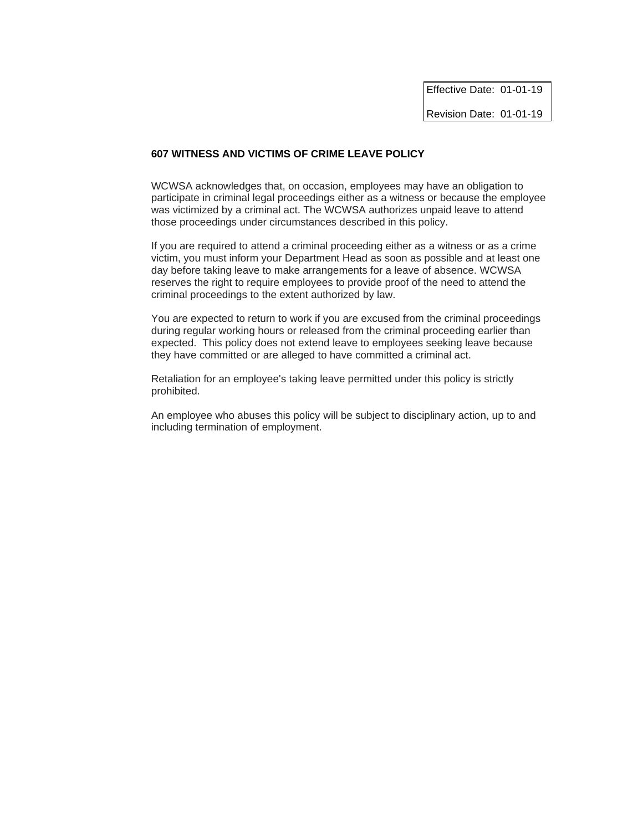Effective Date: 01-01-19 Revision Date: 01-01-19

# **607 WITNESS AND VICTIMS OF CRIME LEAVE POLICY**

WCWSA acknowledges that, on occasion, employees may have an obligation to participate in criminal legal proceedings either as a witness or because the employee was victimized by a criminal act. The WCWSA authorizes unpaid leave to attend those proceedings under circumstances described in this policy.

If you are required to attend a criminal proceeding either as a witness or as a crime victim, you must inform your Department Head as soon as possible and at least one day before taking leave to make arrangements for a leave of absence. WCWSA reserves the right to require employees to provide proof of the need to attend the criminal proceedings to the extent authorized by law.

You are expected to return to work if you are excused from the criminal proceedings during regular working hours or released from the criminal proceeding earlier than expected. This policy does not extend leave to employees seeking leave because they have committed or are alleged to have committed a criminal act.

Retaliation for an employee's taking leave permitted under this policy is strictly prohibited.

An employee who abuses this policy will be subject to disciplinary action, up to and including termination of employment.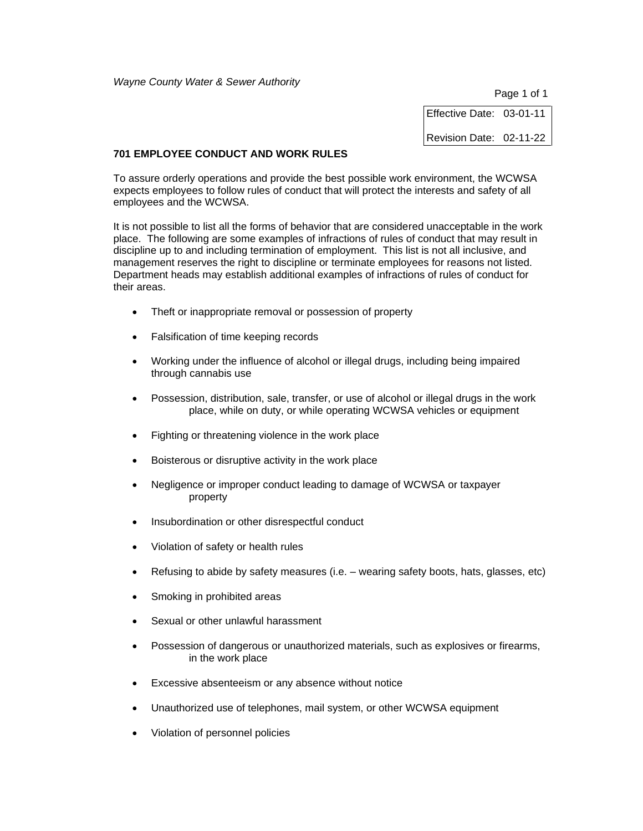Page 1 of 1

Effective Date: 03-01-11 Revision Date: 02-11-22

### **701 EMPLOYEE CONDUCT AND WORK RULES**

To assure orderly operations and provide the best possible work environment, the WCWSA expects employees to follow rules of conduct that will protect the interests and safety of all employees and the WCWSA.

It is not possible to list all the forms of behavior that are considered unacceptable in the work place. The following are some examples of infractions of rules of conduct that may result in discipline up to and including termination of employment. This list is not all inclusive, and management reserves the right to discipline or terminate employees for reasons not listed. Department heads may establish additional examples of infractions of rules of conduct for their areas.

- Theft or inappropriate removal or possession of property
- Falsification of time keeping records
- Working under the influence of alcohol or illegal drugs, including being impaired through cannabis use
- Possession, distribution, sale, transfer, or use of alcohol or illegal drugs in the work place, while on duty, or while operating WCWSA vehicles or equipment
- Fighting or threatening violence in the work place
- Boisterous or disruptive activity in the work place
- Negligence or improper conduct leading to damage of WCWSA or taxpayer property
- Insubordination or other disrespectful conduct
- Violation of safety or health rules
- Refusing to abide by safety measures (i.e. wearing safety boots, hats, glasses, etc)
- Smoking in prohibited areas
- Sexual or other unlawful harassment
- Possession of dangerous or unauthorized materials, such as explosives or firearms, in the work place
- Excessive absenteeism or any absence without notice
- Unauthorized use of telephones, mail system, or other WCWSA equipment
- Violation of personnel policies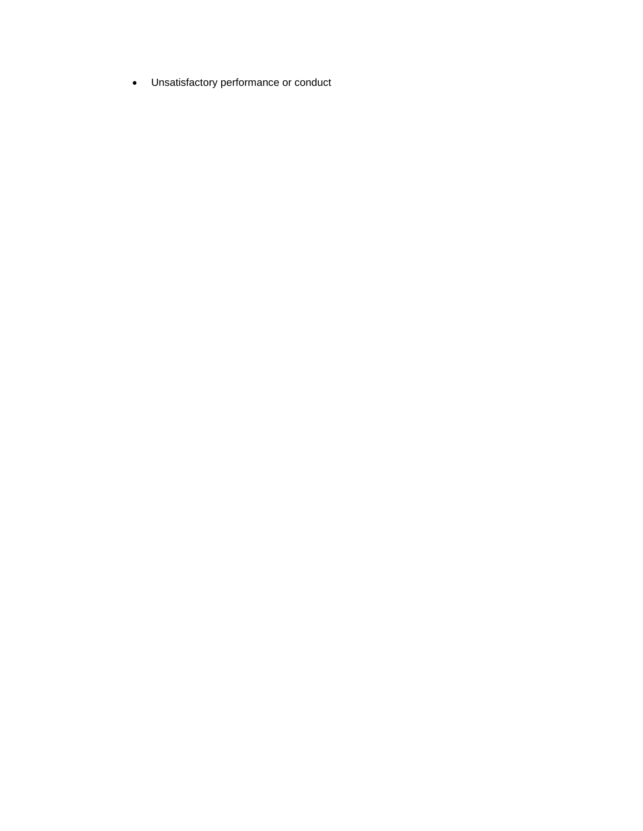• Unsatisfactory performance or conduct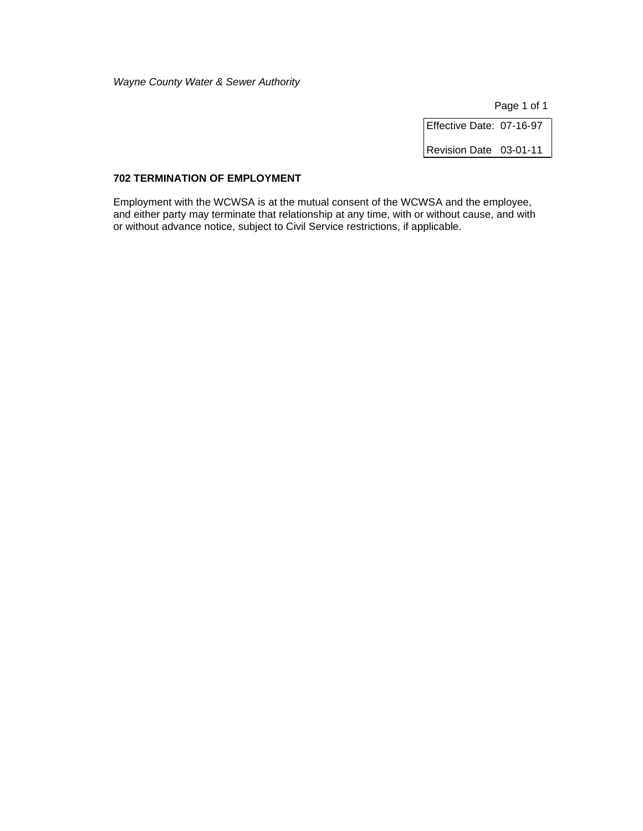Page 1 of 1

Effective Date: 07-16-97 Revision Date 03-01-11

# **702 TERMINATION OF EMPLOYMENT**

Employment with the WCWSA is at the mutual consent of the WCWSA and the employee, and either party may terminate that relationship at any time, with or without cause, and with or without advance notice, subject to Civil Service restrictions, if applicable.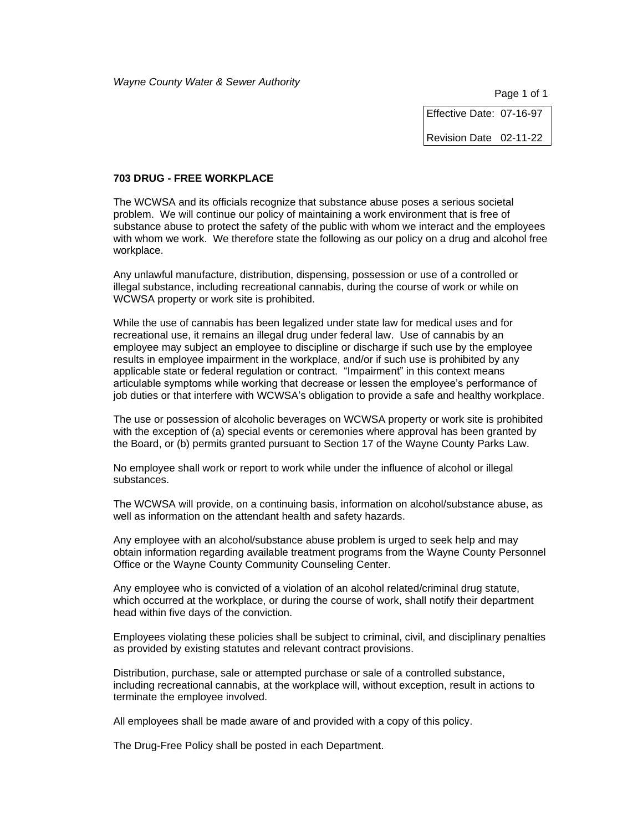Page 1 of 1

Effective Date: 07-16-97

Revision Date 02-11-22

#### **703 DRUG - FREE WORKPLACE**

The WCWSA and its officials recognize that substance abuse poses a serious societal problem. We will continue our policy of maintaining a work environment that is free of substance abuse to protect the safety of the public with whom we interact and the employees with whom we work. We therefore state the following as our policy on a drug and alcohol free workplace.

Any unlawful manufacture, distribution, dispensing, possession or use of a controlled or illegal substance, including recreational cannabis, during the course of work or while on WCWSA property or work site is prohibited.

While the use of cannabis has been legalized under state law for medical uses and for recreational use, it remains an illegal drug under federal law. Use of cannabis by an employee may subject an employee to discipline or discharge if such use by the employee results in employee impairment in the workplace, and/or if such use is prohibited by any applicable state or federal regulation or contract. "Impairment" in this context means articulable symptoms while working that decrease or lessen the employee's performance of job duties or that interfere with WCWSA's obligation to provide a safe and healthy workplace.

The use or possession of alcoholic beverages on WCWSA property or work site is prohibited with the exception of (a) special events or ceremonies where approval has been granted by the Board, or (b) permits granted pursuant to Section 17 of the Wayne County Parks Law.

No employee shall work or report to work while under the influence of alcohol or illegal substances.

The WCWSA will provide, on a continuing basis, information on alcohol/substance abuse, as well as information on the attendant health and safety hazards.

Any employee with an alcohol/substance abuse problem is urged to seek help and may obtain information regarding available treatment programs from the Wayne County Personnel Office or the Wayne County Community Counseling Center.

Any employee who is convicted of a violation of an alcohol related/criminal drug statute, which occurred at the workplace, or during the course of work, shall notify their department head within five days of the conviction.

Employees violating these policies shall be subject to criminal, civil, and disciplinary penalties as provided by existing statutes and relevant contract provisions.

Distribution, purchase, sale or attempted purchase or sale of a controlled substance, including recreational cannabis, at the workplace will, without exception, result in actions to terminate the employee involved.

All employees shall be made aware of and provided with a copy of this policy.

The Drug-Free Policy shall be posted in each Department.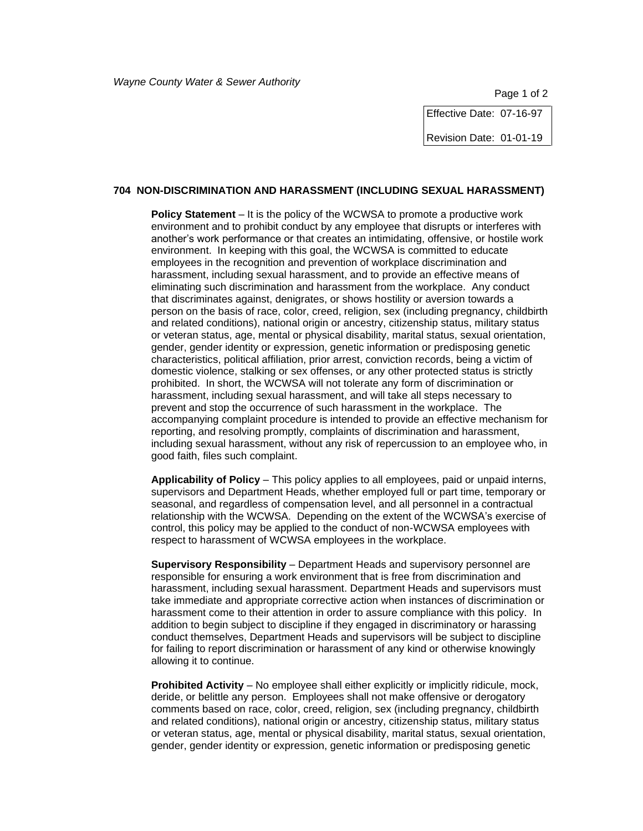Page 1 of 2

Effective Date: 07-16-97

Revision Date: 01-01-19

# **704 NON-DISCRIMINATION AND HARASSMENT (INCLUDING SEXUAL HARASSMENT)**

**Policy Statement** – It is the policy of the WCWSA to promote a productive work environment and to prohibit conduct by any employee that disrupts or interferes with another's work performance or that creates an intimidating, offensive, or hostile work environment. In keeping with this goal, the WCWSA is committed to educate employees in the recognition and prevention of workplace discrimination and harassment, including sexual harassment, and to provide an effective means of eliminating such discrimination and harassment from the workplace. Any conduct that discriminates against, denigrates, or shows hostility or aversion towards a person on the basis of race, color, creed, religion, sex (including pregnancy, childbirth and related conditions), national origin or ancestry, citizenship status, military status or veteran status, age, mental or physical disability, marital status, sexual orientation, gender, gender identity or expression, genetic information or predisposing genetic characteristics, political affiliation, prior arrest, conviction records, being a victim of domestic violence, stalking or sex offenses, or any other protected status is strictly prohibited. In short, the WCWSA will not tolerate any form of discrimination or harassment, including sexual harassment, and will take all steps necessary to prevent and stop the occurrence of such harassment in the workplace. The accompanying complaint procedure is intended to provide an effective mechanism for reporting, and resolving promptly, complaints of discrimination and harassment, including sexual harassment, without any risk of repercussion to an employee who, in good faith, files such complaint.

**Applicability of Policy** – This policy applies to all employees, paid or unpaid interns, supervisors and Department Heads, whether employed full or part time, temporary or seasonal, and regardless of compensation level, and all personnel in a contractual relationship with the WCWSA. Depending on the extent of the WCWSA's exercise of control, this policy may be applied to the conduct of non-WCWSA employees with respect to harassment of WCWSA employees in the workplace.

**Supervisory Responsibility** – Department Heads and supervisory personnel are responsible for ensuring a work environment that is free from discrimination and harassment, including sexual harassment. Department Heads and supervisors must take immediate and appropriate corrective action when instances of discrimination or harassment come to their attention in order to assure compliance with this policy. In addition to begin subject to discipline if they engaged in discriminatory or harassing conduct themselves, Department Heads and supervisors will be subject to discipline for failing to report discrimination or harassment of any kind or otherwise knowingly allowing it to continue.

**Prohibited Activity** – No employee shall either explicitly or implicitly ridicule, mock, deride, or belittle any person. Employees shall not make offensive or derogatory comments based on race, color, creed, religion, sex (including pregnancy, childbirth and related conditions), national origin or ancestry, citizenship status, military status or veteran status, age, mental or physical disability, marital status, sexual orientation, gender, gender identity or expression, genetic information or predisposing genetic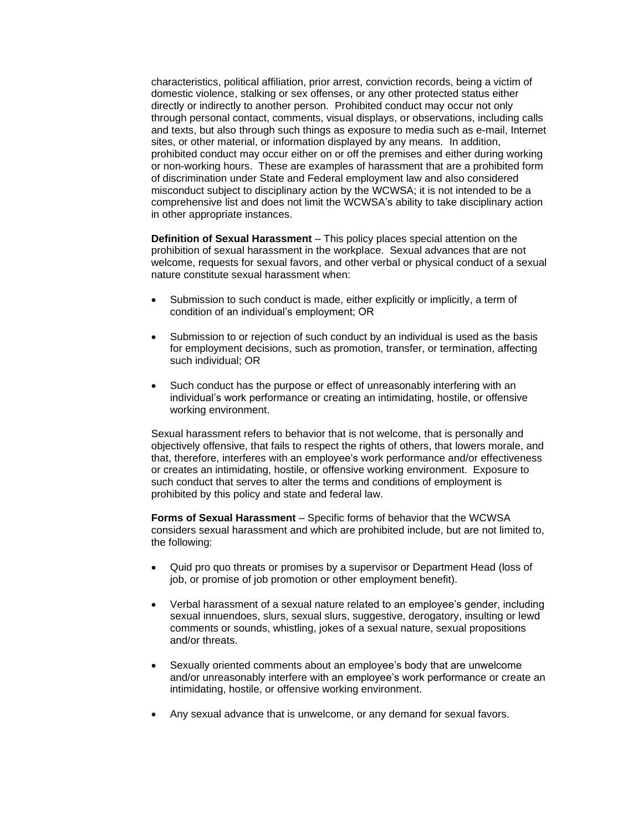characteristics, political affiliation, prior arrest, conviction records, being a victim of domestic violence, stalking or sex offenses, or any other protected status either directly or indirectly to another person. Prohibited conduct may occur not only through personal contact, comments, visual displays, or observations, including calls and texts, but also through such things as exposure to media such as e-mail, Internet sites, or other material, or information displayed by any means. In addition, prohibited conduct may occur either on or off the premises and either during working or non-working hours. These are examples of harassment that are a prohibited form of discrimination under State and Federal employment law and also considered misconduct subject to disciplinary action by the WCWSA; it is not intended to be a comprehensive list and does not limit the WCWSA's ability to take disciplinary action in other appropriate instances.

**Definition of Sexual Harassment** – This policy places special attention on the prohibition of sexual harassment in the workplace. Sexual advances that are not welcome, requests for sexual favors, and other verbal or physical conduct of a sexual nature constitute sexual harassment when:

- Submission to such conduct is made, either explicitly or implicitly, a term of condition of an individual's employment; OR
- Submission to or rejection of such conduct by an individual is used as the basis for employment decisions, such as promotion, transfer, or termination, affecting such individual; OR
- Such conduct has the purpose or effect of unreasonably interfering with an individual's work performance or creating an intimidating, hostile, or offensive working environment.

Sexual harassment refers to behavior that is not welcome, that is personally and objectively offensive, that fails to respect the rights of others, that lowers morale, and that, therefore, interferes with an employee's work performance and/or effectiveness or creates an intimidating, hostile, or offensive working environment. Exposure to such conduct that serves to alter the terms and conditions of employment is prohibited by this policy and state and federal law.

**Forms of Sexual Harassment** – Specific forms of behavior that the WCWSA considers sexual harassment and which are prohibited include, but are not limited to, the following:

- Quid pro quo threats or promises by a supervisor or Department Head (loss of job, or promise of job promotion or other employment benefit).
- Verbal harassment of a sexual nature related to an employee's gender, including sexual innuendoes, slurs, sexual slurs, suggestive, derogatory, insulting or lewd comments or sounds, whistling, jokes of a sexual nature, sexual propositions and/or threats.
- Sexually oriented comments about an employee's body that are unwelcome and/or unreasonably interfere with an employee's work performance or create an intimidating, hostile, or offensive working environment.
- Any sexual advance that is unwelcome, or any demand for sexual favors.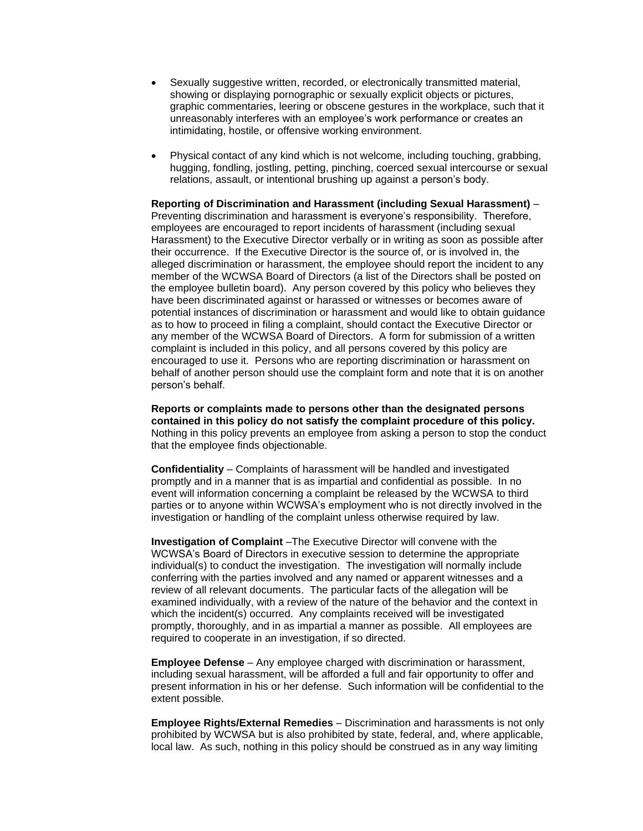- Sexually suggestive written, recorded, or electronically transmitted material, showing or displaying pornographic or sexually explicit objects or pictures, graphic commentaries, leering or obscene gestures in the workplace, such that it unreasonably interferes with an employee's work performance or creates an intimidating, hostile, or offensive working environment.
- Physical contact of any kind which is not welcome, including touching, grabbing, hugging, fondling, jostling, petting, pinching, coerced sexual intercourse or sexual relations, assault, or intentional brushing up against a person's body.

**Reporting of Discrimination and Harassment (including Sexual Harassment)** – Preventing discrimination and harassment is everyone's responsibility. Therefore, employees are encouraged to report incidents of harassment (including sexual Harassment) to the Executive Director verbally or in writing as soon as possible after their occurrence. If the Executive Director is the source of, or is involved in, the alleged discrimination or harassment, the employee should report the incident to any member of the WCWSA Board of Directors (a list of the Directors shall be posted on the employee bulletin board). Any person covered by this policy who believes they have been discriminated against or harassed or witnesses or becomes aware of potential instances of discrimination or harassment and would like to obtain guidance as to how to proceed in filing a complaint, should contact the Executive Director or any member of the WCWSA Board of Directors. A form for submission of a written complaint is included in this policy, and all persons covered by this policy are encouraged to use it. Persons who are reporting discrimination or harassment on behalf of another person should use the complaint form and note that it is on another person's behalf.

**Reports or complaints made to persons other than the designated persons contained in this policy do not satisfy the complaint procedure of this policy.**  Nothing in this policy prevents an employee from asking a person to stop the conduct that the employee finds objectionable.

**Confidentiality** – Complaints of harassment will be handled and investigated promptly and in a manner that is as impartial and confidential as possible. In no event will information concerning a complaint be released by the WCWSA to third parties or to anyone within WCWSA's employment who is not directly involved in the investigation or handling of the complaint unless otherwise required by law.

**Investigation of Complaint** –The Executive Director will convene with the WCWSA's Board of Directors in executive session to determine the appropriate individual(s) to conduct the investigation. The investigation will normally include conferring with the parties involved and any named or apparent witnesses and a review of all relevant documents. The particular facts of the allegation will be examined individually, with a review of the nature of the behavior and the context in which the incident(s) occurred. Any complaints received will be investigated promptly, thoroughly, and in as impartial a manner as possible. All employees are required to cooperate in an investigation, if so directed.

**Employee Defense** – Any employee charged with discrimination or harassment, including sexual harassment, will be afforded a full and fair opportunity to offer and present information in his or her defense. Such information will be confidential to the extent possible.

**Employee Rights/External Remedies** – Discrimination and harassments is not only prohibited by WCWSA but is also prohibited by state, federal, and, where applicable, local law. As such, nothing in this policy should be construed as in any way limiting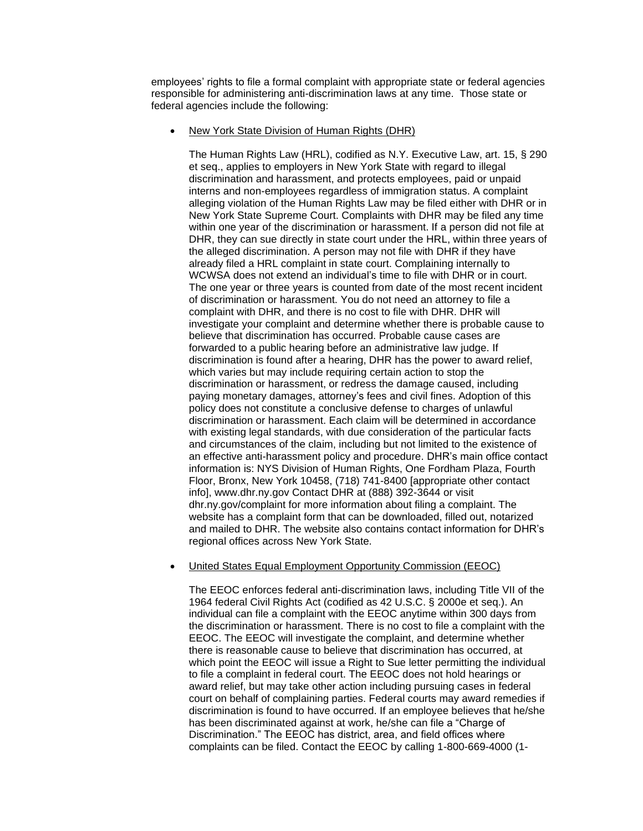employees' rights to file a formal complaint with appropriate state or federal agencies responsible for administering anti-discrimination laws at any time. Those state or federal agencies include the following:

#### • New York State Division of Human Rights (DHR)

The Human Rights Law (HRL), codified as N.Y. Executive Law, art. 15, § 290 et seq., applies to employers in New York State with regard to illegal discrimination and harassment, and protects employees, paid or unpaid interns and non-employees regardless of immigration status. A complaint alleging violation of the Human Rights Law may be filed either with DHR or in New York State Supreme Court. Complaints with DHR may be filed any time within one year of the discrimination or harassment. If a person did not file at DHR, they can sue directly in state court under the HRL, within three years of the alleged discrimination. A person may not file with DHR if they have already filed a HRL complaint in state court. Complaining internally to WCWSA does not extend an individual's time to file with DHR or in court. The one year or three years is counted from date of the most recent incident of discrimination or harassment. You do not need an attorney to file a complaint with DHR, and there is no cost to file with DHR. DHR will investigate your complaint and determine whether there is probable cause to believe that discrimination has occurred. Probable cause cases are forwarded to a public hearing before an administrative law judge. If discrimination is found after a hearing, DHR has the power to award relief, which varies but may include requiring certain action to stop the discrimination or harassment, or redress the damage caused, including paying monetary damages, attorney's fees and civil fines. Adoption of this policy does not constitute a conclusive defense to charges of unlawful discrimination or harassment. Each claim will be determined in accordance with existing legal standards, with due consideration of the particular facts and circumstances of the claim, including but not limited to the existence of an effective anti-harassment policy and procedure. DHR's main office contact information is: NYS Division of Human Rights, One Fordham Plaza, Fourth Floor, Bronx, New York 10458, (718) 741-8400 [appropriate other contact info], www.dhr.ny.gov Contact DHR at (888) 392-3644 or visit dhr.ny.gov/complaint for more information about filing a complaint. The website has a complaint form that can be downloaded, filled out, notarized and mailed to DHR. The website also contains contact information for DHR's regional offices across New York State.

# • United States Equal Employment Opportunity Commission (EEOC)

The EEOC enforces federal anti-discrimination laws, including Title VII of the 1964 federal Civil Rights Act (codified as 42 U.S.C. § 2000e et seq.). An individual can file a complaint with the EEOC anytime within 300 days from the discrimination or harassment. There is no cost to file a complaint with the EEOC. The EEOC will investigate the complaint, and determine whether there is reasonable cause to believe that discrimination has occurred, at which point the EEOC will issue a Right to Sue letter permitting the individual to file a complaint in federal court. The EEOC does not hold hearings or award relief, but may take other action including pursuing cases in federal court on behalf of complaining parties. Federal courts may award remedies if discrimination is found to have occurred. If an employee believes that he/she has been discriminated against at work, he/she can file a "Charge of Discrimination." The EEOC has district, area, and field offices where complaints can be filed. Contact the EEOC by calling 1-800-669-4000 (1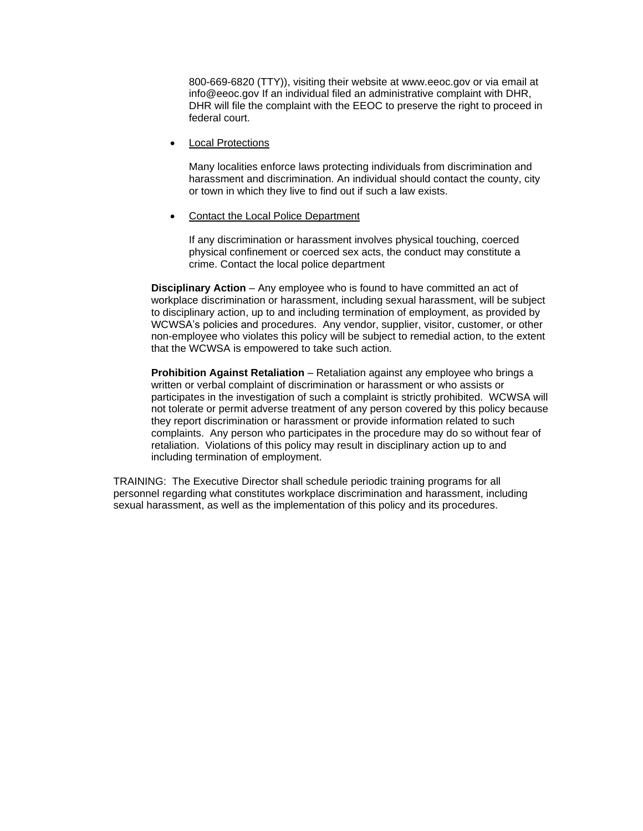800-669-6820 (TTY)), visiting their website at www.eeoc.gov or via email at info@eeoc.gov If an individual filed an administrative complaint with DHR, DHR will file the complaint with the EEOC to preserve the right to proceed in federal court.

• Local Protections

Many localities enforce laws protecting individuals from discrimination and harassment and discrimination. An individual should contact the county, city or town in which they live to find out if such a law exists.

• Contact the Local Police Department

If any discrimination or harassment involves physical touching, coerced physical confinement or coerced sex acts, the conduct may constitute a crime. Contact the local police department

**Disciplinary Action** – Any employee who is found to have committed an act of workplace discrimination or harassment, including sexual harassment, will be subject to disciplinary action, up to and including termination of employment, as provided by WCWSA's policies and procedures. Any vendor, supplier, visitor, customer, or other non-employee who violates this policy will be subject to remedial action, to the extent that the WCWSA is empowered to take such action.

**Prohibition Against Retaliation** – Retaliation against any employee who brings a written or verbal complaint of discrimination or harassment or who assists or participates in the investigation of such a complaint is strictly prohibited. WCWSA will not tolerate or permit adverse treatment of any person covered by this policy because they report discrimination or harassment or provide information related to such complaints. Any person who participates in the procedure may do so without fear of retaliation. Violations of this policy may result in disciplinary action up to and including termination of employment.

TRAINING: The Executive Director shall schedule periodic training programs for all personnel regarding what constitutes workplace discrimination and harassment, including sexual harassment, as well as the implementation of this policy and its procedures.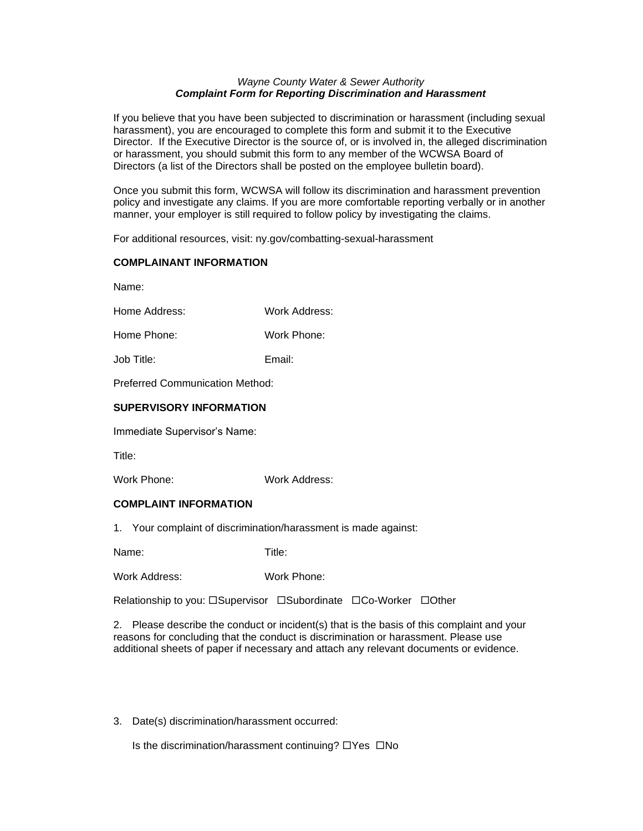# *Wayne County Water & Sewer Authority Complaint Form for Reporting Discrimination and Harassment*

If you believe that you have been subjected to discrimination or harassment (including sexual harassment), you are encouraged to complete this form and submit it to the Executive Director. If the Executive Director is the source of, or is involved in, the alleged discrimination or harassment, you should submit this form to any member of the WCWSA Board of Directors (a list of the Directors shall be posted on the employee bulletin board).

Once you submit this form, WCWSA will follow its discrimination and harassment prevention policy and investigate any claims. If you are more comfortable reporting verbally or in another manner, your employer is still required to follow policy by investigating the claims.

For additional resources, visit: ny.gov/combatting-sexual-harassment

# **COMPLAINANT INFORMATION**

Name:

Home Address: Work Address:

Home Phone: Work Phone:

Job Title: Email:

Preferred Communication Method:

# **SUPERVISORY INFORMATION**

Immediate Supervisor's Name:

Title:

Work Phone: Work Address:

# **COMPLAINT INFORMATION**

1. Your complaint of discrimination/harassment is made against:

Name: Title:

Work Address: Work Phone:

Relationship to you:  $\square$ Supervisor  $\square$ Subordinate  $\square$ Co-Worker  $\square$ Other

2. Please describe the conduct or incident(s) that is the basis of this complaint and your reasons for concluding that the conduct is discrimination or harassment. Please use additional sheets of paper if necessary and attach any relevant documents or evidence.

3. Date(s) discrimination/harassment occurred:

Is the discrimination/harassment continuing?  $\Box$  Yes  $\Box$  No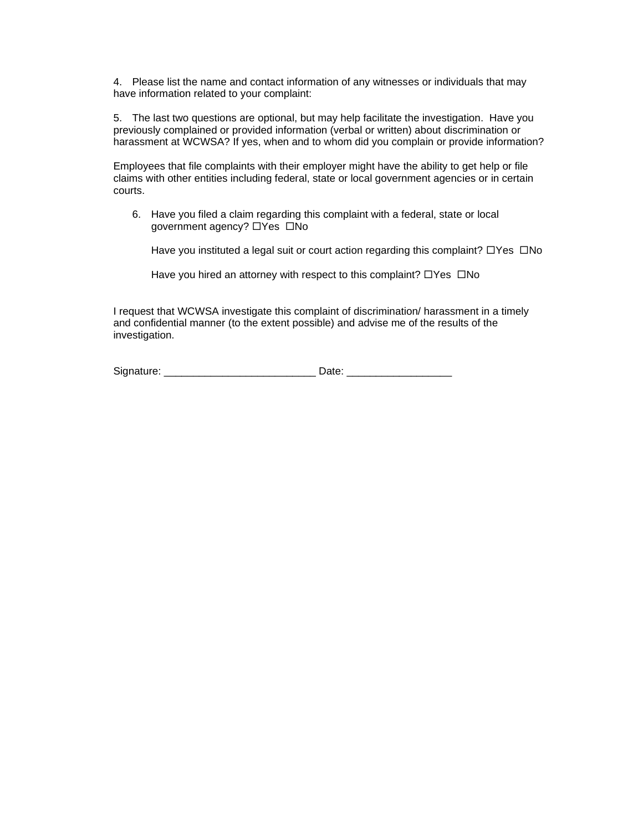4. Please list the name and contact information of any witnesses or individuals that may have information related to your complaint:

5. The last two questions are optional, but may help facilitate the investigation. Have you previously complained or provided information (verbal or written) about discrimination or harassment at WCWSA? If yes, when and to whom did you complain or provide information?

Employees that file complaints with their employer might have the ability to get help or file claims with other entities including federal, state or local government agencies or in certain courts.

6. Have you filed a claim regarding this complaint with a federal, state or local government agency?  $\Box$  Yes  $\Box$  No

Have you instituted a legal suit or court action regarding this complaint?  $\Box$ Yes  $\Box$ No

Have you hired an attorney with respect to this complaint?  $\Box$  Yes  $\Box$  No

I request that WCWSA investigate this complaint of discrimination/ harassment in a timely and confidential manner (to the extent possible) and advise me of the results of the investigation.

| Signature: |  |
|------------|--|
|------------|--|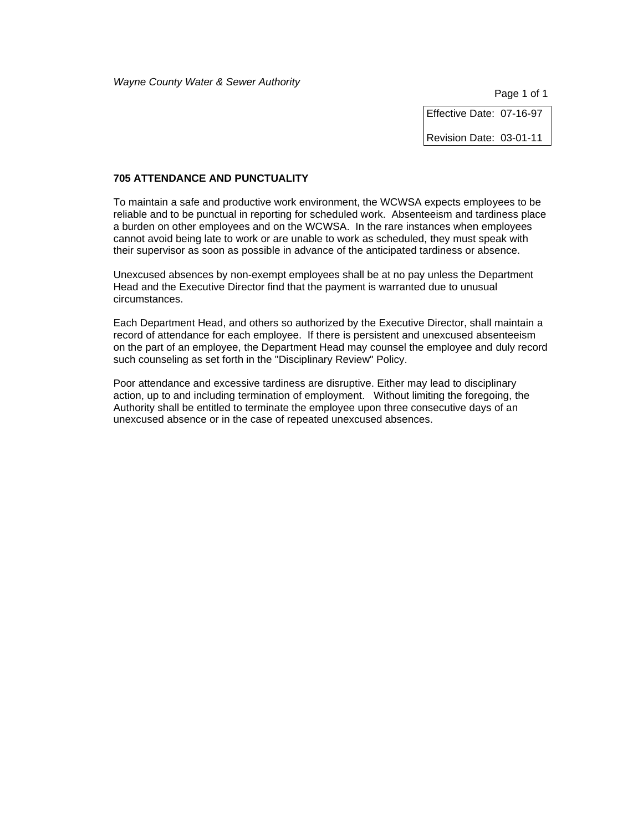Page 1 of 1

Effective Date: 07-16-97

Revision Date: 03-01-11

# **705 ATTENDANCE AND PUNCTUALITY**

To maintain a safe and productive work environment, the WCWSA expects employees to be reliable and to be punctual in reporting for scheduled work. Absenteeism and tardiness place a burden on other employees and on the WCWSA. In the rare instances when employees cannot avoid being late to work or are unable to work as scheduled, they must speak with their supervisor as soon as possible in advance of the anticipated tardiness or absence.

Unexcused absences by non-exempt employees shall be at no pay unless the Department Head and the Executive Director find that the payment is warranted due to unusual circumstances.

Each Department Head, and others so authorized by the Executive Director, shall maintain a record of attendance for each employee. If there is persistent and unexcused absenteeism on the part of an employee, the Department Head may counsel the employee and duly record such counseling as set forth in the "Disciplinary Review" Policy.

Poor attendance and excessive tardiness are disruptive. Either may lead to disciplinary action, up to and including termination of employment. Without limiting the foregoing, the Authority shall be entitled to terminate the employee upon three consecutive days of an unexcused absence or in the case of repeated unexcused absences.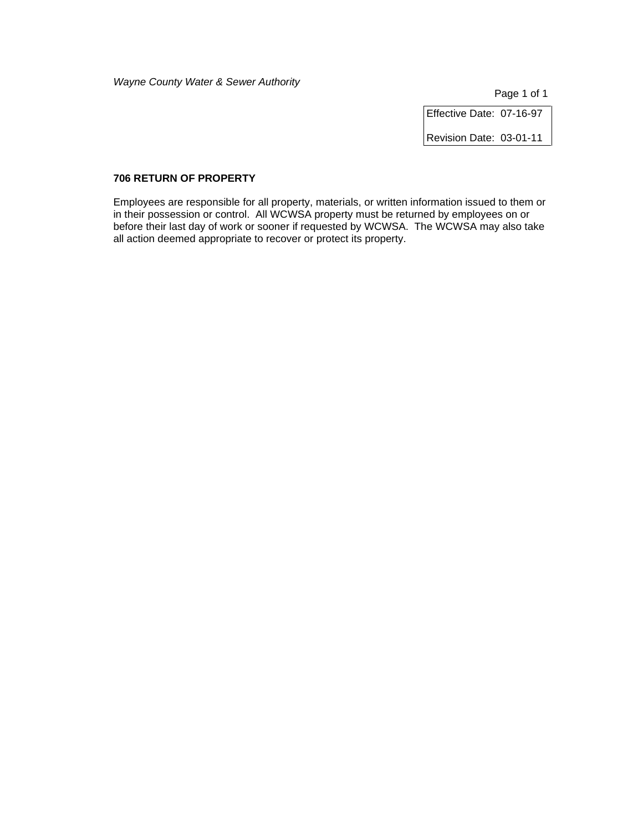Page 1 of 1

Effective Date: 07-16-97

Revision Date: 03-01-11

# **706 RETURN OF PROPERTY**

Employees are responsible for all property, materials, or written information issued to them or in their possession or control. All WCWSA property must be returned by employees on or before their last day of work or sooner if requested by WCWSA. The WCWSA may also take all action deemed appropriate to recover or protect its property.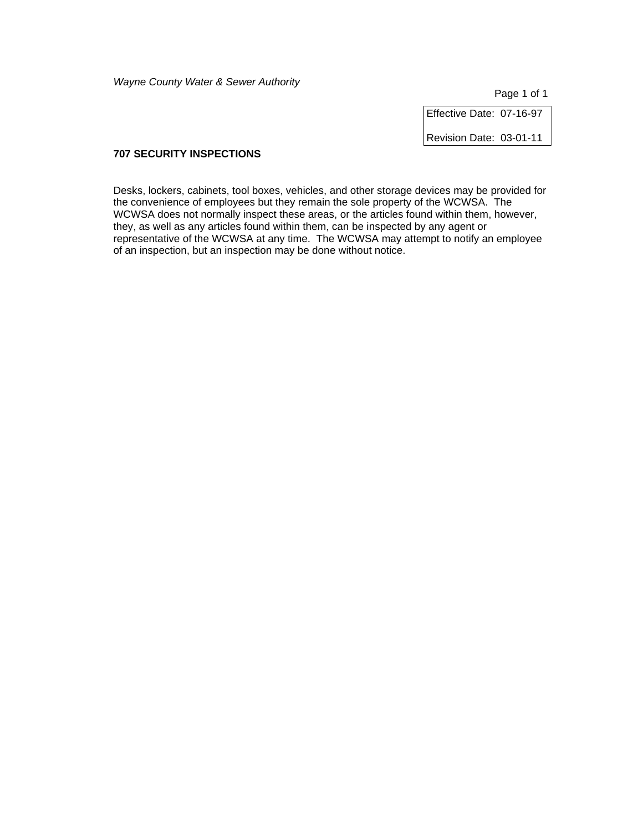Page 1 of 1

Effective Date: 07-16-97

Revision Date: 03-01-11

# **707 SECURITY INSPECTIONS**

Desks, lockers, cabinets, tool boxes, vehicles, and other storage devices may be provided for the convenience of employees but they remain the sole property of the WCWSA. The WCWSA does not normally inspect these areas, or the articles found within them, however, they, as well as any articles found within them, can be inspected by any agent or representative of the WCWSA at any time. The WCWSA may attempt to notify an employee of an inspection, but an inspection may be done without notice.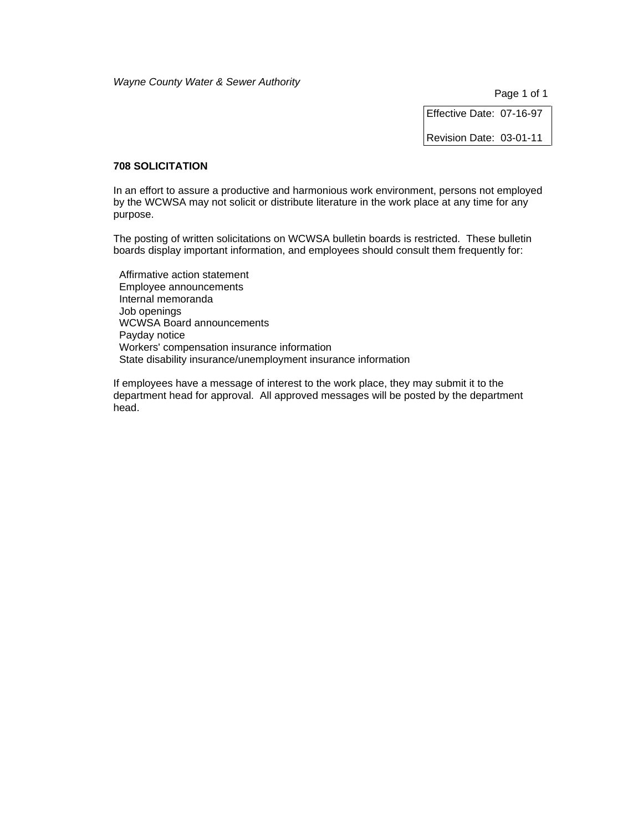Page 1 of 1

Effective Date: 07-16-97

Revision Date: 03-01-11

### **708 SOLICITATION**

In an effort to assure a productive and harmonious work environment, persons not employed by the WCWSA may not solicit or distribute literature in the work place at any time for any purpose.

The posting of written solicitations on WCWSA bulletin boards is restricted. These bulletin boards display important information, and employees should consult them frequently for:

 Affirmative action statement Employee announcements Internal memoranda Job openings WCWSA Board announcements Payday notice Workers' compensation insurance information State disability insurance/unemployment insurance information

If employees have a message of interest to the work place, they may submit it to the department head for approval. All approved messages will be posted by the department head.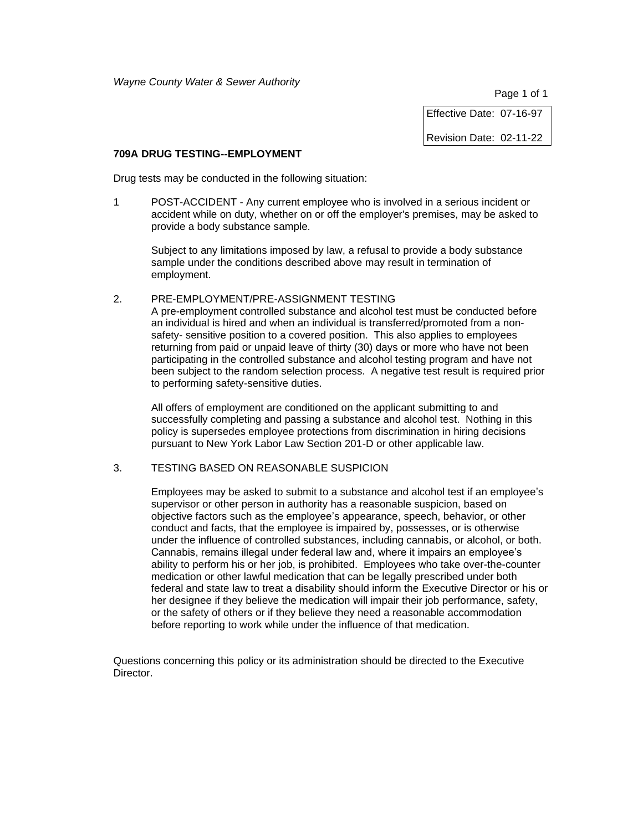Page 1 of 1

Effective Date: 07-16-97

Revision Date: 02-11-22

#### **709A DRUG TESTING--EMPLOYMENT**

Drug tests may be conducted in the following situation:

1 POST-ACCIDENT - Any current employee who is involved in a serious incident or accident while on duty, whether on or off the employer's premises, may be asked to provide a body substance sample.

Subject to any limitations imposed by law, a refusal to provide a body substance sample under the conditions described above may result in termination of employment.

# 2. PRE-EMPLOYMENT/PRE-ASSIGNMENT TESTING

A pre-employment controlled substance and alcohol test must be conducted before an individual is hired and when an individual is transferred/promoted from a nonsafety- sensitive position to a covered position. This also applies to employees returning from paid or unpaid leave of thirty (30) days or more who have not been participating in the controlled substance and alcohol testing program and have not been subject to the random selection process. A negative test result is required prior to performing safety-sensitive duties.

All offers of employment are conditioned on the applicant submitting to and successfully completing and passing a substance and alcohol test. Nothing in this policy is supersedes employee protections from discrimination in hiring decisions pursuant to New York Labor Law Section 201-D or other applicable law.

3. TESTING BASED ON REASONABLE SUSPICION

Employees may be asked to submit to a substance and alcohol test if an employee's supervisor or other person in authority has a reasonable suspicion, based on objective factors such as the employee's appearance, speech, behavior, or other conduct and facts, that the employee is impaired by, possesses, or is otherwise under the influence of controlled substances, including cannabis, or alcohol, or both. Cannabis, remains illegal under federal law and, where it impairs an employee's ability to perform his or her job, is prohibited. Employees who take over-the-counter medication or other lawful medication that can be legally prescribed under both federal and state law to treat a disability should inform the Executive Director or his or her designee if they believe the medication will impair their job performance, safety, or the safety of others or if they believe they need a reasonable accommodation before reporting to work while under the influence of that medication.

Questions concerning this policy or its administration should be directed to the Executive Director.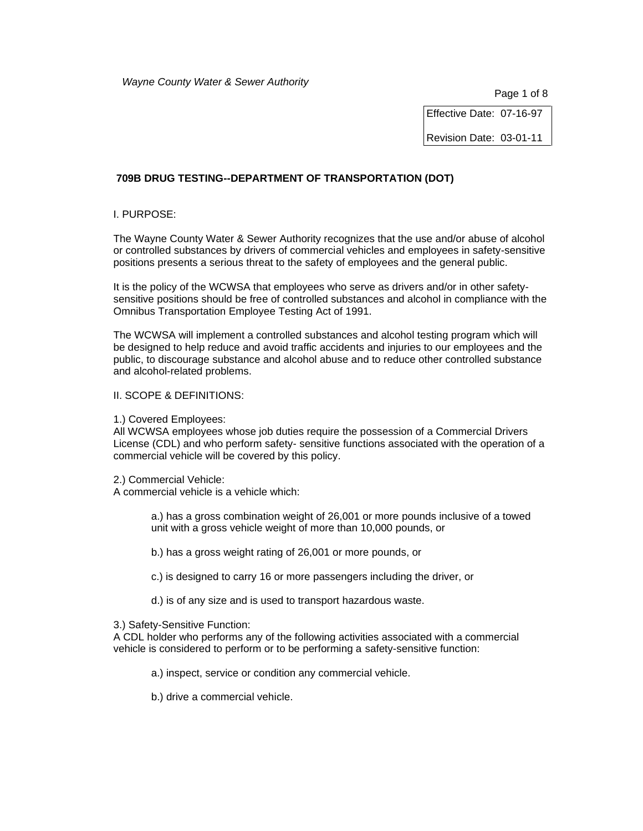Page 1 of 8

Effective Date: 07-16-97

Revision Date: 03-01-11

# **709B DRUG TESTING--DEPARTMENT OF TRANSPORTATION (DOT)**

# I. PURPOSE:

The Wayne County Water & Sewer Authority recognizes that the use and/or abuse of alcohol or controlled substances by drivers of commercial vehicles and employees in safety-sensitive positions presents a serious threat to the safety of employees and the general public.

It is the policy of the WCWSA that employees who serve as drivers and/or in other safetysensitive positions should be free of controlled substances and alcohol in compliance with the Omnibus Transportation Employee Testing Act of 1991.

The WCWSA will implement a controlled substances and alcohol testing program which will be designed to help reduce and avoid traffic accidents and injuries to our employees and the public, to discourage substance and alcohol abuse and to reduce other controlled substance and alcohol-related problems.

- II. SCOPE & DEFINITIONS:
- 1.) Covered Employees:

All WCWSA employees whose job duties require the possession of a Commercial Drivers License (CDL) and who perform safety- sensitive functions associated with the operation of a commercial vehicle will be covered by this policy.

2.) Commercial Vehicle:

A commercial vehicle is a vehicle which:

a.) has a gross combination weight of 26,001 or more pounds inclusive of a towed unit with a gross vehicle weight of more than 10,000 pounds, or

b.) has a gross weight rating of 26,001 or more pounds, or

c.) is designed to carry 16 or more passengers including the driver, or

d.) is of any size and is used to transport hazardous waste.

3.) Safety-Sensitive Function:

A CDL holder who performs any of the following activities associated with a commercial vehicle is considered to perform or to be performing a safety-sensitive function:

a.) inspect, service or condition any commercial vehicle.

b.) drive a commercial vehicle.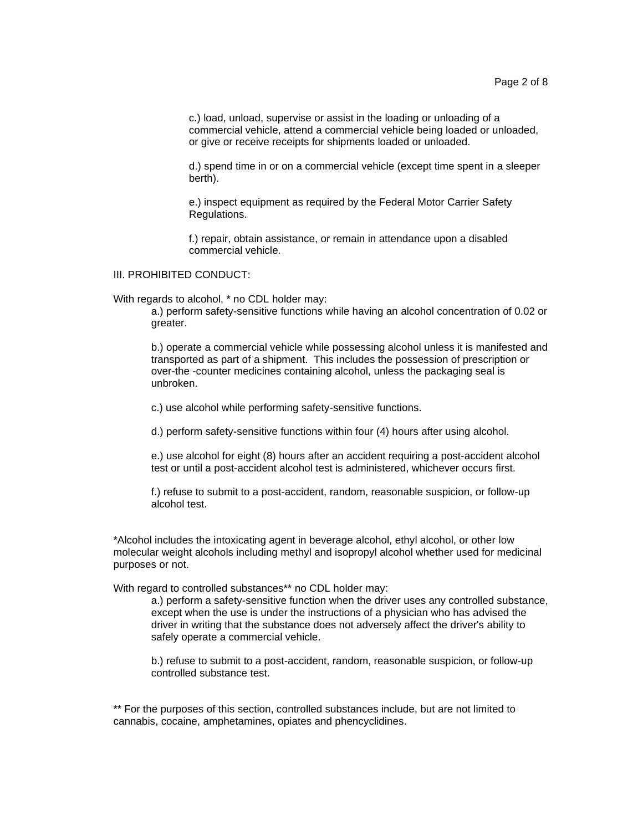c.) load, unload, supervise or assist in the loading or unloading of a commercial vehicle, attend a commercial vehicle being loaded or unloaded, or give or receive receipts for shipments loaded or unloaded.

d.) spend time in or on a commercial vehicle (except time spent in a sleeper berth).

e.) inspect equipment as required by the Federal Motor Carrier Safety Regulations.

f.) repair, obtain assistance, or remain in attendance upon a disabled commercial vehicle.

III. PROHIBITED CONDUCT:

With regards to alcohol, \* no CDL holder may:

a.) perform safety-sensitive functions while having an alcohol concentration of 0.02 or greater.

b.) operate a commercial vehicle while possessing alcohol unless it is manifested and transported as part of a shipment. This includes the possession of prescription or over-the -counter medicines containing alcohol, unless the packaging seal is unbroken.

c.) use alcohol while performing safety-sensitive functions.

d.) perform safety-sensitive functions within four (4) hours after using alcohol.

e.) use alcohol for eight (8) hours after an accident requiring a post-accident alcohol test or until a post-accident alcohol test is administered, whichever occurs first.

f.) refuse to submit to a post-accident, random, reasonable suspicion, or follow-up alcohol test.

\*Alcohol includes the intoxicating agent in beverage alcohol, ethyl alcohol, or other low molecular weight alcohols including methyl and isopropyl alcohol whether used for medicinal purposes or not.

With regard to controlled substances\*\* no CDL holder may:

a.) perform a safety-sensitive function when the driver uses any controlled substance, except when the use is under the instructions of a physician who has advised the driver in writing that the substance does not adversely affect the driver's ability to safely operate a commercial vehicle.

b.) refuse to submit to a post-accident, random, reasonable suspicion, or follow-up controlled substance test.

\*\* For the purposes of this section, controlled substances include, but are not limited to cannabis, cocaine, amphetamines, opiates and phencyclidines.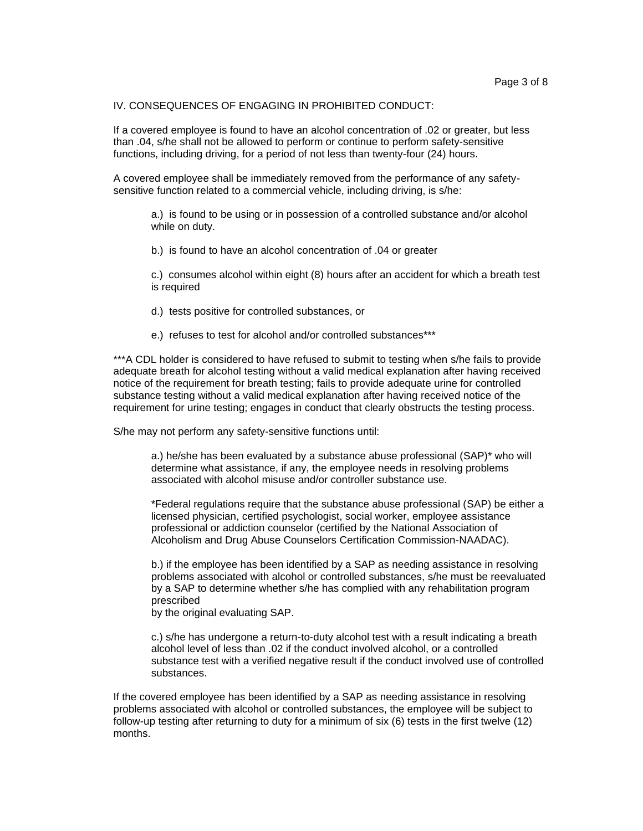#### IV. CONSEQUENCES OF ENGAGING IN PROHIBITED CONDUCT:

If a covered employee is found to have an alcohol concentration of .02 or greater, but less than .04, s/he shall not be allowed to perform or continue to perform safety-sensitive functions, including driving, for a period of not less than twenty-four (24) hours.

A covered employee shall be immediately removed from the performance of any safetysensitive function related to a commercial vehicle, including driving, is s/he:

a.) is found to be using or in possession of a controlled substance and/or alcohol while on duty.

b.) is found to have an alcohol concentration of .04 or greater

c.) consumes alcohol within eight (8) hours after an accident for which a breath test is required

- d.) tests positive for controlled substances, or
- e.) refuses to test for alcohol and/or controlled substances\*\*\*

\*\*\*A CDL holder is considered to have refused to submit to testing when s/he fails to provide adequate breath for alcohol testing without a valid medical explanation after having received notice of the requirement for breath testing; fails to provide adequate urine for controlled substance testing without a valid medical explanation after having received notice of the requirement for urine testing; engages in conduct that clearly obstructs the testing process.

S/he may not perform any safety-sensitive functions until:

a.) he/she has been evaluated by a substance abuse professional (SAP)\* who will determine what assistance, if any, the employee needs in resolving problems associated with alcohol misuse and/or controller substance use.

\*Federal regulations require that the substance abuse professional (SAP) be either a licensed physician, certified psychologist, social worker, employee assistance professional or addiction counselor (certified by the National Association of Alcoholism and Drug Abuse Counselors Certification Commission-NAADAC).

b.) if the employee has been identified by a SAP as needing assistance in resolving problems associated with alcohol or controlled substances, s/he must be reevaluated by a SAP to determine whether s/he has complied with any rehabilitation program prescribed

by the original evaluating SAP.

c.) s/he has undergone a return-to-duty alcohol test with a result indicating a breath alcohol level of less than .02 if the conduct involved alcohol, or a controlled substance test with a verified negative result if the conduct involved use of controlled substances.

If the covered employee has been identified by a SAP as needing assistance in resolving problems associated with alcohol or controlled substances, the employee will be subject to follow-up testing after returning to duty for a minimum of six (6) tests in the first twelve (12) months.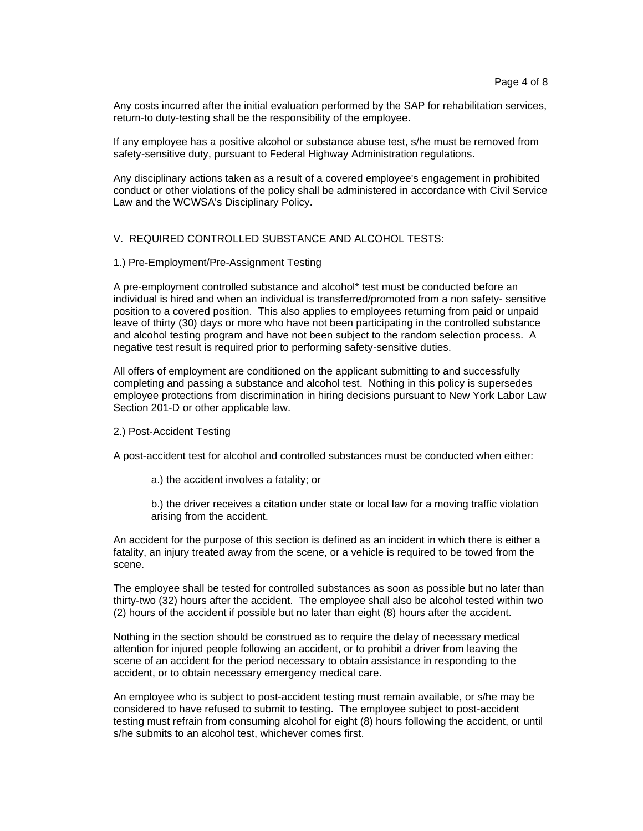Any costs incurred after the initial evaluation performed by the SAP for rehabilitation services, return-to duty-testing shall be the responsibility of the employee.

If any employee has a positive alcohol or substance abuse test, s/he must be removed from safety-sensitive duty, pursuant to Federal Highway Administration regulations.

Any disciplinary actions taken as a result of a covered employee's engagement in prohibited conduct or other violations of the policy shall be administered in accordance with Civil Service Law and the WCWSA's Disciplinary Policy.

#### V. REQUIRED CONTROLLED SUBSTANCE AND ALCOHOL TESTS:

#### 1.) Pre-Employment/Pre-Assignment Testing

A pre-employment controlled substance and alcohol\* test must be conducted before an individual is hired and when an individual is transferred/promoted from a non safety- sensitive position to a covered position. This also applies to employees returning from paid or unpaid leave of thirty (30) days or more who have not been participating in the controlled substance and alcohol testing program and have not been subject to the random selection process. A negative test result is required prior to performing safety-sensitive duties.

All offers of employment are conditioned on the applicant submitting to and successfully completing and passing a substance and alcohol test. Nothing in this policy is supersedes employee protections from discrimination in hiring decisions pursuant to New York Labor Law Section 201-D or other applicable law.

#### 2.) Post-Accident Testing

A post-accident test for alcohol and controlled substances must be conducted when either:

a.) the accident involves a fatality; or

b.) the driver receives a citation under state or local law for a moving traffic violation arising from the accident.

An accident for the purpose of this section is defined as an incident in which there is either a fatality, an injury treated away from the scene, or a vehicle is required to be towed from the scene.

The employee shall be tested for controlled substances as soon as possible but no later than thirty-two (32) hours after the accident. The employee shall also be alcohol tested within two (2) hours of the accident if possible but no later than eight (8) hours after the accident.

Nothing in the section should be construed as to require the delay of necessary medical attention for injured people following an accident, or to prohibit a driver from leaving the scene of an accident for the period necessary to obtain assistance in responding to the accident, or to obtain necessary emergency medical care.

An employee who is subject to post-accident testing must remain available, or s/he may be considered to have refused to submit to testing. The employee subject to post-accident testing must refrain from consuming alcohol for eight (8) hours following the accident, or until s/he submits to an alcohol test, whichever comes first.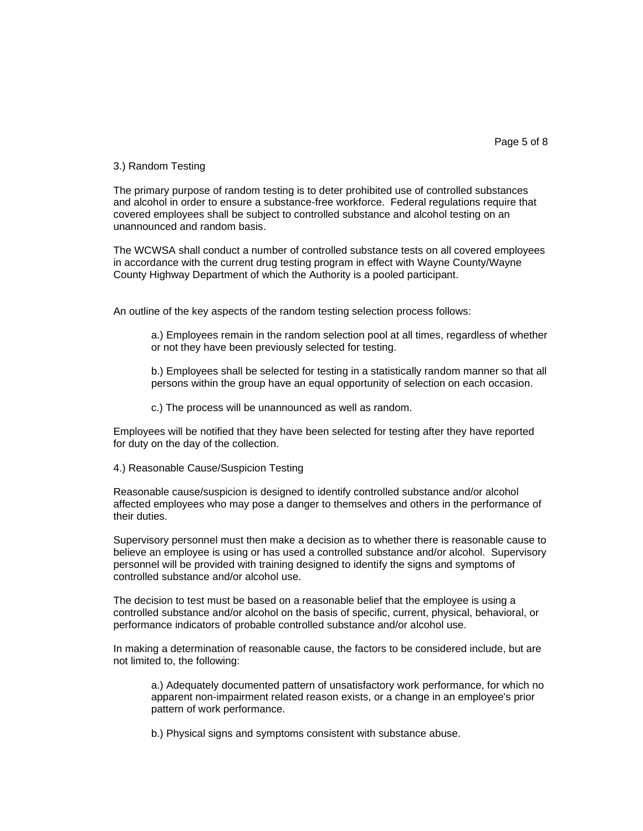### 3.) Random Testing

The primary purpose of random testing is to deter prohibited use of controlled substances and alcohol in order to ensure a substance-free workforce. Federal regulations require that covered employees shall be subject to controlled substance and alcohol testing on an unannounced and random basis.

The WCWSA shall conduct a number of controlled substance tests on all covered employees in accordance with the current drug testing program in effect with Wayne County/Wayne County Highway Department of which the Authority is a pooled participant.

An outline of the key aspects of the random testing selection process follows:

a.) Employees remain in the random selection pool at all times, regardless of whether or not they have been previously selected for testing.

b.) Employees shall be selected for testing in a statistically random manner so that all persons within the group have an equal opportunity of selection on each occasion.

c.) The process will be unannounced as well as random.

Employees will be notified that they have been selected for testing after they have reported for duty on the day of the collection.

4.) Reasonable Cause/Suspicion Testing

Reasonable cause/suspicion is designed to identify controlled substance and/or alcohol affected employees who may pose a danger to themselves and others in the performance of their duties.

Supervisory personnel must then make a decision as to whether there is reasonable cause to believe an employee is using or has used a controlled substance and/or alcohol. Supervisory personnel will be provided with training designed to identify the signs and symptoms of controlled substance and/or alcohol use.

The decision to test must be based on a reasonable belief that the employee is using a controlled substance and/or alcohol on the basis of specific, current, physical, behavioral, or performance indicators of probable controlled substance and/or alcohol use.

In making a determination of reasonable cause, the factors to be considered include, but are not limited to, the following:

a.) Adequately documented pattern of unsatisfactory work performance, for which no apparent non-impairment related reason exists, or a change in an employee's prior pattern of work performance.

b.) Physical signs and symptoms consistent with substance abuse.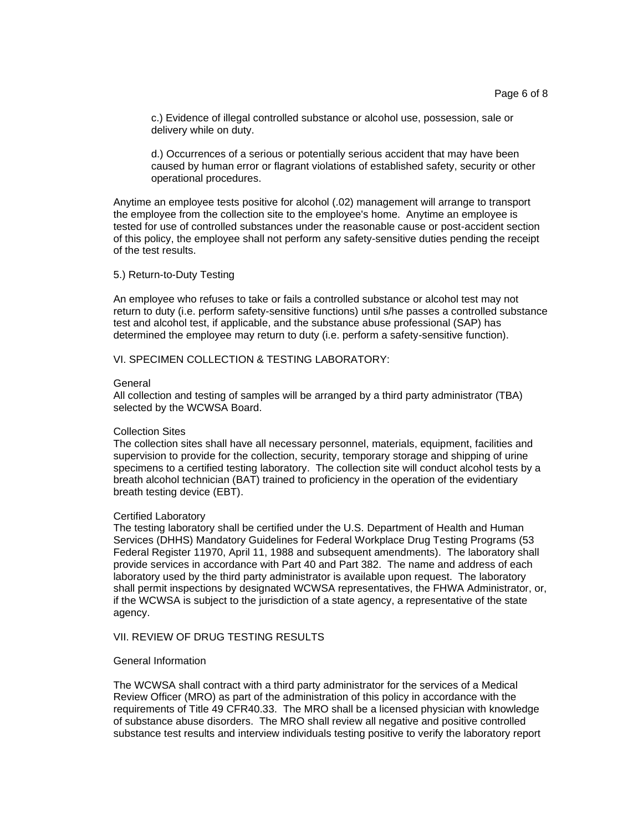c.) Evidence of illegal controlled substance or alcohol use, possession, sale or delivery while on duty.

d.) Occurrences of a serious or potentially serious accident that may have been caused by human error or flagrant violations of established safety, security or other operational procedures.

Anytime an employee tests positive for alcohol (.02) management will arrange to transport the employee from the collection site to the employee's home. Anytime an employee is tested for use of controlled substances under the reasonable cause or post-accident section of this policy, the employee shall not perform any safety-sensitive duties pending the receipt of the test results.

5.) Return-to-Duty Testing

An employee who refuses to take or fails a controlled substance or alcohol test may not return to duty (i.e. perform safety-sensitive functions) until s/he passes a controlled substance test and alcohol test, if applicable, and the substance abuse professional (SAP) has determined the employee may return to duty (i.e. perform a safety-sensitive function).

VI. SPECIMEN COLLECTION & TESTING LABORATORY:

#### **General**

All collection and testing of samples will be arranged by a third party administrator (TBA) selected by the WCWSA Board.

#### Collection Sites

The collection sites shall have all necessary personnel, materials, equipment, facilities and supervision to provide for the collection, security, temporary storage and shipping of urine specimens to a certified testing laboratory. The collection site will conduct alcohol tests by a breath alcohol technician (BAT) trained to proficiency in the operation of the evidentiary breath testing device (EBT).

#### Certified Laboratory

The testing laboratory shall be certified under the U.S. Department of Health and Human Services (DHHS) Mandatory Guidelines for Federal Workplace Drug Testing Programs (53 Federal Register 11970, April 11, 1988 and subsequent amendments). The laboratory shall provide services in accordance with Part 40 and Part 382. The name and address of each laboratory used by the third party administrator is available upon request. The laboratory shall permit inspections by designated WCWSA representatives, the FHWA Administrator, or, if the WCWSA is subject to the jurisdiction of a state agency, a representative of the state agency.

### VII. REVIEW OF DRUG TESTING RESULTS

#### General Information

The WCWSA shall contract with a third party administrator for the services of a Medical Review Officer (MRO) as part of the administration of this policy in accordance with the requirements of Title 49 CFR40.33. The MRO shall be a licensed physician with knowledge of substance abuse disorders. The MRO shall review all negative and positive controlled substance test results and interview individuals testing positive to verify the laboratory report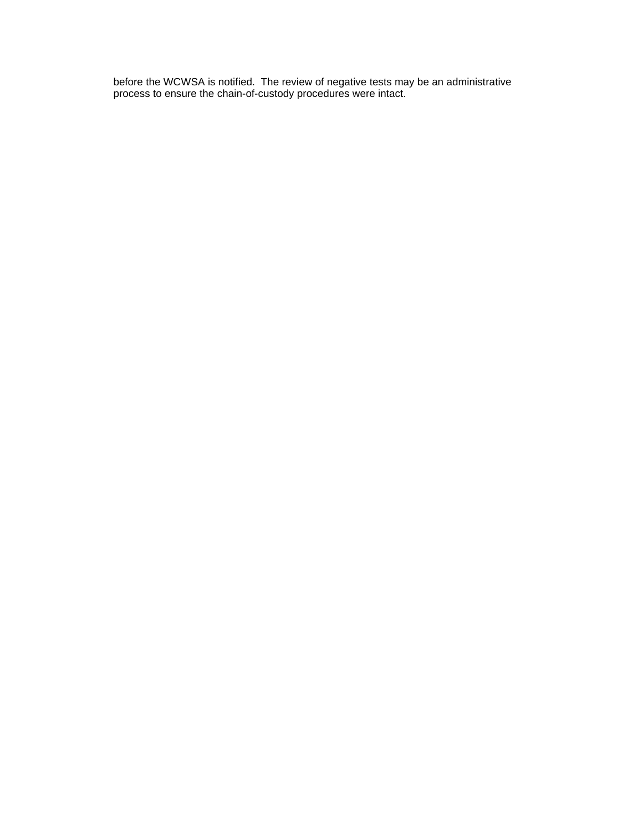before the WCWSA is notified. The review of negative tests may be an administrative process to ensure the chain-of-custody procedures were intact.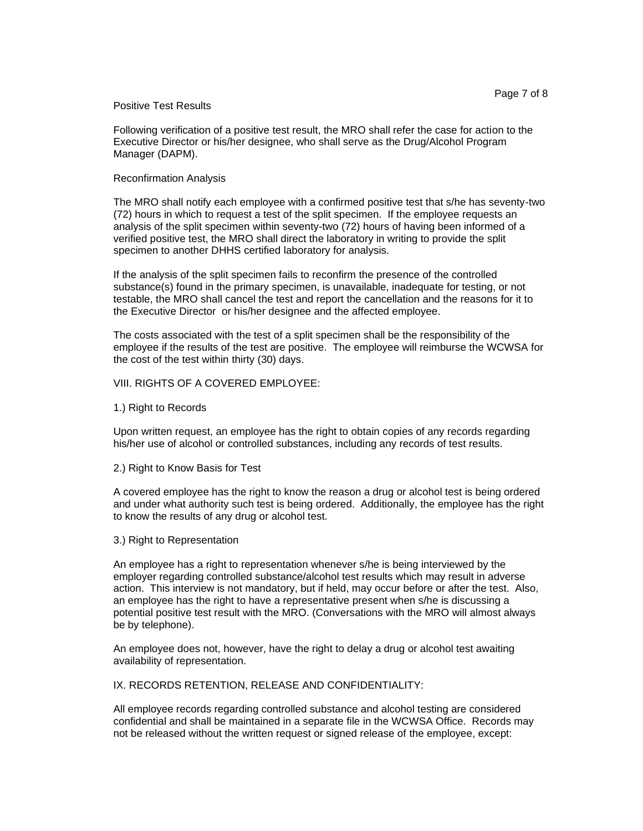#### Positive Test Results

Following verification of a positive test result, the MRO shall refer the case for action to the Executive Director or his/her designee, who shall serve as the Drug/Alcohol Program Manager (DAPM).

#### Reconfirmation Analysis

The MRO shall notify each employee with a confirmed positive test that s/he has seventy-two (72) hours in which to request a test of the split specimen. If the employee requests an analysis of the split specimen within seventy-two (72) hours of having been informed of a verified positive test, the MRO shall direct the laboratory in writing to provide the split specimen to another DHHS certified laboratory for analysis.

If the analysis of the split specimen fails to reconfirm the presence of the controlled substance(s) found in the primary specimen, is unavailable, inadequate for testing, or not testable, the MRO shall cancel the test and report the cancellation and the reasons for it to the Executive Director or his/her designee and the affected employee.

The costs associated with the test of a split specimen shall be the responsibility of the employee if the results of the test are positive. The employee will reimburse the WCWSA for the cost of the test within thirty (30) days.

#### VIII. RIGHTS OF A COVERED EMPLOYEE:

#### 1.) Right to Records

Upon written request, an employee has the right to obtain copies of any records regarding his/her use of alcohol or controlled substances, including any records of test results.

2.) Right to Know Basis for Test

A covered employee has the right to know the reason a drug or alcohol test is being ordered and under what authority such test is being ordered. Additionally, the employee has the right to know the results of any drug or alcohol test.

#### 3.) Right to Representation

An employee has a right to representation whenever s/he is being interviewed by the employer regarding controlled substance/alcohol test results which may result in adverse action. This interview is not mandatory, but if held, may occur before or after the test. Also, an employee has the right to have a representative present when s/he is discussing a potential positive test result with the MRO. (Conversations with the MRO will almost always be by telephone).

An employee does not, however, have the right to delay a drug or alcohol test awaiting availability of representation.

IX. RECORDS RETENTION, RELEASE AND CONFIDENTIALITY:

All employee records regarding controlled substance and alcohol testing are considered confidential and shall be maintained in a separate file in the WCWSA Office. Records may not be released without the written request or signed release of the employee, except: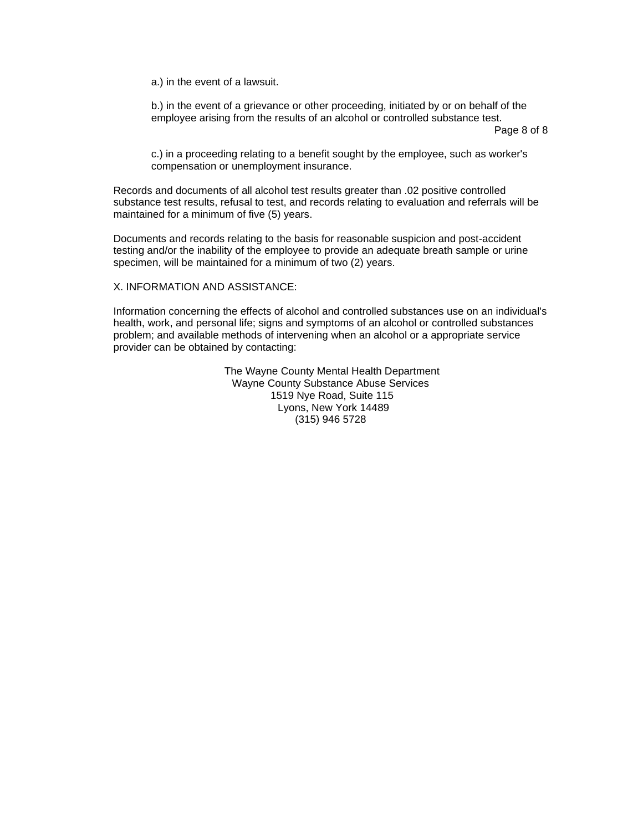a.) in the event of a lawsuit.

b.) in the event of a grievance or other proceeding, initiated by or on behalf of the employee arising from the results of an alcohol or controlled substance test.

Page 8 of 8

c.) in a proceeding relating to a benefit sought by the employee, such as worker's compensation or unemployment insurance.

Records and documents of all alcohol test results greater than .02 positive controlled substance test results, refusal to test, and records relating to evaluation and referrals will be maintained for a minimum of five (5) years.

Documents and records relating to the basis for reasonable suspicion and post-accident testing and/or the inability of the employee to provide an adequate breath sample or urine specimen, will be maintained for a minimum of two (2) years.

X. INFORMATION AND ASSISTANCE:

Information concerning the effects of alcohol and controlled substances use on an individual's health, work, and personal life; signs and symptoms of an alcohol or controlled substances problem; and available methods of intervening when an alcohol or a appropriate service provider can be obtained by contacting:

> The Wayne County Mental Health Department Wayne County Substance Abuse Services 1519 Nye Road, Suite 115 Lyons, New York 14489 (315) 946 5728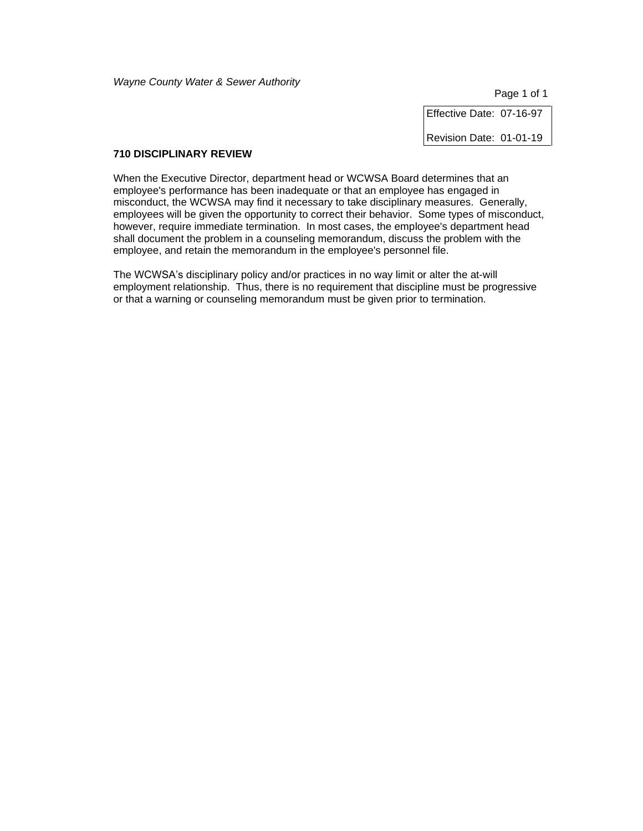Page 1 of 1

Effective Date: 07-16-97

Revision Date: 01-01-19

# **710 DISCIPLINARY REVIEW**

When the Executive Director, department head or WCWSA Board determines that an employee's performance has been inadequate or that an employee has engaged in misconduct, the WCWSA may find it necessary to take disciplinary measures. Generally, employees will be given the opportunity to correct their behavior. Some types of misconduct, however, require immediate termination. In most cases, the employee's department head shall document the problem in a counseling memorandum, discuss the problem with the employee, and retain the memorandum in the employee's personnel file.

The WCWSA's disciplinary policy and/or practices in no way limit or alter the at-will employment relationship. Thus, there is no requirement that discipline must be progressive or that a warning or counseling memorandum must be given prior to termination.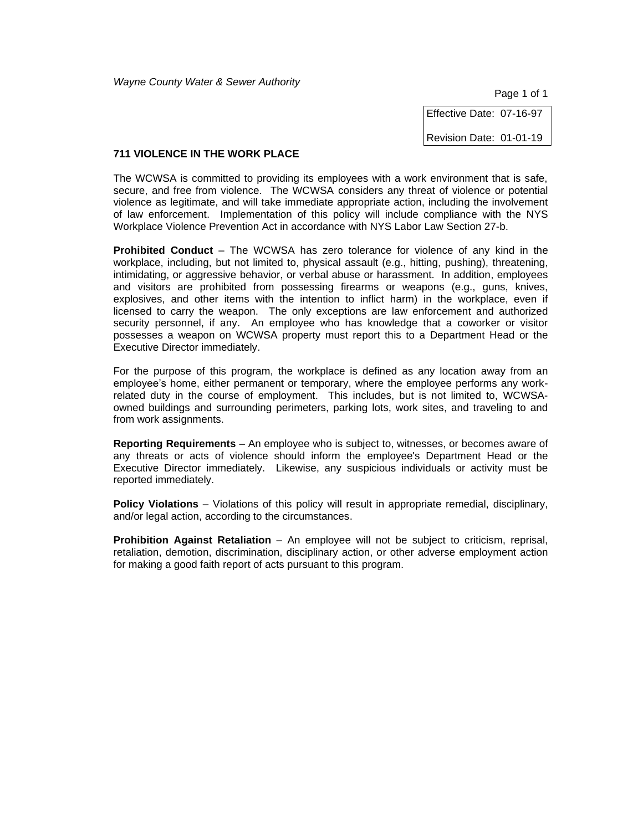Page 1 of 1

Effective Date: 07-16-97

Revision Date: 01-01-19

#### **711 VIOLENCE IN THE WORK PLACE**

The WCWSA is committed to providing its employees with a work environment that is safe, secure, and free from violence. The WCWSA considers any threat of violence or potential violence as legitimate, and will take immediate appropriate action, including the involvement of law enforcement. Implementation of this policy will include compliance with the NYS Workplace Violence Prevention Act in accordance with NYS Labor Law Section 27-b.

**Prohibited Conduct** – The WCWSA has zero tolerance for violence of any kind in the workplace, including, but not limited to, physical assault (e.g., hitting, pushing), threatening, intimidating, or aggressive behavior, or verbal abuse or harassment. In addition, employees and visitors are prohibited from possessing firearms or weapons (e.g., guns, knives, explosives, and other items with the intention to inflict harm) in the workplace, even if licensed to carry the weapon. The only exceptions are law enforcement and authorized security personnel, if any. An employee who has knowledge that a coworker or visitor possesses a weapon on WCWSA property must report this to a Department Head or the Executive Director immediately.

For the purpose of this program, the workplace is defined as any location away from an employee's home, either permanent or temporary, where the employee performs any workrelated duty in the course of employment. This includes, but is not limited to, WCWSAowned buildings and surrounding perimeters, parking lots, work sites, and traveling to and from work assignments.

**Reporting Requirements** – An employee who is subject to, witnesses, or becomes aware of any threats or acts of violence should inform the employee's Department Head or the Executive Director immediately. Likewise, any suspicious individuals or activity must be reported immediately.

**Policy Violations** – Violations of this policy will result in appropriate remedial, disciplinary, and/or legal action, according to the circumstances.

**Prohibition Against Retaliation** – An employee will not be subject to criticism, reprisal, retaliation, demotion, discrimination, disciplinary action, or other adverse employment action for making a good faith report of acts pursuant to this program.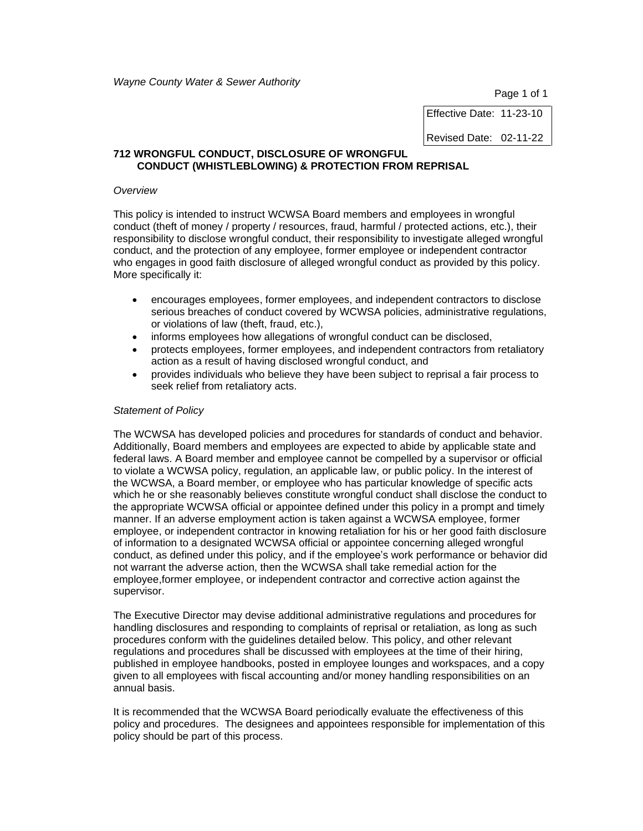Page 1 of 1

Effective Date: 11-23-10 Revised Date: 02-11-22

#### **712 WRONGFUL CONDUCT, DISCLOSURE OF WRONGFUL CONDUCT (WHISTLEBLOWING) & PROTECTION FROM REPRISAL**

#### *Overview*

This policy is intended to instruct WCWSA Board members and employees in wrongful conduct (theft of money / property / resources, fraud, harmful / protected actions, etc.), their responsibility to disclose wrongful conduct, their responsibility to investigate alleged wrongful conduct, and the protection of any employee, former employee or independent contractor who engages in good faith disclosure of alleged wrongful conduct as provided by this policy. More specifically it:

- encourages employees, former employees, and independent contractors to disclose serious breaches of conduct covered by WCWSA policies, administrative regulations, or violations of law (theft, fraud, etc.),
- informs employees how allegations of wrongful conduct can be disclosed,
- protects employees, former employees, and independent contractors from retaliatory action as a result of having disclosed wrongful conduct, and
- provides individuals who believe they have been subject to reprisal a fair process to seek relief from retaliatory acts.

#### *Statement of Policy*

The WCWSA has developed policies and procedures for standards of conduct and behavior. Additionally, Board members and employees are expected to abide by applicable state and federal laws. A Board member and employee cannot be compelled by a supervisor or official to violate a WCWSA policy, regulation, an applicable law, or public policy. In the interest of the WCWSA, a Board member, or employee who has particular knowledge of specific acts which he or she reasonably believes constitute wrongful conduct shall disclose the conduct to the appropriate WCWSA official or appointee defined under this policy in a prompt and timely manner. If an adverse employment action is taken against a WCWSA employee, former employee, or independent contractor in knowing retaliation for his or her good faith disclosure of information to a designated WCWSA official or appointee concerning alleged wrongful conduct, as defined under this policy, and if the employee's work performance or behavior did not warrant the adverse action, then the WCWSA shall take remedial action for the employee,former employee, or independent contractor and corrective action against the supervisor.

The Executive Director may devise additional administrative regulations and procedures for handling disclosures and responding to complaints of reprisal or retaliation, as long as such procedures conform with the guidelines detailed below. This policy, and other relevant regulations and procedures shall be discussed with employees at the time of their hiring, published in employee handbooks, posted in employee lounges and workspaces, and a copy given to all employees with fiscal accounting and/or money handling responsibilities on an annual basis.

It is recommended that the WCWSA Board periodically evaluate the effectiveness of this policy and procedures. The designees and appointees responsible for implementation of this policy should be part of this process.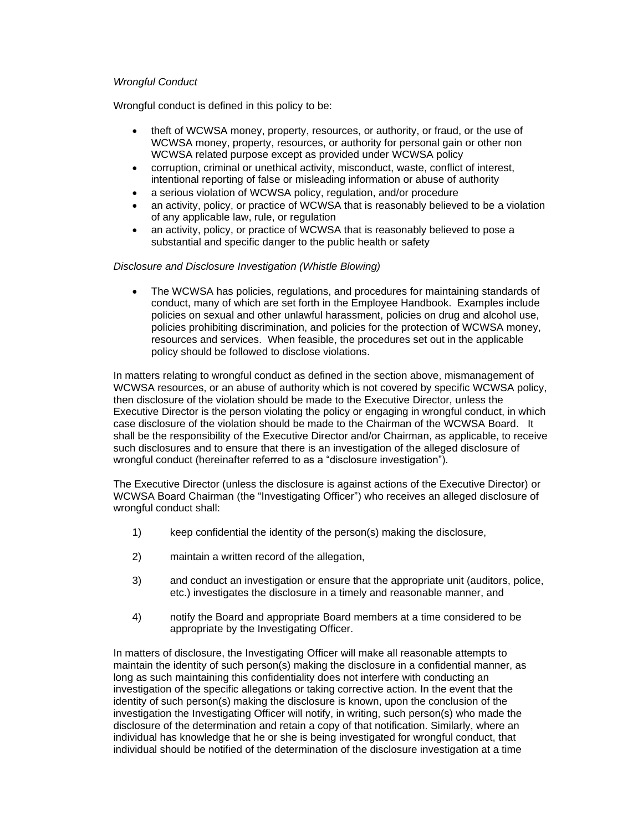# *Wrongful Conduct*

Wrongful conduct is defined in this policy to be:

- theft of WCWSA money, property, resources, or authority, or fraud, or the use of WCWSA money, property, resources, or authority for personal gain or other non WCWSA related purpose except as provided under WCWSA policy
- corruption, criminal or unethical activity, misconduct, waste, conflict of interest, intentional reporting of false or misleading information or abuse of authority
- a serious violation of WCWSA policy, regulation, and/or procedure
- an activity, policy, or practice of WCWSA that is reasonably believed to be a violation of any applicable law, rule, or regulation
- an activity, policy, or practice of WCWSA that is reasonably believed to pose a substantial and specific danger to the public health or safety

# *Disclosure and Disclosure Investigation (Whistle Blowing)*

• The WCWSA has policies, regulations, and procedures for maintaining standards of conduct, many of which are set forth in the Employee Handbook. Examples include policies on sexual and other unlawful harassment, policies on drug and alcohol use, policies prohibiting discrimination, and policies for the protection of WCWSA money, resources and services. When feasible, the procedures set out in the applicable policy should be followed to disclose violations.

In matters relating to wrongful conduct as defined in the section above, mismanagement of WCWSA resources, or an abuse of authority which is not covered by specific WCWSA policy, then disclosure of the violation should be made to the Executive Director, unless the Executive Director is the person violating the policy or engaging in wrongful conduct, in which case disclosure of the violation should be made to the Chairman of the WCWSA Board. It shall be the responsibility of the Executive Director and/or Chairman, as applicable, to receive such disclosures and to ensure that there is an investigation of the alleged disclosure of wrongful conduct (hereinafter referred to as a "disclosure investigation").

The Executive Director (unless the disclosure is against actions of the Executive Director) or WCWSA Board Chairman (the "Investigating Officer") who receives an alleged disclosure of wrongful conduct shall:

- 1) keep confidential the identity of the person(s) making the disclosure,
- 2) maintain a written record of the allegation,
- 3) and conduct an investigation or ensure that the appropriate unit (auditors, police, etc.) investigates the disclosure in a timely and reasonable manner, and
- 4) notify the Board and appropriate Board members at a time considered to be appropriate by the Investigating Officer.

In matters of disclosure, the Investigating Officer will make all reasonable attempts to maintain the identity of such person(s) making the disclosure in a confidential manner, as long as such maintaining this confidentiality does not interfere with conducting an investigation of the specific allegations or taking corrective action. In the event that the identity of such person(s) making the disclosure is known, upon the conclusion of the investigation the Investigating Officer will notify, in writing, such person(s) who made the disclosure of the determination and retain a copy of that notification. Similarly, where an individual has knowledge that he or she is being investigated for wrongful conduct, that individual should be notified of the determination of the disclosure investigation at a time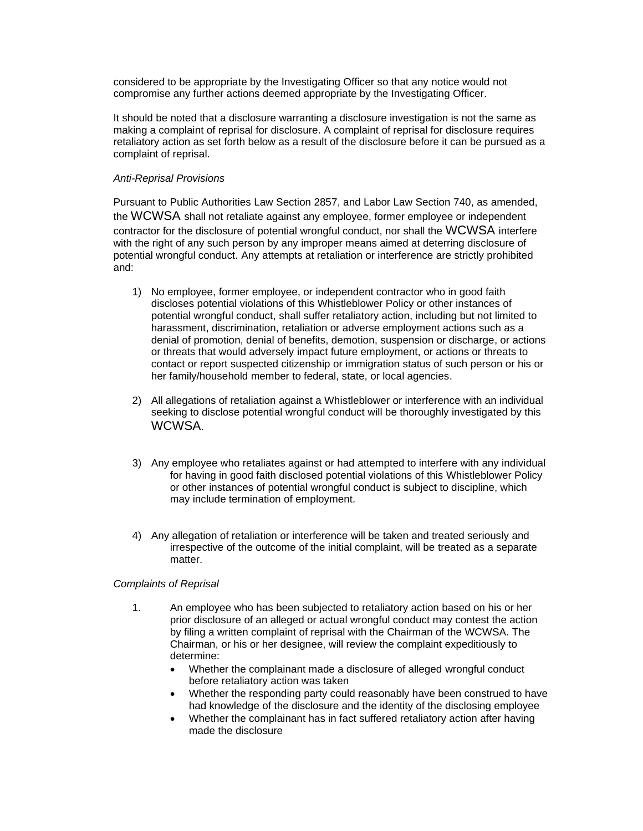considered to be appropriate by the Investigating Officer so that any notice would not compromise any further actions deemed appropriate by the Investigating Officer.

It should be noted that a disclosure warranting a disclosure investigation is not the same as making a complaint of reprisal for disclosure. A complaint of reprisal for disclosure requires retaliatory action as set forth below as a result of the disclosure before it can be pursued as a complaint of reprisal.

# *Anti-Reprisal Provisions*

Pursuant to Public Authorities Law Section 2857, and Labor Law Section 740, as amended, the WCWSA shall not retaliate against any employee, former employee or independent contractor for the disclosure of potential wrongful conduct, nor shall the WCWSA interfere with the right of any such person by any improper means aimed at deterring disclosure of potential wrongful conduct. Any attempts at retaliation or interference are strictly prohibited and:

- 1) No employee, former employee, or independent contractor who in good faith discloses potential violations of this Whistleblower Policy or other instances of potential wrongful conduct, shall suffer retaliatory action, including but not limited to harassment, discrimination, retaliation or adverse employment actions such as a denial of promotion, denial of benefits, demotion, suspension or discharge, or actions or threats that would adversely impact future employment, or actions or threats to contact or report suspected citizenship or immigration status of such person or his or her family/household member to federal, state, or local agencies.
- 2) All allegations of retaliation against a Whistleblower or interference with an individual seeking to disclose potential wrongful conduct will be thoroughly investigated by this WCWSA.
- 3) Any employee who retaliates against or had attempted to interfere with any individual for having in good faith disclosed potential violations of this Whistleblower Policy or other instances of potential wrongful conduct is subject to discipline, which may include termination of employment.
- 4) Any allegation of retaliation or interference will be taken and treated seriously and irrespective of the outcome of the initial complaint, will be treated as a separate matter.

# *Complaints of Reprisal*

- 1. An employee who has been subjected to retaliatory action based on his or her prior disclosure of an alleged or actual wrongful conduct may contest the action by filing a written complaint of reprisal with the Chairman of the WCWSA. The Chairman, or his or her designee, will review the complaint expeditiously to determine:
	- Whether the complainant made a disclosure of alleged wrongful conduct before retaliatory action was taken
	- Whether the responding party could reasonably have been construed to have had knowledge of the disclosure and the identity of the disclosing employee
	- Whether the complainant has in fact suffered retaliatory action after having made the disclosure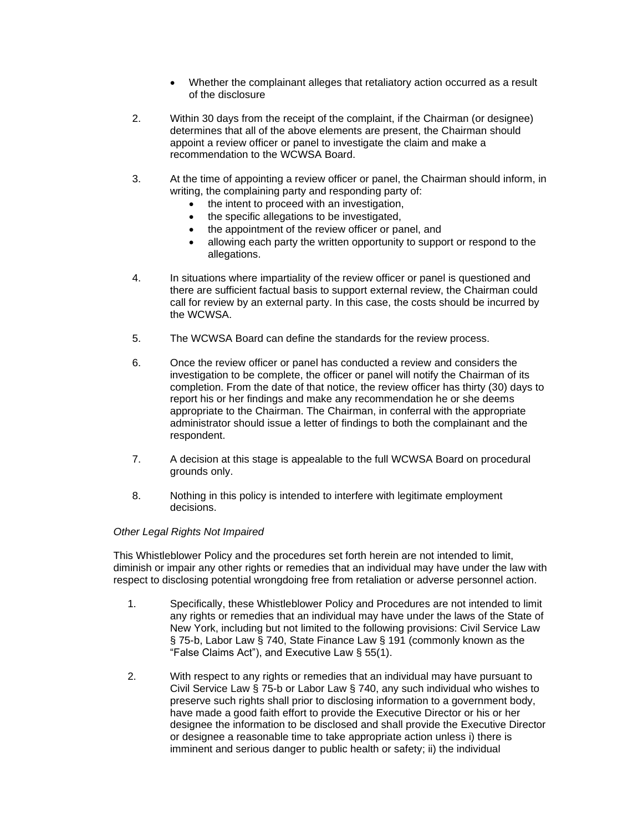- Whether the complainant alleges that retaliatory action occurred as a result of the disclosure
- 2. Within 30 days from the receipt of the complaint, if the Chairman (or designee) determines that all of the above elements are present, the Chairman should appoint a review officer or panel to investigate the claim and make a recommendation to the WCWSA Board.
- 3. At the time of appointing a review officer or panel, the Chairman should inform, in writing, the complaining party and responding party of:
	- the intent to proceed with an investigation,
	- the specific allegations to be investigated,
	- the appointment of the review officer or panel, and
	- allowing each party the written opportunity to support or respond to the allegations.
- 4. In situations where impartiality of the review officer or panel is questioned and there are sufficient factual basis to support external review, the Chairman could call for review by an external party. In this case, the costs should be incurred by the WCWSA.
- 5. The WCWSA Board can define the standards for the review process.
- 6. Once the review officer or panel has conducted a review and considers the investigation to be complete, the officer or panel will notify the Chairman of its completion. From the date of that notice, the review officer has thirty (30) days to report his or her findings and make any recommendation he or she deems appropriate to the Chairman. The Chairman, in conferral with the appropriate administrator should issue a letter of findings to both the complainant and the respondent.
- 7. A decision at this stage is appealable to the full WCWSA Board on procedural grounds only.
- 8. Nothing in this policy is intended to interfere with legitimate employment decisions.

# *Other Legal Rights Not Impaired*

This Whistleblower Policy and the procedures set forth herein are not intended to limit, diminish or impair any other rights or remedies that an individual may have under the law with respect to disclosing potential wrongdoing free from retaliation or adverse personnel action.

- 1. Specifically, these Whistleblower Policy and Procedures are not intended to limit any rights or remedies that an individual may have under the laws of the State of New York, including but not limited to the following provisions: Civil Service Law § 75-b, Labor Law § 740, State Finance Law § 191 (commonly known as the "False Claims Act"), and Executive Law § 55(1).
- 2. With respect to any rights or remedies that an individual may have pursuant to Civil Service Law § 75-b or Labor Law § 740, any such individual who wishes to preserve such rights shall prior to disclosing information to a government body, have made a good faith effort to provide the Executive Director or his or her designee the information to be disclosed and shall provide the Executive Director or designee a reasonable time to take appropriate action unless i) there is imminent and serious danger to public health or safety; ii) the individual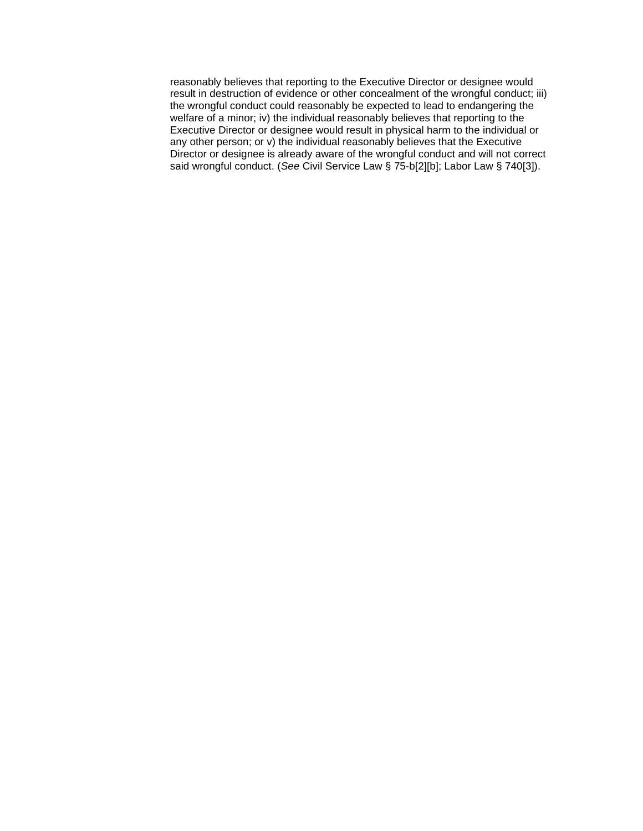reasonably believes that reporting to the Executive Director or designee would result in destruction of evidence or other concealment of the wrongful conduct; iii) the wrongful conduct could reasonably be expected to lead to endangering the welfare of a minor; iv) the individual reasonably believes that reporting to the Executive Director or designee would result in physical harm to the individual or any other person; or v) the individual reasonably believes that the Executive Director or designee is already aware of the wrongful conduct and will not correct said wrongful conduct. (*See* Civil Service Law § 75-b[2][b]; Labor Law § 740[3]).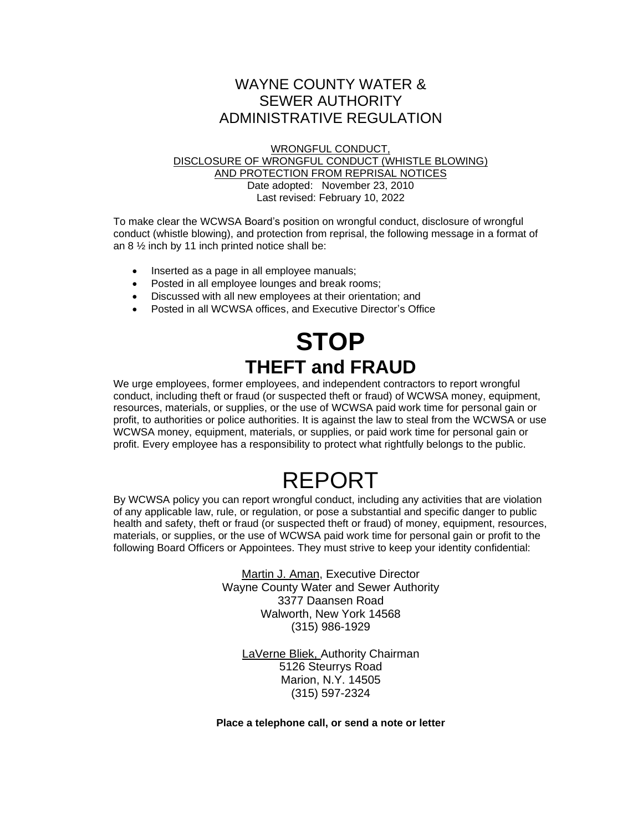# WAYNE COUNTY WATER & SEWER AUTHORITY ADMINISTRATIVE REGULATION

WRONGFUL CONDUCT,

# DISCLOSURE OF WRONGFUL CONDUCT (WHISTLE BLOWING) AND PROTECTION FROM REPRISAL NOTICES Date adopted: November 23, 2010 Last revised: February 10, 2022

To make clear the WCWSA Board's position on wrongful conduct, disclosure of wrongful conduct (whistle blowing), and protection from reprisal, the following message in a format of an  $8\frac{1}{2}$  inch by 11 inch printed notice shall be:

- Inserted as a page in all employee manuals;
- Posted in all employee lounges and break rooms;
- Discussed with all new employees at their orientation; and
- Posted in all WCWSA offices, and Executive Director's Office

# **STOP THEFT and FRAUD**

We urge employees, former employees, and independent contractors to report wrongful conduct, including theft or fraud (or suspected theft or fraud) of WCWSA money, equipment, resources, materials, or supplies, or the use of WCWSA paid work time for personal gain or profit, to authorities or police authorities. It is against the law to steal from the WCWSA or use WCWSA money, equipment, materials, or supplies, or paid work time for personal gain or profit. Every employee has a responsibility to protect what rightfully belongs to the public.

# REPORT

By WCWSA policy you can report wrongful conduct, including any activities that are violation of any applicable law, rule, or regulation, or pose a substantial and specific danger to public health and safety, theft or fraud (or suspected theft or fraud) of money, equipment, resources, materials, or supplies, or the use of WCWSA paid work time for personal gain or profit to the following Board Officers or Appointees. They must strive to keep your identity confidential:

> Martin J. Aman, Executive Director Wayne County Water and Sewer Authority 3377 Daansen Road Walworth, New York 14568 (315) 986-1929

LaVerne Bliek, Authority Chairman 5126 Steurrys Road Marion, N.Y. 14505 (315) 597-2324

**Place a telephone call, or send a note or letter**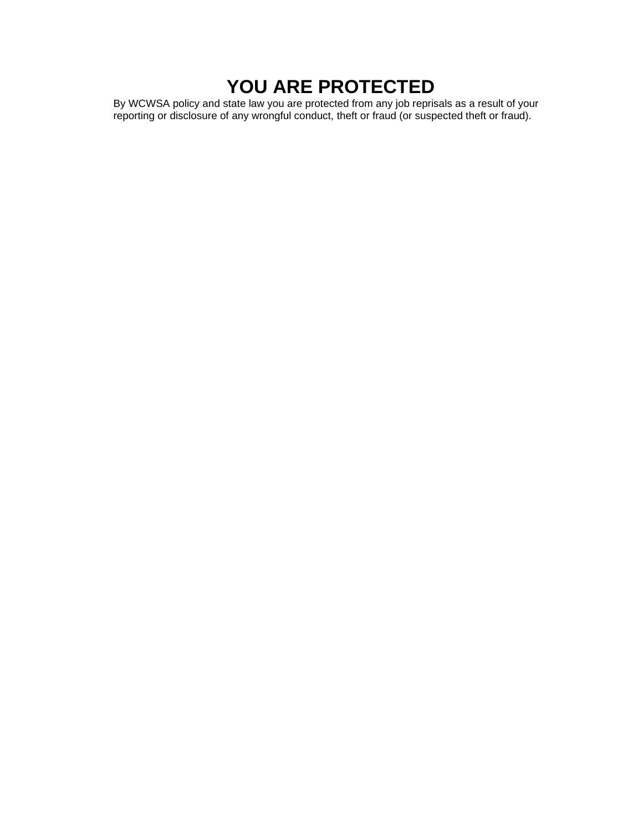# **YOU ARE PROTECTED**

By WCWSA policy and state law you are protected from any job reprisals as a result of your reporting or disclosure of any wrongful conduct, theft or fraud (or suspected theft or fraud).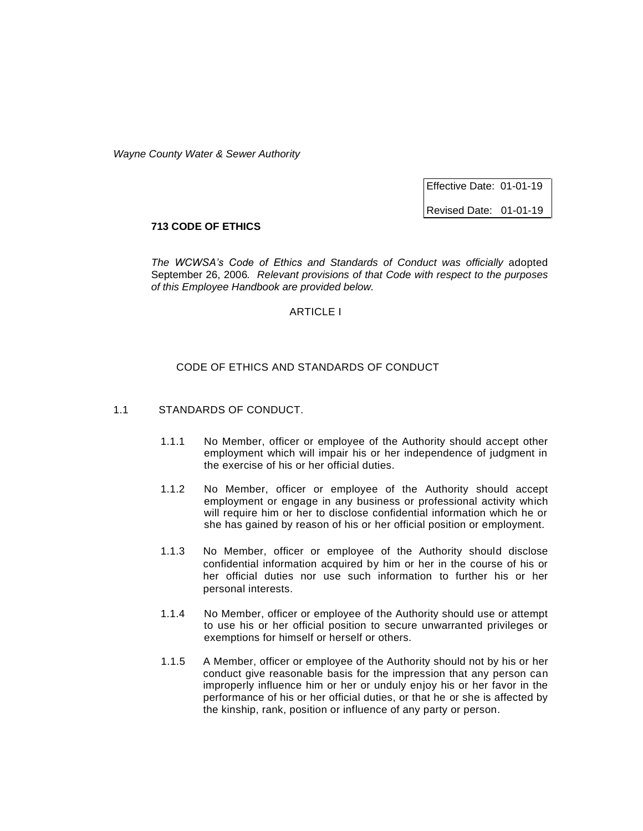Effective Date: 01-01-19

Revised Date: 01-01-19

# **713 CODE OF ETHICS**

*The WCWSA's Code of Ethics and Standards of Conduct was officially* adopted September 26, 2006*. Relevant provisions of that Code with respect to the purposes of this Employee Handbook are provided below.*

# ARTICLE I

### CODE OF ETHICS AND STANDARDS OF CONDUCT

# 1.1 STANDARDS OF CONDUCT.

- 1.1.1 No Member, officer or employee of the Authority should accept other employment which will impair his or her independence of judgment in the exercise of his or her official duties.
- 1.1.2 No Member, officer or employee of the Authority should accept employment or engage in any business or professional activity which will require him or her to disclose confidential information which he or she has gained by reason of his or her official position or employment.
- 1.1.3 No Member, officer or employee of the Authority should disclose confidential information acquired by him or her in the course of his or her official duties nor use such information to further his or her personal interests.
- 1.1.4 No Member, officer or employee of the Authority should use or attempt to use his or her official position to secure unwarranted privileges or exemptions for himself or herself or others.
- 1.1.5 A Member, officer or employee of the Authority should not by his or her conduct give reasonable basis for the impression that any person can improperly influence him or her or unduly enjoy his or her favor in the performance of his or her official duties, or that he or she is affected by the kinship, rank, position or influence of any party or person.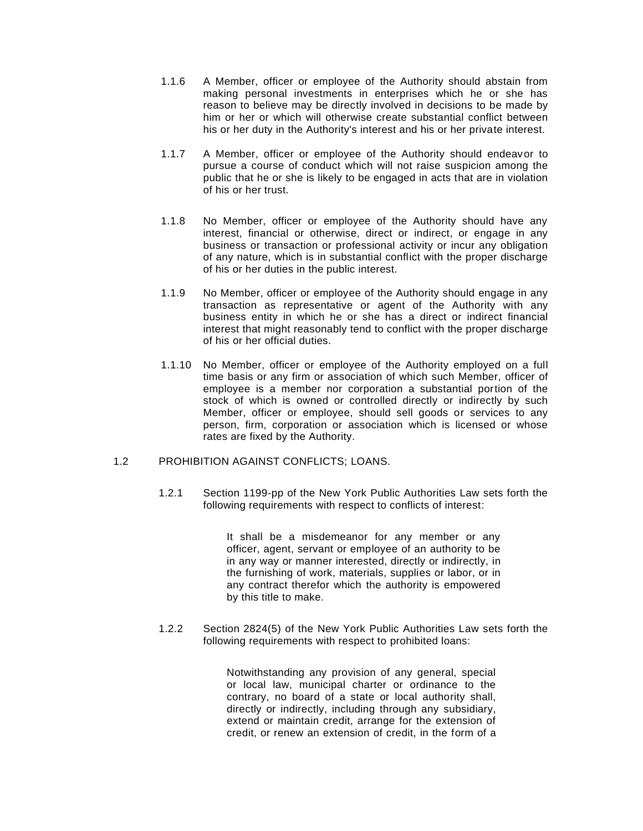- 1.1.6 A Member, officer or employee of the Authority should abstain from making personal investments in enterprises which he or she has reason to believe may be directly involved in decisions to be made by him or her or which will otherwise create substantial conflict between his or her duty in the Authority's interest and his or her private interest.
- 1.1.7 A Member, officer or employee of the Authority should endeavor to pursue a course of conduct which will not raise suspicion among the public that he or she is likely to be engaged in acts that are in violation of his or her trust.
- 1.1.8 No Member, officer or employee of the Authority should have any interest, financial or otherwise, direct or indirect, or engage in any business or transaction or professional activity or incur any obligation of any nature, which is in substantial conflict with the proper discharge of his or her duties in the public interest.
- 1.1.9 No Member, officer or employee of the Authority should engage in any transaction as representative or agent of the Authority with any business entity in which he or she has a direct or indirect financial interest that might reasonably tend to conflict with the proper discharge of his or her official duties.
- 1.1.10 No Member, officer or employee of the Authority employed on a full time basis or any firm or association of which such Member, officer of employee is a member nor corporation a substantial portion of the stock of which is owned or controlled directly or indirectly by such Member, officer or employee, should sell goods or services to any person, firm, corporation or association which is licensed or whose rates are fixed by the Authority.

# 1.2 PROHIBITION AGAINST CONFLICTS; LOANS.

1.2.1 Section 1199-pp of the New York Public Authorities Law sets forth the following requirements with respect to conflicts of interest:

> It shall be a misdemeanor for any member or any officer, agent, servant or employee of an authority to be in any way or manner interested, directly or indirectly, in the furnishing of work, materials, supplies or labor, or in any contract therefor which the authority is empowered by this title to make.

1.2.2 Section 2824(5) of the New York Public Authorities Law sets forth the following requirements with respect to prohibited loans:

> Notwithstanding any provision of any general, special or local law, municipal charter or ordinance to the contrary, no board of a state or local authority shall, directly or indirectly, including through any subsidiary, extend or maintain credit, arrange for the extension of credit, or renew an extension of credit, in the form of a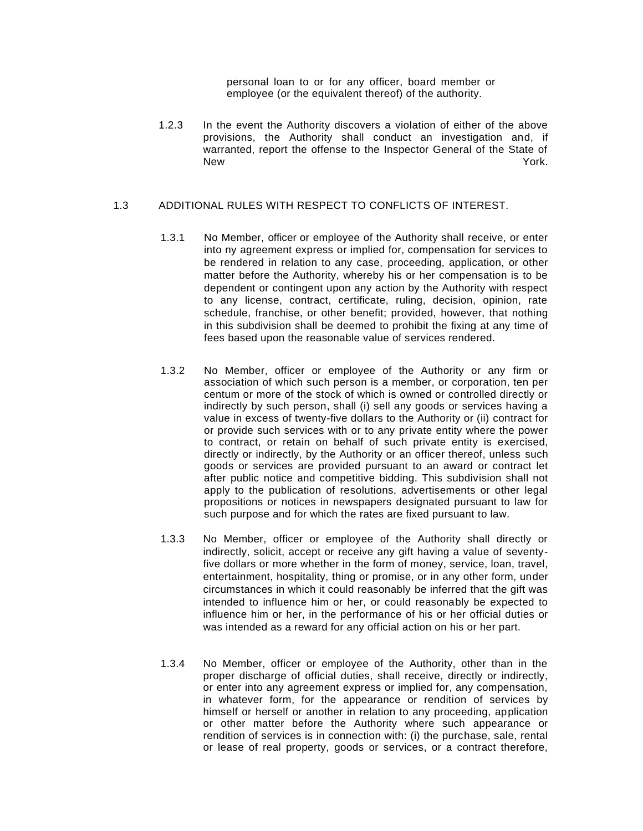personal loan to or for any officer, board member or employee (or the equivalent thereof) of the authority.

1.2.3 In the event the Authority discovers a violation of either of the above provisions, the Authority shall conduct an investigation and, if warranted, report the offense to the Inspector General of the State of New York.

## 1.3 ADDITIONAL RULES WITH RESPECT TO CONFLICTS OF INTEREST.

- 1.3.1 No Member, officer or employee of the Authority shall receive, or enter into ny agreement express or implied for, compensation for services to be rendered in relation to any case, proceeding, application, or other matter before the Authority, whereby his or her compensation is to be dependent or contingent upon any action by the Authority with respect to any license, contract, certificate, ruling, decision, opinion, rate schedule, franchise, or other benefit; provided, however, that nothing in this subdivision shall be deemed to prohibit the fixing at any time of fees based upon the reasonable value of services rendered.
- 1.3.2 No Member, officer or employee of the Authority or any firm or association of which such person is a member, or corporation, ten per centum or more of the stock of which is owned or controlled directly or indirectly by such person, shall (i) sell any goods or services having a value in excess of twenty-five dollars to the Authority or (ii) contract for or provide such services with or to any private entity where the power to contract, or retain on behalf of such private entity is exercised, directly or indirectly, by the Authority or an officer thereof, unless such goods or services are provided pursuant to an award or contract let after public notice and competitive bidding. This subdivision shall not apply to the publication of resolutions, advertisements or other legal propositions or notices in newspapers designated pursuant to law for such purpose and for which the rates are fixed pursuant to law.
- 1.3.3 No Member, officer or employee of the Authority shall directly or indirectly, solicit, accept or receive any gift having a value of seventyfive dollars or more whether in the form of money, service, loan, travel, entertainment, hospitality, thing or promise, or in any other form, under circumstances in which it could reasonably be inferred that the gift was intended to influence him or her, or could reasonably be expected to influence him or her, in the performance of his or her official duties or was intended as a reward for any official action on his or her part.
- 1.3.4 No Member, officer or employee of the Authority, other than in the proper discharge of official duties, shall receive, directly or indirectly, or enter into any agreement express or implied for, any compensation, in whatever form, for the appearance or rendition of services by himself or herself or another in relation to any proceeding, application or other matter before the Authority where such appearance or rendition of services is in connection with: (i) the purchase, sale, rental or lease of real property, goods or services, or a contract therefore,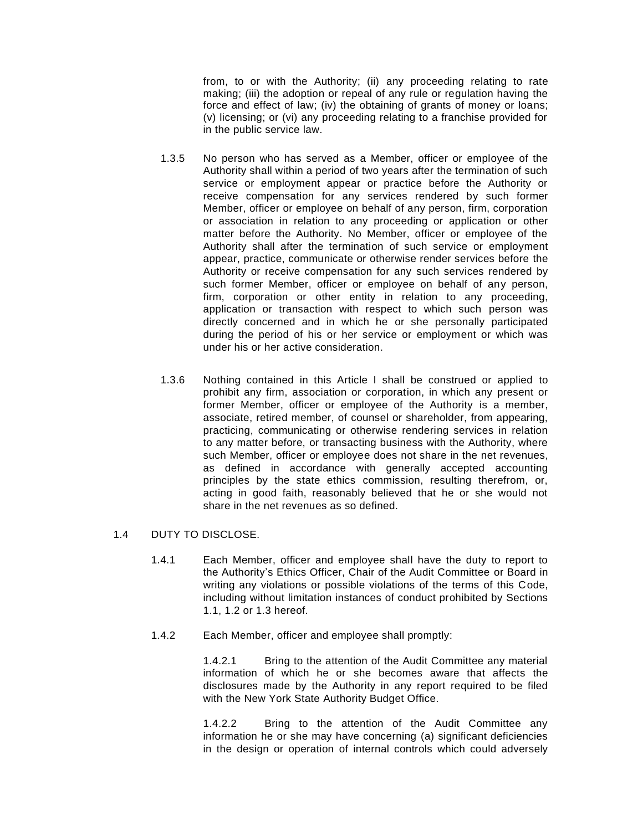from, to or with the Authority; (ii) any proceeding relating to rate making; (iii) the adoption or repeal of any rule or regulation having the force and effect of law; (iv) the obtaining of grants of money or loans; (v) licensing; or (vi) any proceeding relating to a franchise provided for in the public service law.

- 1.3.5 No person who has served as a Member, officer or employee of the Authority shall within a period of two years after the termination of such service or employment appear or practice before the Authority or receive compensation for any services rendered by such former Member, officer or employee on behalf of any person, firm, corporation or association in relation to any proceeding or application or other matter before the Authority. No Member, officer or employee of the Authority shall after the termination of such service or employment appear, practice, communicate or otherwise render services before the Authority or receive compensation for any such services rendered by such former Member, officer or employee on behalf of any person, firm, corporation or other entity in relation to any proceeding, application or transaction with respect to which such person was directly concerned and in which he or she personally participated during the period of his or her service or employment or which was under his or her active consideration.
- 1.3.6 Nothing contained in this Article I shall be construed or applied to prohibit any firm, association or corporation, in which any present or former Member, officer or employee of the Authority is a member, associate, retired member, of counsel or shareholder, from appearing, practicing, communicating or otherwise rendering services in relation to any matter before, or transacting business with the Authority, where such Member, officer or employee does not share in the net revenues, as defined in accordance with generally accepted accounting principles by the state ethics commission, resulting therefrom, or, acting in good faith, reasonably believed that he or she would not share in the net revenues as so defined.

## 1.4 DUTY TO DISCLOSE.

- 1.4.1 Each Member, officer and employee shall have the duty to report to the Authority's Ethics Officer, Chair of the Audit Committee or Board in writing any violations or possible violations of the terms of this Code, including without limitation instances of conduct prohibited by Sections 1.1, 1.2 or 1.3 hereof.
- 1.4.2 Each Member, officer and employee shall promptly:

1.4.2.1 Bring to the attention of the Audit Committee any material information of which he or she becomes aware that affects the disclosures made by the Authority in any report required to be filed with the New York State Authority Budget Office.

1.4.2.2 Bring to the attention of the Audit Committee any information he or she may have concerning (a) significant deficiencies in the design or operation of internal controls which could adversely